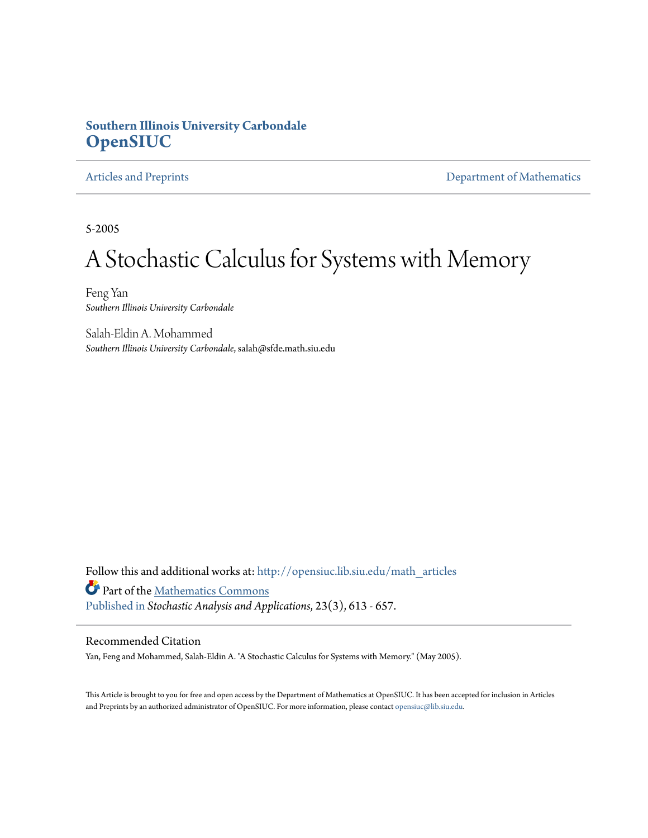### **Southern Illinois University Carbondale [OpenSIUC](http://opensiuc.lib.siu.edu?utm_source=opensiuc.lib.siu.edu%2Fmath_articles%2F57&utm_medium=PDF&utm_campaign=PDFCoverPages)**

[Articles and Preprints](http://opensiuc.lib.siu.edu/math_articles?utm_source=opensiuc.lib.siu.edu%2Fmath_articles%2F57&utm_medium=PDF&utm_campaign=PDFCoverPages) **[Department of Mathematics](http://opensiuc.lib.siu.edu/math?utm_source=opensiuc.lib.siu.edu%2Fmath_articles%2F57&utm_medium=PDF&utm_campaign=PDFCoverPages)** 

5-2005

# A Stochastic Calculus for Systems with Memory

Feng Yan *Southern Illinois University Carbondale*

Salah-Eldin A. Mohammed *Southern Illinois University Carbondale*, salah@sfde.math.siu.edu

Follow this and additional works at: [http://opensiuc.lib.siu.edu/math\\_articles](http://opensiuc.lib.siu.edu/math_articles?utm_source=opensiuc.lib.siu.edu%2Fmath_articles%2F57&utm_medium=PDF&utm_campaign=PDFCoverPages) Part of the [Mathematics Commons](http://network.bepress.com/hgg/discipline/174?utm_source=opensiuc.lib.siu.edu%2Fmath_articles%2F57&utm_medium=PDF&utm_campaign=PDFCoverPages) [Published in](http://dx.doi.org/10.1081/SAP-200056696) *Stochastic Analysis and Applications*, 23(3), 613 - 657.

### Recommended Citation

Yan, Feng and Mohammed, Salah-Eldin A. "A Stochastic Calculus for Systems with Memory." (May 2005).

This Article is brought to you for free and open access by the Department of Mathematics at OpenSIUC. It has been accepted for inclusion in Articles and Preprints by an authorized administrator of OpenSIUC. For more information, please contact [opensiuc@lib.siu.edu](mailto:opensiuc@lib.siu.edu).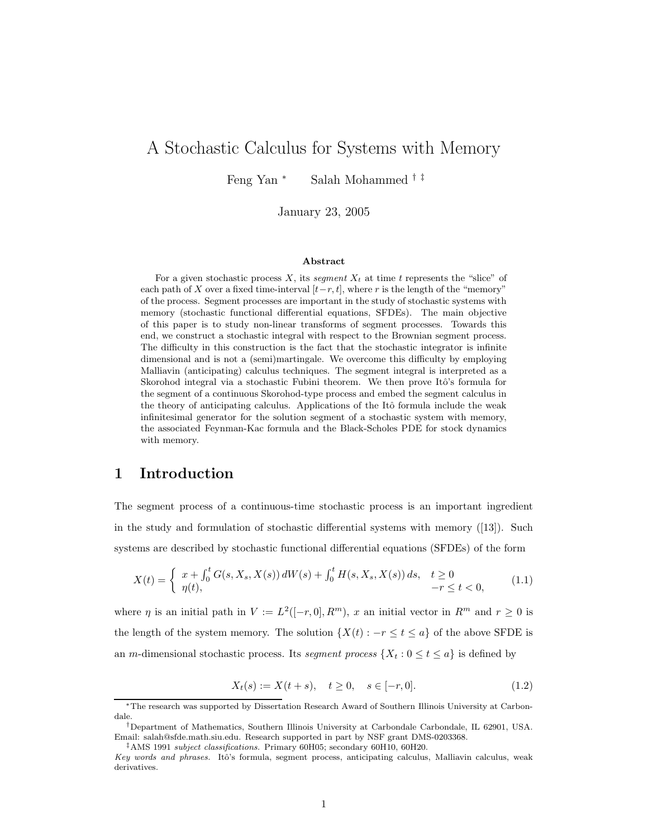## A Stochastic Calculus for Systems with Memory

Feng Yan <sup>∗</sup> Salah Mohammed † ‡

January 23, 2005

#### Abstract

For a given stochastic process  $X$ , its segment  $X_t$  at time t represents the "slice" of each path of X over a fixed time-interval  $[t-r,t]$ , where r is the length of the "memory" of the process. Segment processes are important in the study of stochastic systems with memory (stochastic functional differential equations, SFDEs). The main objective of this paper is to study non-linear transforms of segment processes. Towards this end, we construct a stochastic integral with respect to the Brownian segment process. The difficulty in this construction is the fact that the stochastic integrator is infinite dimensional and is not a (semi)martingale. We overcome this difficulty by employing Malliavin (anticipating) calculus techniques. The segment integral is interpreted as a Skorohod integral via a stochastic Fubini theorem. We then prove Itô's formula for the segment of a continuous Skorohod-type process and embed the segment calculus in the theory of anticipating calculus. Applications of the Itô formula include the weak infinitesimal generator for the solution segment of a stochastic system with memory, the associated Feynman-Kac formula and the Black-Scholes PDE for stock dynamics with memory.

### 1 Introduction

The segment process of a continuous-time stochastic process is an important ingredient in the study and formulation of stochastic differential systems with memory ([13]). Such systems are described by stochastic functional differential equations (SFDEs) of the form

$$
X(t) = \begin{cases} x + \int_0^t G(s, X_s, X(s)) dW(s) + \int_0^t H(s, X_s, X(s)) ds, & t \ge 0\\ \eta(t), & -r \le t < 0, \end{cases}
$$
(1.1)

where  $\eta$  is an initial path in  $V := L^2([-r, 0], R^m)$ , x an initial vector in  $R^m$  and  $r \ge 0$  is the length of the system memory. The solution  $\{X(t) : -r \le t \le a\}$  of the above SFDE is an m-dimensional stochastic process. Its segment process  $\{X_t : 0 \le t \le a\}$  is defined by

$$
X_t(s) := X(t+s), \quad t \ge 0, \quad s \in [-r, 0].
$$
\n(1.2)

‡AMS 1991 subject classifications. Primary 60H05; secondary 60H10, 60H20.

<sup>∗</sup>The research was supported by Dissertation Research Award of Southern Illinois University at Carbondale.

<sup>†</sup>Department of Mathematics, Southern Illinois University at Carbondale Carbondale, IL 62901, USA. Email: salah@sfde.math.siu.edu. Research supported in part by NSF grant DMS-0203368.

Key words and phrases. Itô's formula, segment process, anticipating calculus, Malliavin calculus, weak derivatives.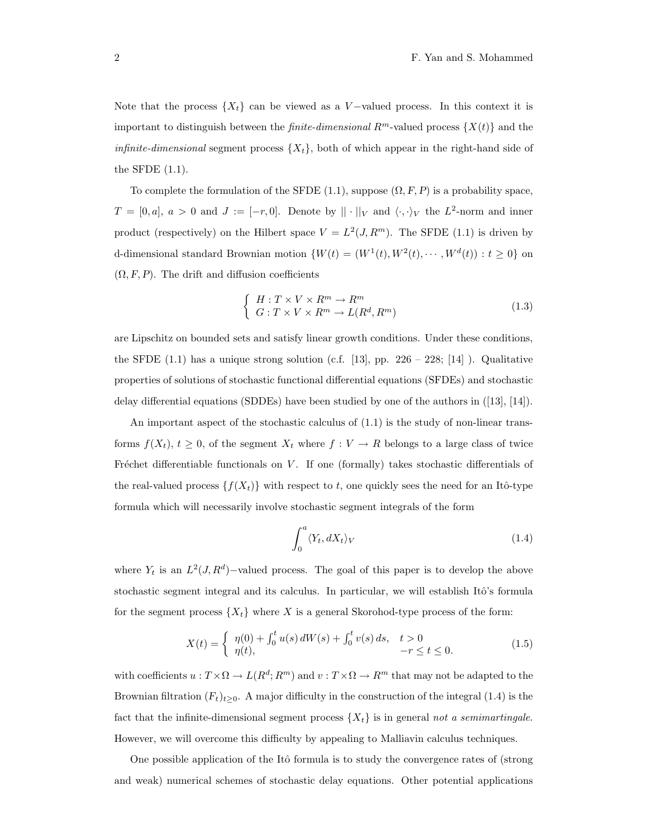Note that the process  $\{X_t\}$  can be viewed as a V-valued process. In this context it is important to distinguish between the *finite-dimensional*  $R^m$ -valued process  $\{X(t)\}\$ and the *infinite-dimensional* segment process  $\{X_t\}$ , both of which appear in the right-hand side of the SFDE (1.1).

To complete the formulation of the SFDE (1.1), suppose  $(\Omega, F, P)$  is a probability space,  $T = [0, a], a > 0$  and  $J := [-r, 0].$  Denote by  $|| \cdot ||_V$  and  $\langle \cdot, \cdot \rangle_V$  the  $L^2$ -norm and inner product (respectively) on the Hilbert space  $V = L^2(J, R^m)$ . The SFDE (1.1) is driven by d-dimensional standard Brownian motion  $\{W(t) = (W^1(t), W^2(t), \dots, W^d(t)) : t \ge 0\}$  on  $(\Omega, F, P)$ . The drift and diffusion coefficients

$$
\begin{cases}\nH: T \times V \times R^m \to R^m \\
G: T \times V \times R^m \to L(R^d, R^m)\n\end{cases} \tag{1.3}
$$

are Lipschitz on bounded sets and satisfy linear growth conditions. Under these conditions, the SFDE  $(1.1)$  has a unique strong solution (c.f. [13], pp. 226 – 228; [14] ). Qualitative properties of solutions of stochastic functional differential equations (SFDEs) and stochastic delay differential equations (SDDEs) have been studied by one of the authors in ([13], [14]).

An important aspect of the stochastic calculus of (1.1) is the study of non-linear transforms  $f(X_t)$ ,  $t \geq 0$ , of the segment  $X_t$  where  $f: V \to R$  belongs to a large class of twice Fréchet differentiable functionals on  $V$ . If one (formally) takes stochastic differentials of the real-valued process  $\{f(X_t)\}\$  with respect to t, one quickly sees the need for an Itô-type formula which will necessarily involve stochastic segment integrals of the form

$$
\int_0^a \langle Y_t, dX_t \rangle_V \tag{1.4}
$$

where  $Y_t$  is an  $L^2(J, R^d)$ -valued process. The goal of this paper is to develop the above stochastic segment integral and its calculus. In particular, we will establish Itô's formula for the segment process  $\{X_t\}$  where X is a general Skorohod-type process of the form:

$$
X(t) = \begin{cases} \eta(0) + \int_0^t u(s) dW(s) + \int_0^t v(s) ds, & t > 0 \\ \eta(t), & -r \le t \le 0. \end{cases}
$$
(1.5)

with coefficients  $u: T \times \Omega \to L(R^d; R^m)$  and  $v: T \times \Omega \to R^m$  that may not be adapted to the Brownian filtration  $(F_t)_{t\geq0}$ . A major difficulty in the construction of the integral (1.4) is the fact that the infinite-dimensional segment process  $\{X_t\}$  is in general not a semimartingale. However, we will overcome this difficulty by appealing to Malliavin calculus techniques.

One possible application of the Itô formula is to study the convergence rates of (strong and weak) numerical schemes of stochastic delay equations. Other potential applications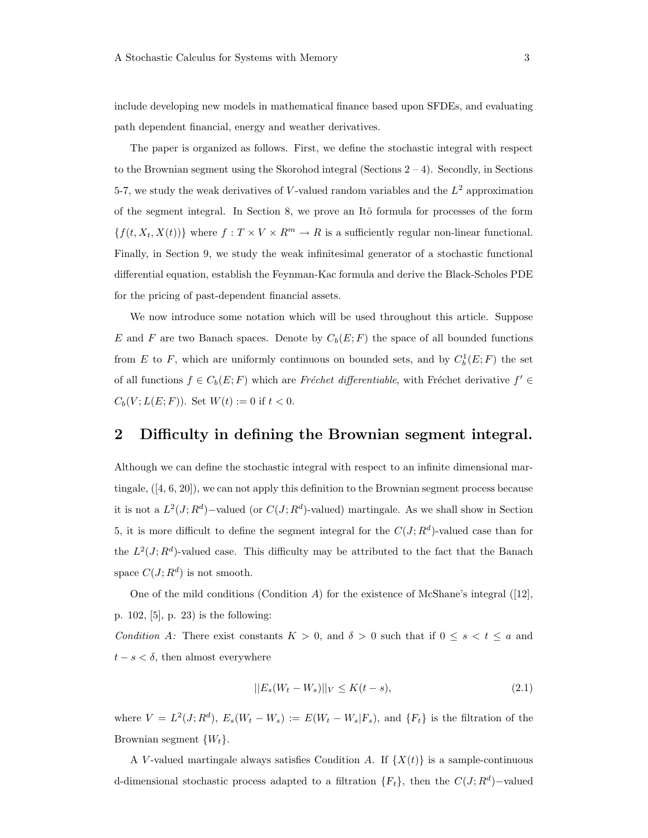include developing new models in mathematical finance based upon SFDEs, and evaluating path dependent financial, energy and weather derivatives.

The paper is organized as follows. First, we define the stochastic integral with respect to the Brownian segment using the Skorohod integral (Sections  $2 - 4$ ). Secondly, in Sections 5-7, we study the weak derivatives of V-valued random variables and the  $L^2$  approximation of the segment integral. In Section 8, we prove an Itô formula for processes of the form  ${f(t, X_t, X(t))}$  where  $f: T \times V \times R^m \to R$  is a sufficiently regular non-linear functional. Finally, in Section 9, we study the weak infinitesimal generator of a stochastic functional differential equation, establish the Feynman-Kac formula and derive the Black-Scholes PDE for the pricing of past-dependent financial assets.

We now introduce some notation which will be used throughout this article. Suppose E and F are two Banach spaces. Denote by  $C_b(E; F)$  the space of all bounded functions from E to F, which are uniformly continuous on bounded sets, and by  $C_b^1(E; F)$  the set of all functions  $f \in C_b(E; F)$  which are Fréchet differentiable, with Fréchet derivative  $f' \in$  $C_b(V; L(E; F))$ . Set  $W(t) := 0$  if  $t < 0$ .

### 2 Difficulty in defining the Brownian segment integral.

Although we can define the stochastic integral with respect to an infinite dimensional martingale, ([4, 6, 20]), we can not apply this definition to the Brownian segment process because it is not a  $L^2(J; R^d)$ -valued (or  $C(J; R^d)$ -valued) martingale. As we shall show in Section 5, it is more difficult to define the segment integral for the  $C(J; R<sup>d</sup>)$ -valued case than for the  $L^2(J; R^d)$ -valued case. This difficulty may be attributed to the fact that the Banach space  $C(J; R^d)$  is not smooth.

One of the mild conditions (Condition A) for the existence of McShane's integral ([12], p. 102, [5], p. 23) is the following:

Condition A: There exist constants  $K > 0$ , and  $\delta > 0$  such that if  $0 \leq s < t \leq a$  and  $t - s < \delta$ , then almost everywhere

$$
||E_s(W_t - W_s)||_V \le K(t - s),
$$
\n(2.1)

where  $V = L^2(J; R^d)$ ,  $E_s(W_t - W_s) := E(W_t - W_s | F_s)$ , and  $\{F_t\}$  is the filtration of the Brownian segment  $\{W_t\}$ .

A V-valued martingale always satisfies Condition A. If  $\{X(t)\}\$ is a sample-continuous d-dimensional stochastic process adapted to a filtration  ${F_t}$ , then the  $C(J; R<sup>d</sup>)$ -valued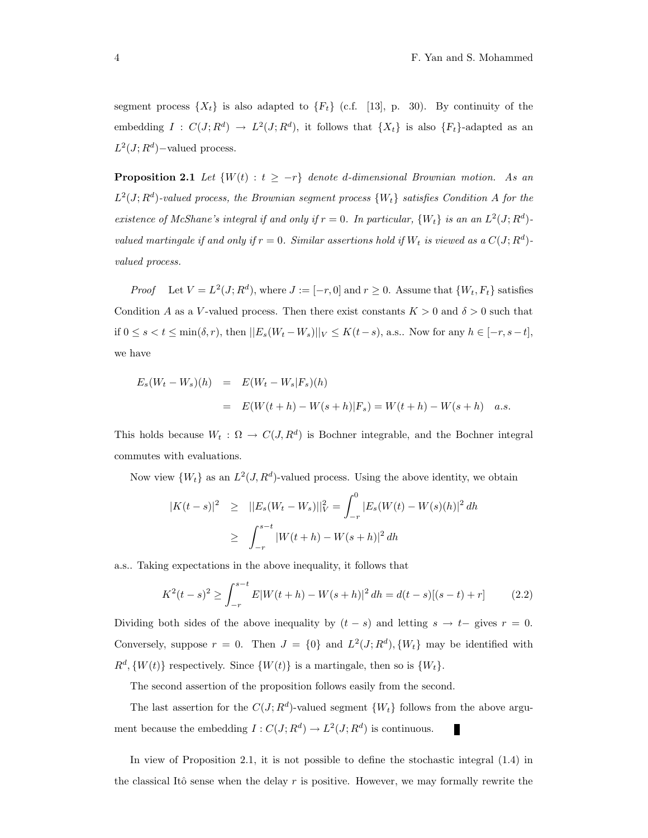segment process  $\{X_t\}$  is also adapted to  $\{F_t\}$  (c.f. [13], p. 30). By continuity of the embedding  $I: C(J; R^d) \to L^2(J; R^d)$ , it follows that  $\{X_t\}$  is also  $\{F_t\}$ -adapted as an  $L^2(J; R^d)$ -valued process.

**Proposition 2.1** Let  $\{W(t) : t \geq -r\}$  denote d-dimensional Brownian motion. As an  $L^2(J;R^d)$ -valued process, the Brownian segment process  $\{W_t\}$  satisfies Condition A for the existence of McShane's integral if and only if  $r = 0$ . In particular,  $\{W_t\}$  is an an  $L^2(J; R^d)$ valued martingale if and only if  $r = 0$ . Similar assertions hold if  $W_t$  is viewed as a  $C(J; R^d)$ valued process.

*Proof* Let  $V = L^2(J; R^d)$ , where  $J := [-r, 0]$  and  $r \ge 0$ . Assume that  $\{W_t, F_t\}$  satisfies Condition A as a V-valued process. Then there exist constants  $K > 0$  and  $\delta > 0$  such that if  $0 \le s < t \le \min(\delta, r)$ , then  $||E_s(W_t - W_s)||_V \le K(t-s)$ , a.s.. Now for any  $h \in [-r, s-t]$ , we have

$$
E_s(W_t - W_s)(h) = E(W_t - W_s|F_s)(h)
$$
  
=  $E(W(t + h) - W(s + h)|F_s) = W(t + h) - W(s + h)$  a.s.

This holds because  $W_t : \Omega \to C(J, R^d)$  is Bochner integrable, and the Bochner integral commutes with evaluations.

Now view  $\{W_t\}$  as an  $L^2(J, R^d)$ -valued process. Using the above identity, we obtain

$$
|K(t-s)|^2 \geq ||E_s(W_t - W_s)||_V^2 = \int_{-r}^0 |E_s(W(t) - W(s)(h)|^2 dh
$$
  
 
$$
\geq \int_{-r}^{s-t} |W(t+h) - W(s+h)|^2 dh
$$

a.s.. Taking expectations in the above inequality, it follows that

$$
K^{2}(t-s)^{2} \ge \int_{-r}^{s-t} E|W(t+h) - W(s+h)|^{2} dh = d(t-s)[(s-t) + r]
$$
 (2.2)

Dividing both sides of the above inequality by  $(t - s)$  and letting  $s \to t-$  gives  $r = 0$ . Conversely, suppose  $r = 0$ . Then  $J = \{0\}$  and  $L^2(J; R^d)$ ,  $\{W_t\}$  may be identified with  $R^d$ ,  $\{W(t)\}$  respectively. Since  $\{W(t)\}$  is a martingale, then so is  $\{W_t\}$ .

The second assertion of the proposition follows easily from the second.

The last assertion for the  $C(J; R^d)$ -valued segment  $\{W_t\}$  follows from the above argument because the embedding  $I: C(J; R^d) \to L^2(J; R^d)$  is continuous.

In view of Proposition 2.1, it is not possible to define the stochastic integral (1.4) in the classical Itô sense when the delay r is positive. However, we may formally rewrite the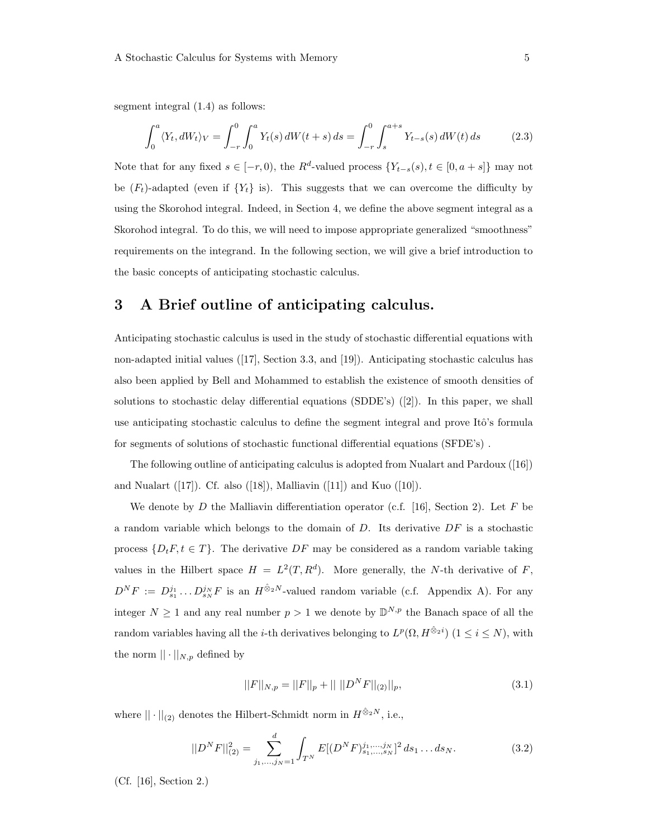segment integral (1.4) as follows:

$$
\int_0^a \langle Y_t, dW_t \rangle_V = \int_{-r}^0 \int_0^a Y_t(s) \, dW(t+s) \, ds = \int_{-r}^0 \int_s^{a+s} Y_{t-s}(s) \, dW(t) \, ds \tag{2.3}
$$

Note that for any fixed  $s \in [-r, 0)$ , the  $R^d$ -valued process  $\{Y_{t-s}(s), t \in [0, a+s]\}\$  may not be  $(F_t)$ -adapted (even if  $\{Y_t\}$  is). This suggests that we can overcome the difficulty by using the Skorohod integral. Indeed, in Section 4, we define the above segment integral as a Skorohod integral. To do this, we will need to impose appropriate generalized "smoothness" requirements on the integrand. In the following section, we will give a brief introduction to the basic concepts of anticipating stochastic calculus.

### 3 A Brief outline of anticipating calculus.

Anticipating stochastic calculus is used in the study of stochastic differential equations with non-adapted initial values ([17], Section 3.3, and [19]). Anticipating stochastic calculus has also been applied by Bell and Mohammed to establish the existence of smooth densities of solutions to stochastic delay differential equations (SDDE's) ([2]). In this paper, we shall use anticipating stochastic calculus to define the segment integral and prove Itô's formula for segments of solutions of stochastic functional differential equations (SFDE's) .

The following outline of anticipating calculus is adopted from Nualart and Pardoux ([16]) and Nualart  $([17])$ . Cf. also  $([18])$ , Malliavin  $([11])$  and Kuo  $([10])$ .

We denote by D the Malliavin differentiation operator (c.f. [16], Section 2). Let F be a random variable which belongs to the domain of  $D$ . Its derivative  $DF$  is a stochastic process  $\{D_t F, t \in T\}$ . The derivative  $DF$  may be considered as a random variable taking values in the Hilbert space  $H = L^2(T, R^d)$ . More generally, the N-th derivative of F,  $D^N F := D_{s_1}^{j_1} \dots D_{s_N}^{j_N} F$  is an  $H^{\hat{\otimes}_2 N}$ -valued random variable (c.f. Appendix A). For any integer  $N \geq 1$  and any real number  $p > 1$  we denote by  $\mathbb{D}^{N,p}$  the Banach space of all the random variables having all the *i*-th derivatives belonging to  $L^p(\Omega, H^{\hat{\otimes}_2 i})$  ( $1 \leq i \leq N$ ), with the norm  $|| \cdot ||_{N,p}$  defined by

$$
||F||_{N,p} = ||F||_p + ||||D^N F||_{(2)}||_p,
$$
\n(3.1)

where  $||\cdot||_{(2)}$  denotes the Hilbert-Schmidt norm in  $H^{\hat{\otimes}_2N},$  i.e.,

$$
||D^N F||_{(2)}^2 = \sum_{j_1,\dots,j_N=1}^d \int_{T^N} E[(D^N F)_{s_1,\dots,s_N}^{j_1,\dots,j_N}]^2 ds_1 \dots ds_N.
$$
 (3.2)

(Cf. [16], Section 2.)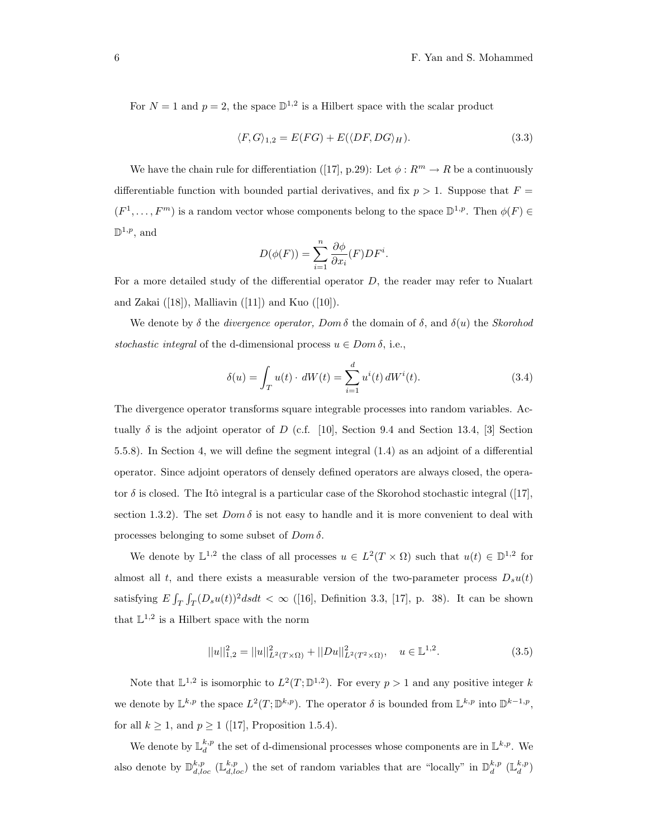For  $N = 1$  and  $p = 2$ , the space  $\mathbb{D}^{1,2}$  is a Hilbert space with the scalar product

$$
\langle F, G \rangle_{1,2} = E(FG) + E(\langle DF, DG \rangle_H). \tag{3.3}
$$

We have the chain rule for differentiation ([17], p.29): Let  $\phi: R^m \to R$  be a continuously differentiable function with bounded partial derivatives, and fix  $p > 1$ . Suppose that  $F =$  $(F^1, \ldots, F^m)$  is a random vector whose components belong to the space  $\mathbb{D}^{1,p}$ . Then  $\phi(F) \in$  $\mathbb{D}^{1,p}$ , and

$$
D(\phi(F)) = \sum_{i=1}^{n} \frac{\partial \phi}{\partial x_i}(F) DF^i.
$$

For a more detailed study of the differential operator D, the reader may refer to Nualart and Zakai  $([18])$ , Malliavin  $([11])$  and Kuo  $([10])$ .

We denote by  $\delta$  the *divergence operator, Dom*  $\delta$  the domain of  $\delta$ , and  $\delta(u)$  the *Skorohod* stochastic integral of the d-dimensional process  $u \in Dom \delta$ , i.e.,

$$
\delta(u) = \int_{T} u(t) \cdot dW(t) = \sum_{i=1}^{d} u^{i}(t) dW^{i}(t).
$$
 (3.4)

The divergence operator transforms square integrable processes into random variables. Actually  $\delta$  is the adjoint operator of D (c.f. [10], Section 9.4 and Section 13.4, [3] Section 5.5.8). In Section 4, we will define the segment integral (1.4) as an adjoint of a differential operator. Since adjoint operators of densely defined operators are always closed, the operator  $\delta$  is closed. The Itô integral is a particular case of the Skorohod stochastic integral ([17], section 1.3.2). The set  $Dom \delta$  is not easy to handle and it is more convenient to deal with processes belonging to some subset of  $Dom \delta$ .

We denote by  $\mathbb{L}^{1,2}$  the class of all processes  $u \in L^2(T \times \Omega)$  such that  $u(t) \in \mathbb{D}^{1,2}$  for almost all t, and there exists a measurable version of the two-parameter process  $D_s u(t)$ satisfying  $E \int_T \int_T (D_s u(t))^2 ds dt < \infty$  ([16], Definition 3.3, [17], p. 38). It can be shown that  $\mathbb{L}^{1,2}$  is a Hilbert space with the norm

$$
||u||_{1,2}^{2} = ||u||_{L^{2}(T \times \Omega)}^{2} + ||Du||_{L^{2}(T^{2} \times \Omega)}^{2}, \quad u \in \mathbb{L}^{1,2}.
$$
\n(3.5)

Note that  $\mathbb{L}^{1,2}$  is isomorphic to  $L^2(T;\mathbb{D}^{1,2})$ . For every  $p>1$  and any positive integer k we denote by  $\mathbb{L}^{k,p}$  the space  $L^2(T;\mathbb{D}^{k,p})$ . The operator  $\delta$  is bounded from  $\mathbb{L}^{k,p}$  into  $\mathbb{D}^{k-1,p}$ , for all  $k \geq 1$ , and  $p \geq 1$  ([17], Proposition 1.5.4).

We denote by  $\mathbb{L}_{d}^{k,p}$  the set of d-dimensional processes whose components are in  $\mathbb{L}^{k,p}$ . We also denote by  $\mathbb{D}_{d,loc}^{k,p}$  ( $\mathbb{L}_{d,loc}^{k,p}$ ) the set of random variables that are "locally" in  $\mathbb{D}_{d}^{k,p}$  ( $\mathbb{L}_{d}^{k,p}$ )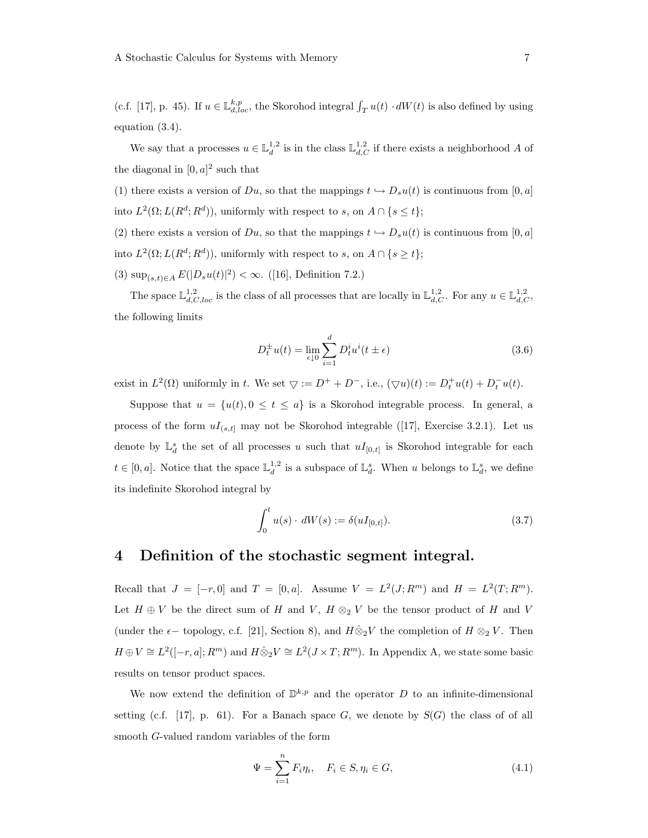(c.f. [17], p. 45). If  $u \in \mathbb{L}^{k,p}_{d,loc}$ , the Skorohod integral  $\int_T u(t) \cdot dW(t)$  is also defined by using equation (3.4).

We say that a processes  $u \in \mathbb{L}_d^{1,2}$  is in the class  $\mathbb{L}_{d,C}^{1,2}$  if there exists a neighborhood A of the diagonal in  $[0, a]^2$  such that

(1) there exists a version of Du, so that the mappings  $t \hookrightarrow D_s u(t)$  is continuous from [0, a] into  $L^2(\Omega; L(R^d; R^d))$ , uniformly with respect to s, on  $A \cap \{s \leq t\}$ ;

(2) there exists a version of Du, so that the mappings  $t \hookrightarrow D_s u(t)$  is continuous from [0, a] into  $L^2(\Omega; L(R^d; R^d))$ , uniformly with respect to s, on  $A \cap \{s \ge t\}$ ;

(3)  $\sup_{(s,t)\in A} E(|D_s u(t)|^2) < \infty.$  ([16], Definition 7.2.)

The space  $\mathbb{L}^{1,2}_{d,C,loc}$  is the class of all processes that are locally in  $\mathbb{L}^{1,2}_{d,C}$ . For any  $u \in \mathbb{L}^{1,2}_{d,C}$ , the following limits

$$
D_t^{\pm}u(t) = \lim_{\epsilon \downarrow 0} \sum_{i=1}^d D_t^i u^i(t \pm \epsilon)
$$
\n(3.6)

exist in  $L^2(\Omega)$  uniformly in t. We set  $\bigtriangledown := D^+ + D^-$ , i.e.,  $(\bigtriangledown u)(t) := D_t^+ u(t) + D_t^- u(t)$ .

Suppose that  $u = \{u(t), 0 \le t \le a\}$  is a Skorohod integrable process. In general, a process of the form  $uI_{(s,t]}$  may not be Skorohod integrable ([17], Exercise 3.2.1). Let us denote by  $\mathbb{L}^s_d$  the set of all processes u such that  $uI_{[0,t]}$  is Skorohod integrable for each  $t \in [0, a]$ . Notice that the space  $\mathbb{L}_d^{1,2}$  is a subspace of  $\mathbb{L}_d^s$ . When u belongs to  $\mathbb{L}_d^s$ , we define its indefinite Skorohod integral by

$$
\int_0^t u(s) \cdot dW(s) := \delta(uI_{[0,t]}). \tag{3.7}
$$

### 4 Definition of the stochastic segment integral.

Recall that  $J = [-r, 0]$  and  $T = [0, a]$ . Assume  $V = L^2(J; R^m)$  and  $H = L^2(T; R^m)$ . Let  $H \oplus V$  be the direct sum of H and V,  $H \otimes_2 V$  be the tensor product of H and V (under the  $\epsilon$  – topology, c.f. [21], Section 8), and  $H\hat{\otimes}_2 V$  the completion of  $H\otimes_2 V$ . Then  $H \oplus V \cong L^2([-r, a]; R^m)$  and  $H \hat{\otimes}_2 V \cong L^2(J \times T; R^m)$ . In Appendix A, we state some basic results on tensor product spaces.

We now extend the definition of  $\mathbb{D}^{k,p}$  and the operator D to an infinite-dimensional setting (c.f. [17], p. 61). For a Banach space  $G$ , we denote by  $S(G)$  the class of of all smooth G-valued random variables of the form

$$
\Psi = \sum_{i=1}^{n} F_i \eta_i, \quad F_i \in S, \eta_i \in G,
$$
\n(4.1)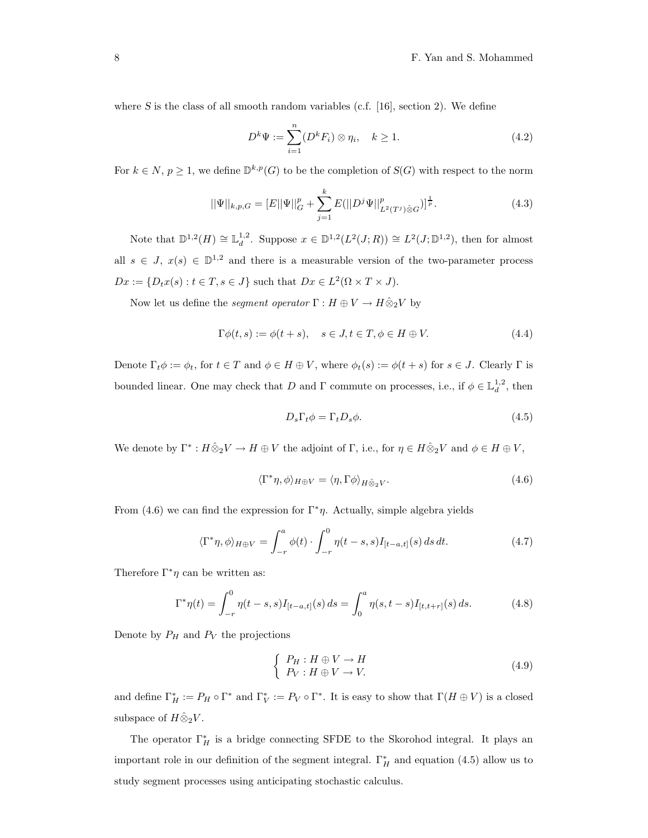where S is the class of all smooth random variables (c.f.  $[16]$ , section 2). We define

$$
D^k \Psi := \sum_{i=1}^n (D^k F_i) \otimes \eta_i, \quad k \ge 1.
$$
\n
$$
(4.2)
$$

For  $k \in N$ ,  $p \geq 1$ , we define  $\mathbb{D}^{k,p}(G)$  to be the completion of  $S(G)$  with respect to the norm

$$
||\Psi||_{k,p,G} = [E||\Psi||_G^p + \sum_{j=1}^k E(||D^j\Psi||_{L^2(T^j)\hat{\otimes}G}^p)]^{\frac{1}{p}}.
$$
\n(4.3)

Note that  $\mathbb{D}^{1,2}(H) \cong \mathbb{L}_d^{1,2}$ . Suppose  $x \in \mathbb{D}^{1,2}(L^2(J;R)) \cong L^2(J; \mathbb{D}^{1,2})$ , then for almost all  $s \in J$ ,  $x(s) \in \mathbb{D}^{1,2}$  and there is a measurable version of the two-parameter process  $Dx := \{D_tx(s) : t \in T, s \in J\}$  such that  $Dx \in L^2(\Omega \times T \times J)$ .

Now let us define the *segment operator*  $\Gamma : H \oplus V \to H \hat{\otimes}_2 V$  by

$$
\Gamma \phi(t, s) := \phi(t + s), \quad s \in J, t \in T, \phi \in H \oplus V. \tag{4.4}
$$

Denote  $\Gamma_t \phi := \phi_t$ , for  $t \in T$  and  $\phi \in H \oplus V$ , where  $\phi_t(s) := \phi(t+s)$  for  $s \in J$ . Clearly  $\Gamma$  is bounded linear. One may check that D and  $\Gamma$  commute on processes, i.e., if  $\phi \in \mathbb{L}_d^{1,2}$ , then

$$
D_s \Gamma_t \phi = \Gamma_t D_s \phi. \tag{4.5}
$$

We denote by  $\Gamma^*: H \hat{\otimes}_2 V \to H \oplus V$  the adjoint of  $\Gamma$ , i.e., for  $\eta \in H \hat{\otimes}_2 V$  and  $\phi \in H \oplus V$ ,

$$
\langle \Gamma^* \eta, \phi \rangle_{H \oplus V} = \langle \eta, \Gamma \phi \rangle_{H \hat{\otimes}_2 V}.
$$
\n(4.6)

From  $(4.6)$  we can find the expression for  $\Gamma^*\eta$ . Actually, simple algebra yields

$$
\langle \Gamma^* \eta, \phi \rangle_{H \oplus V} = \int_{-r}^a \phi(t) \cdot \int_{-r}^0 \eta(t-s, s) I_{[t-a, t]}(s) \, ds \, dt. \tag{4.7}
$$

Therefore  $\Gamma^*\eta$  can be written as:

$$
\Gamma^* \eta(t) = \int_{-r}^0 \eta(t - s, s) I_{[t - a, t]}(s) \, ds = \int_0^a \eta(s, t - s) I_{[t, t + r]}(s) \, ds. \tag{4.8}
$$

Denote by  $P_H$  and  $P_V$  the projections

$$
\begin{cases}\nP_H: H \oplus V \to H \\
P_V: H \oplus V \to V.\n\end{cases} \tag{4.9}
$$

and define  $\Gamma_H^* := P_H \circ \Gamma^*$  and  $\Gamma_V^* := P_V \circ \Gamma^*$ . It is easy to show that  $\Gamma(H \oplus V)$  is a closed subspace of  $H\hat{\otimes}_2 V$ .

The operator  $\Gamma_H^*$  is a bridge connecting SFDE to the Skorohod integral. It plays an important role in our definition of the segment integral.  $\Gamma_H^*$  and equation (4.5) allow us to study segment processes using anticipating stochastic calculus.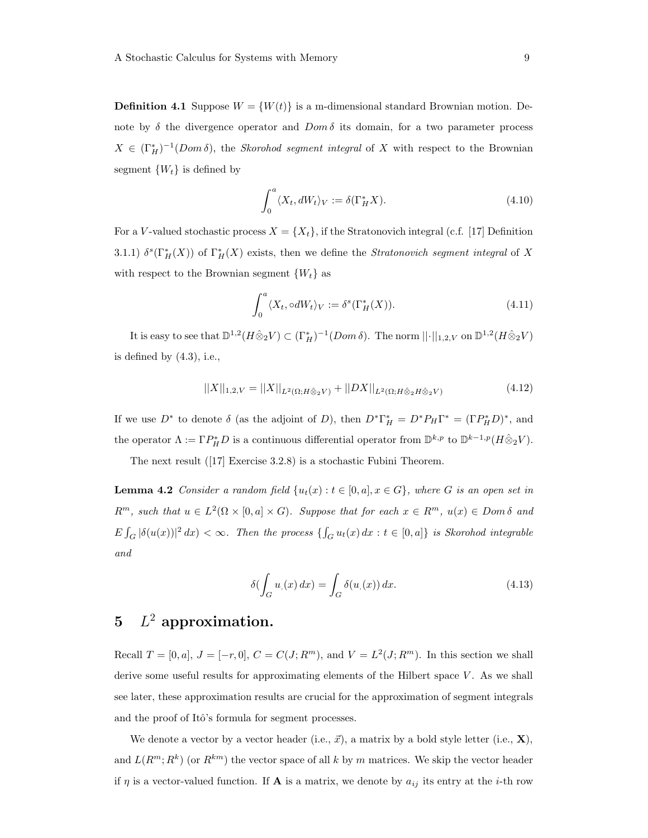**Definition 4.1** Suppose  $W = \{W(t)\}\$ is a m-dimensional standard Brownian motion. Denote by  $\delta$  the divergence operator and  $Dom \delta$  its domain, for a two parameter process  $X \in (\Gamma_H^*)^{-1}(Dom \delta)$ , the *Skorohod segment integral* of X with respect to the Brownian segment  $\{W_t\}$  is defined by

$$
\int_0^a \langle X_t, dW_t \rangle_V := \delta(\Gamma_H^* X). \tag{4.10}
$$

For a V-valued stochastic process  $X = \{X_t\}$ , if the Stratonovich integral (c.f. [17] Definition 3.1.1)  $\delta^{s}(\Gamma_{H}^{*}(X))$  of  $\Gamma_{H}^{*}(X)$  exists, then we define the *Stratonovich segment integral* of X with respect to the Brownian segment  $\{W_t\}$  as

$$
\int_0^a \langle X_t, \circ dW_t \rangle_V := \delta^s(\Gamma_H^*(X)).\tag{4.11}
$$

It is easy to see that  $\mathbb{D}^{1,2}(H \hat{\otimes}_2 V) \subset (\Gamma_H^*)^{-1}(Dom \delta)$ . The norm  $||\cdot||_{1,2,V}$  on  $\mathbb{D}^{1,2}(H \hat{\otimes}_2 V)$ is defined by  $(4.3)$ , i.e.,

$$
||X||_{1,2,V} = ||X||_{L^{2}(\Omega;H\hat{\otimes}_{2}V)} + ||DX||_{L^{2}(\Omega;H\hat{\otimes}_{2}H\hat{\otimes}_{2}V)} \tag{4.12}
$$

If we use  $D^*$  to denote  $\delta$  (as the adjoint of D), then  $D^*\Gamma_H^* = D^*P_H\Gamma^* = (\Gamma P_H^*D)^*$ , and the operator  $\Lambda := \Gamma P_H^* D$  is a continuous differential operator from  $\mathbb{D}^{k,p}$  to  $\mathbb{D}^{k-1,p}(H \hat{\otimes}_2 V)$ .

The next result ([17] Exercise 3.2.8) is a stochastic Fubini Theorem.

**Lemma 4.2** Consider a random field  $\{u_t(x): t \in [0, a], x \in G\}$ , where G is an open set in  $R^m$ , such that  $u \in L^2(\Omega \times [0, a] \times G)$ . Suppose that for each  $x \in R^m$ ,  $u(x) \in Dom \delta$  and  $E \int_G |\delta(u(x))|^2 dx < \infty$ . Then the process  $\{\int_G u_t(x) dx : t \in [0, a]\}$  is Skorohod integrable and

$$
\delta(\int_G u_1(x) dx) = \int_G \delta(u_1(x)) dx.
$$
\n(4.13)

# 5  $L^2$  approximation.

Recall  $T = [0, a], J = [-r, 0], C = C(J; R<sup>m</sup>),$  and  $V = L<sup>2</sup>(J; R<sup>m</sup>)$ . In this section we shall derive some useful results for approximating elements of the Hilbert space  $V$ . As we shall see later, these approximation results are crucial for the approximation of segment integrals and the proof of Itô's formula for segment processes.

We denote a vector by a vector header (i.e.,  $\vec{x}$ ), a matrix by a bold style letter (i.e., **X**), and  $L(R^m; R^k)$  (or  $R^{km}$ ) the vector space of all k by m matrices. We skip the vector header if  $\eta$  is a vector-valued function. If **A** is a matrix, we denote by  $a_{ij}$  its entry at the *i*-th row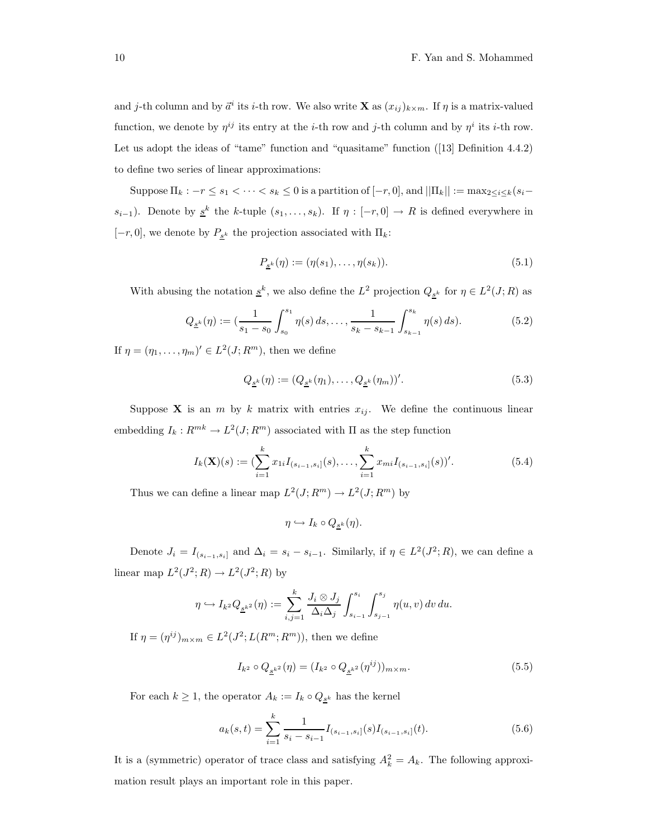and j-th column and by  $\vec{a}^i$  its i-th row. We also write **X** as  $(x_{ij})_{k \times m}$ . If  $\eta$  is a matrix-valued function, we denote by  $\eta^{ij}$  its entry at the *i*-th row and *j*-th column and by  $\eta^i$  its *i*-th row. Let us adopt the ideas of "tame" function and "quasitame" function ([13] Definition 4.4.2) to define two series of linear approximations:

Suppose  $\Pi_k : -r \leq s_1 < \cdots < s_k \leq 0$  is a partition of  $[-r, 0]$ , and  $||\Pi_k|| := \max_{2 \leq i \leq k} (s_i$  $s_{i-1}$ ). Denote by  $\underline{s}^k$  the k-tuple  $(s_1, \ldots, s_k)$ . If  $\eta : [-r, 0] \to R$  is defined everywhere in  $[-r, 0]$ , we denote by  $P_{\underline{s}^k}$  the projection associated with  $\Pi_k$ :

$$
P_{\underline{s}^k}(\eta) := (\eta(s_1), \dots, \eta(s_k)).\tag{5.1}
$$

With abusing the notation  $\underline{s}^k$ , we also define the  $L^2$  projection  $Q_{\underline{s}^k}$  for  $\eta \in L^2(J;R)$  as

$$
Q_{\underline{s}^k}(\eta) := \left(\frac{1}{s_1 - s_0} \int_{s_0}^{s_1} \eta(s) \, ds, \dots, \frac{1}{s_k - s_{k-1}} \int_{s_{k-1}}^{s_k} \eta(s) \, ds\right). \tag{5.2}
$$

If  $\eta = (\eta_1, \dots, \eta_m)' \in L^2(J; R^m)$ , then we define

$$
Q_{\underline{s}^k}(\eta) := (Q_{\underline{s}^k}(\eta_1), \dots, Q_{\underline{s}^k}(\eta_m))'.
$$
\n(5.3)

Suppose **X** is an m by k matrix with entries  $x_{ij}$ . We define the continuous linear embedding  $I_k: R^{mk} \to L^2(J; R^m)$  associated with  $\Pi$  as the step function

$$
I_k(\mathbf{X})(s) := (\sum_{i=1}^k x_{1i} I_{(s_{i-1}, s_i]}(s), \dots, \sum_{i=1}^k x_{mi} I_{(s_{i-1}, s_i]}(s))'. \tag{5.4}
$$

Thus we can define a linear map  $L^2(J; R^m) \to L^2(J; R^m)$  by

$$
\eta \hookrightarrow I_k \circ Q_{\underline{s}^k}(\eta).
$$

Denote  $J_i = I_{(s_{i-1}, s_i]}$  and  $\Delta_i = s_i - s_{i-1}$ . Similarly, if  $\eta \in L^2(J^2; R)$ , we can define a linear map  $L^2(J^2;R) \to L^2(J^2;R)$  by

$$
\eta \hookrightarrow I_{k^2} Q_{\underline{s}^{k^2}}(\eta) := \sum_{i,j=1}^k \frac{J_i \otimes J_j}{\Delta_i \Delta_j} \int_{s_{i-1}}^{s_i} \int_{s_{j-1}}^{s_j} \eta(u,v) \, dv \, du.
$$

If  $\eta = (\eta^{ij})_{m \times m} \in L^2(J^2; L(R^m; R^m))$ , then we define

$$
I_{k^2} \circ Q_{\underline{s}^{k^2}}(\eta) = (I_{k^2} \circ Q_{\underline{s}^{k^2}}(\eta^{ij}))_{m \times m}.
$$
 (5.5)

For each  $k \geq 1$ , the operator  $A_k := I_k \circ Q_{\underline{s}^k}$  has the kernel

$$
a_k(s,t) = \sum_{i=1}^k \frac{1}{s_i - s_{i-1}} I_{(s_{i-1}, s_i]}(s) I_{(s_{i-1}, s_i]}(t).
$$
\n(5.6)

It is a (symmetric) operator of trace class and satisfying  $A_k^2 = A_k$ . The following approximation result plays an important role in this paper.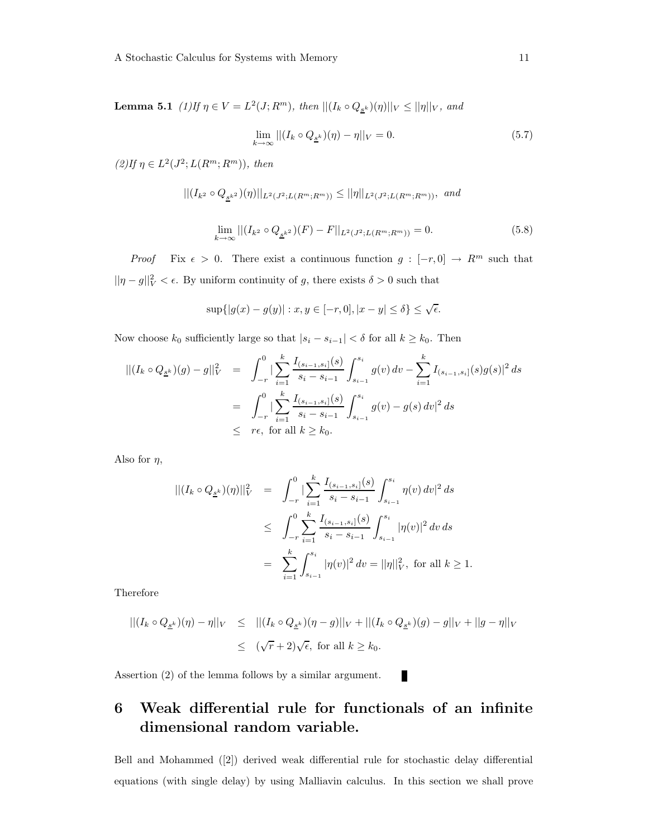**Lemma 5.1** (1) If  $\eta \in V = L^2(J; R^m)$ , then  $||(I_k \circ Q_{S^k})(\eta)||_V \le ||\eta||_V$ , and

$$
\lim_{k \to \infty} || (I_k \circ Q_{\underline{s}^k})(\eta) - \eta ||_V = 0. \tag{5.7}
$$

 $(2)$ If  $\eta \in L^2(J^2; L(R^m; R^m))$ , then

$$
||(I_{k^2} \circ Q_{\underline{s}^{k^2}})(\eta)||_{L^2(J^2;L(R^m;R^m))} \le ||\eta||_{L^2(J^2;L(R^m;R^m))}, \text{ and}
$$

$$
\lim_{k \to \infty} ||(I_{k^2} \circ Q_{\underline{s}^{k^2}})(F) - F||_{L^2(J^2; L(R^m; R^m))} = 0.
$$
\n(5.8)

*Proof* Fix  $\epsilon > 0$ . There exist a continuous function  $g : [-r, 0] \to R^m$  such that  $||\eta - g||_V^2 < \epsilon$ . By uniform continuity of g, there exists  $\delta > 0$  such that

$$
\sup\{|g(x)-g(y)| : x, y \in [-r,0], |x-y| \le \delta\} \le \sqrt{\epsilon}.
$$

Now choose  $k_0$  sufficiently large so that  $|s_i - s_{i-1}| < \delta$  for all  $k \geq k_0$ . Then

$$
\begin{array}{rcl} || (I_k \circ Q_{\underline{s}^k})(g) - g ||_V^2 & = & \int_{-r}^0 \left| \sum_{i=1}^k \frac{I_{(s_{i-1}, s_i]}(s)}{s_i - s_{i-1}} \int_{s_{i-1}}^{s_i} g(v) \, dv - \sum_{i=1}^k I_{(s_{i-1}, s_i]}(s) g(s) \right|^2 ds \\ & = & \int_{-r}^0 \left| \sum_{i=1}^k \frac{I_{(s_{i-1}, s_i]}(s)}{s_i - s_{i-1}} \int_{s_{i-1}}^{s_i} g(v) - g(s) \, dv \right|^2 ds \\ & \leq & r\epsilon, \text{ for all } k \geq k_0. \end{array}
$$

Also for  $\eta$ ,

$$
\begin{array}{rcl} || (I_k \circ Q_{\underline{s}^k}) (\eta) ||_V^2 & = & \displaystyle \int_{-r}^0 | \sum_{i=1}^k \frac{I_{(s_{i-1}, s_i]}(s)}{s_i - s_{i-1}} \int_{s_{i-1}}^{s_i} \eta(v) \, dv|^2 \, ds \\ \\ & \leq & \displaystyle \int_{-r}^0 \sum_{i=1}^k \frac{I_{(s_{i-1}, s_i]}(s)}{s_i - s_{i-1}} \int_{s_{i-1}}^{s_i} |\eta(v)|^2 \, dv \, ds \\ \\ & = & \displaystyle \sum_{i=1}^k \int_{s_{i-1}}^{s_i} |\eta(v)|^2 \, dv = ||\eta||_V^2, \text{ for all } k \geq 1. \end{array}
$$

Therefore

$$
||(I_k \circ Q_{\underline{s}^k})(\eta) - \eta||_V \le ||(I_k \circ Q_{\underline{s}^k})(\eta - g)||_V + ||(I_k \circ Q_{\underline{s}^k})(g) - g||_V + ||g - \eta||_V
$$
  

$$
\le (\sqrt{r} + 2)\sqrt{\epsilon}, \text{ for all } k \ge k_0.
$$

Assertion (2) of the lemma follows by a similar argument.

## 6 Weak differential rule for functionals of an infinite dimensional random variable.

Bell and Mohammed ([2]) derived weak differential rule for stochastic delay differential equations (with single delay) by using Malliavin calculus. In this section we shall prove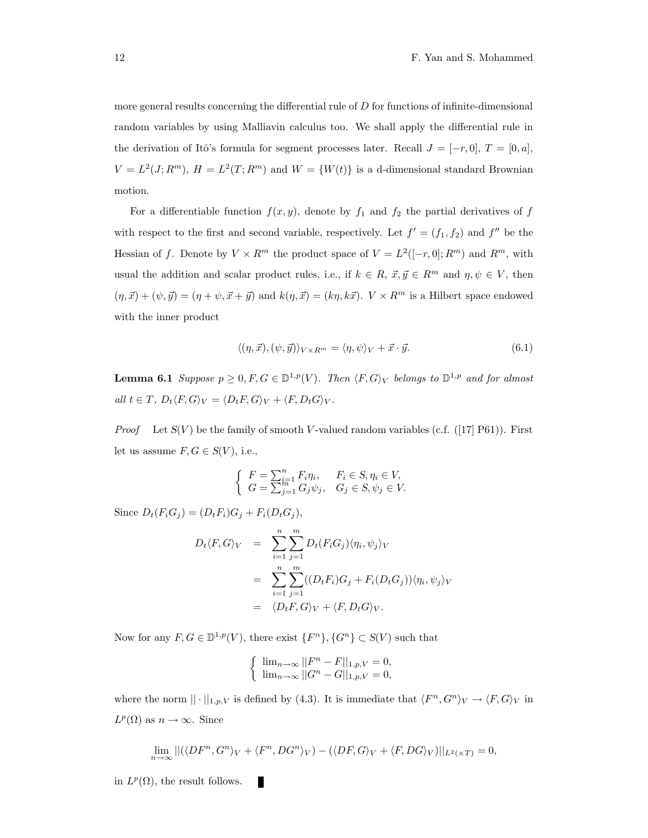more general results concerning the differential rule of D for functions of infinite-dimensional random variables by using Malliavin calculus too. We shall apply the differential rule in the derivation of Itô's formula for segment processes later. Recall  $J = [-r, 0], T = [0, a],$  $V = L^2(J; R^m)$ ,  $H = L^2(T; R^m)$  and  $W = \{W(t)\}\$ is a d-dimensional standard Brownian motion.

For a differentiable function  $f(x, y)$ , denote by  $f_1$  and  $f_2$  the partial derivatives of f with respect to the first and second variable, respectively. Let  $f' = (f_1, f_2)$  and  $f''$  be the Hessian of f. Denote by  $V \times R^m$  the product space of  $V = L^2([-r, 0]; R^m)$  and  $R^m$ , with usual the addition and scalar product rules, i.e., if  $k \in R$ ,  $\vec{x}, \vec{y} \in R^m$  and  $\eta, \psi \in V$ , then  $(\eta, \vec{x}) + (\psi, \vec{y}) = (\eta + \psi, \vec{x} + \vec{y})$  and  $k(\eta, \vec{x}) = (k\eta, k\vec{x})$ .  $V \times R^m$  is a Hilbert space endowed with the inner product

$$
\langle (\eta, \vec{x}), (\psi, \vec{y}) \rangle_{V \times R^m} = \langle \eta, \psi \rangle_V + \vec{x} \cdot \vec{y}.\tag{6.1}
$$

**Lemma 6.1** Suppose  $p \ge 0, F, G \in \mathbb{D}^{1,p}(V)$ . Then  $\langle F, G \rangle_V$  belongs to  $\mathbb{D}^{1,p}$  and for almost all  $t \in T$ ,  $D_t \langle F, G \rangle_V = \langle D_t F, G \rangle_V + \langle F, D_t G \rangle_V$ .

*Proof* Let  $S(V)$  be the family of smooth V-valued random variables (c.f. ([17] P61)). First let us assume  $F, G \in S(V)$ , i.e.,

$$
\begin{cases}\nF = \sum_{i=1}^{n} F_i \eta_i, & F_i \in S, \eta_i \in V, \\
G = \sum_{j=1}^{n} G_j \psi_j, & G_j \in S, \psi_j \in V.\n\end{cases}
$$

Since  $D_t(F_i G_j) = (D_t F_i) G_j + F_i(D_t G_j),$ 

$$
D_t \langle F, G \rangle_V = \sum_{i=1}^n \sum_{j=1}^m D_t (F_i G_j) \langle \eta_i, \psi_j \rangle_V
$$
  
= 
$$
\sum_{i=1}^n \sum_{j=1}^m ((D_t F_i) G_j + F_i (D_t G_j)) \langle \eta_i, \psi_j \rangle_V
$$
  
= 
$$
\langle D_t F, G \rangle_V + \langle F, D_t G \rangle_V.
$$

Now for any  $F, G \in \mathbb{D}^{1,p}(V)$ , there exist  $\{F^n\}, \{G^n\} \subset S(V)$  such that

$$
\begin{cases} \lim_{n\to\infty}||F^n - F||_{1,p,V} = 0, \\ \lim_{n\to\infty}||G^n - G||_{1,p,V} = 0, \end{cases}
$$

where the norm  $|| \cdot ||_{1,p,V}$  is defined by (4.3). It is immediate that  $\langle F^n, G^n \rangle_V \to \langle F, G \rangle_V$  in  $L^p(\Omega)$  as  $n \to \infty$ . Since

$$
\lim_{n \to \infty} ||(\langle DF^n, G^n \rangle_V + \langle F^n, DG^n \rangle_V) - (\langle DF, G \rangle_V + \langle F, DG \rangle_V) ||_{L^2(\times T)} = 0,
$$

in  $L^p(\Omega)$ , the result follows.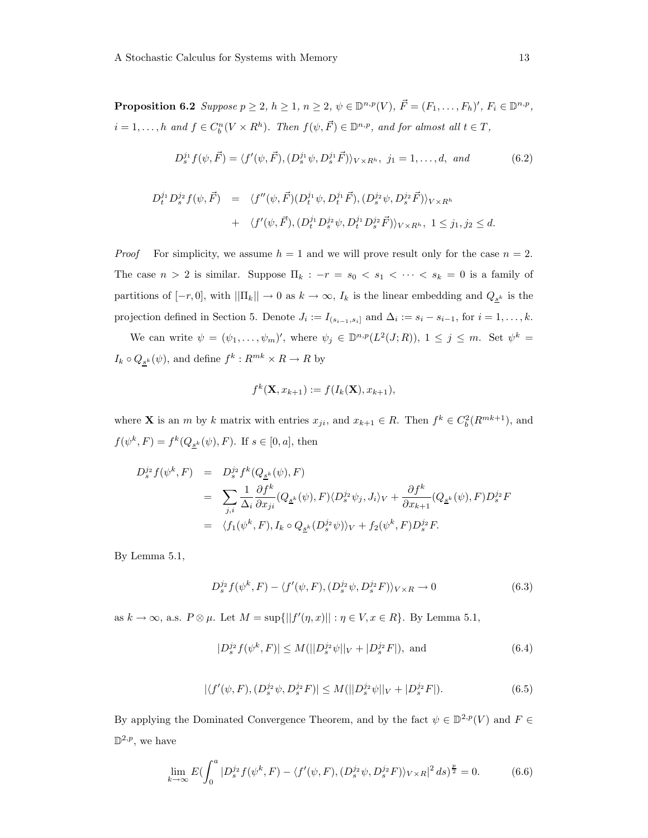**Proposition 6.2** Suppose  $p \ge 2$ ,  $h \ge 1$ ,  $n \ge 2$ ,  $\psi \in \mathbb{D}^{n,p}(V)$ ,  $\vec{F} = (F_1, \ldots, F_h)'$ ,  $F_i \in \mathbb{D}^{n,p}$ ,  $i = 1, \ldots, h$  and  $f \in C_b^n(V \times R^h)$ . Then  $f(\psi, \vec{F}) \in \mathbb{D}^{n,p}$ , and for almost all  $t \in T$ ,

$$
D_s^{j_1} f(\psi, \vec{F}) = \langle f'(\psi, \vec{F}), (D_s^{j_1} \psi, D_s^{j_1} \vec{F}) \rangle_{V \times R^h}, j_1 = 1, ..., d, and
$$
 (6.2)

$$
D_t^{j_1} D_s^{j_2} f(\psi, \vec{F}) = \langle f''(\psi, \vec{F}) (D_t^{j_1} \psi, D_t^{j_1} \vec{F}), (D_s^{j_2} \psi, D_s^{j_2} \vec{F}) \rangle_{V \times R^h}
$$
  
+ 
$$
\langle f'(\psi, \vec{F}), (D_t^{j_1} D_s^{j_2} \psi, D_t^{j_1} D_s^{j_2} \vec{F}) \rangle_{V \times R^h}, 1 \leq j_1, j_2 \leq d.
$$

*Proof* For simplicity, we assume  $h = 1$  and we will prove result only for the case  $n = 2$ . The case  $n > 2$  is similar. Suppose  $\Pi_k : -r = s_0 < s_1 < \cdots < s_k = 0$  is a family of partitions of  $[-r, 0]$ , with  $\|\Pi_k\| \to 0$  as  $k \to \infty$ ,  $I_k$  is the linear embedding and  $Q_{\underline{s}^k}$  is the projection defined in Section 5. Denote  $J_i := I_{(s_{i-1}, s_i]}$  and  $\Delta_i := s_i - s_{i-1}$ , for  $i = 1, ..., k$ .

We can write  $\psi = (\psi_1, \dots, \psi_m)'$ , where  $\psi_j \in \mathbb{D}^{n,p}(L^2(J;R)), 1 \le j \le m$ . Set  $\psi^k =$  $I_k \circ Q_{\underline{s}^k}(\psi)$ , and define  $f^k: R^{mk} \times R \to R$  by

$$
f^k(\mathbf{X}, x_{k+1}) := f(I_k(\mathbf{X}), x_{k+1}),
$$

where **X** is an *m* by k matrix with entries  $x_{ji}$ , and  $x_{k+1} \in R$ . Then  $f^k \in C_b^2(R^{mk+1})$ , and  $f(\psi^k, F) = f^k(Q_{\underline{s}^k}(\psi), F)$ . If  $s \in [0, a]$ , then

$$
D_s^{j_2} f(\psi^k, F) = D_s^{j_2} f^k(Q_{\underline{s}^k}(\psi), F)
$$
  
\n
$$
= \sum_{j,i} \frac{1}{\Delta_i} \frac{\partial f^k}{\partial x_{ji}}(Q_{\underline{s}^k}(\psi), F) \langle D_s^{j_2} \psi_j, J_i \rangle_V + \frac{\partial f^k}{\partial x_{k+1}}(Q_{\underline{s}^k}(\psi), F) D_s^{j_2} F
$$
  
\n
$$
= \langle f_1(\psi^k, F), I_k \circ Q_{\underline{s}^k}(D_s^{j_2}\psi) \rangle_V + f_2(\psi^k, F) D_s^{j_2} F.
$$

By Lemma 5.1,

$$
D_s^{j_2} f(\psi^k, F) - \langle f'(\psi, F), (D_s^{j_2} \psi, D_s^{j_2} F) \rangle_{V \times R} \to 0
$$
 (6.3)

as  $k \to \infty$ , a.s.  $P \otimes \mu$ . Let  $M = \sup\{||f'(\eta, x)|| : \eta \in V, x \in R\}$ . By Lemma 5.1,

$$
|D_s^{j_2}f(\psi^k, F)| \le M(||D_s^{j_2}\psi||_V + |D_s^{j_2}F|), \text{ and } (6.4)
$$

$$
|\langle f'(\psi, F), (D_s^{j_2}\psi, D_s^{j_2}F)| \le M(||D_s^{j_2}\psi||_V + |D_s^{j_2}F|). \tag{6.5}
$$

By applying the Dominated Convergence Theorem, and by the fact  $\psi \in \mathbb{D}^{2,p}(V)$  and  $F \in$  $\mathbb{D}^{2,p}$ , we have

$$
\lim_{k \to \infty} E \left( \int_0^a |D_s^{j_2} f(\psi^k, F) - \langle f'(\psi, F), (D_s^{j_2} \psi, D_s^{j_2} F) \rangle_{V \times R} |^2 ds \right) \frac{p}{2} = 0. \tag{6.6}
$$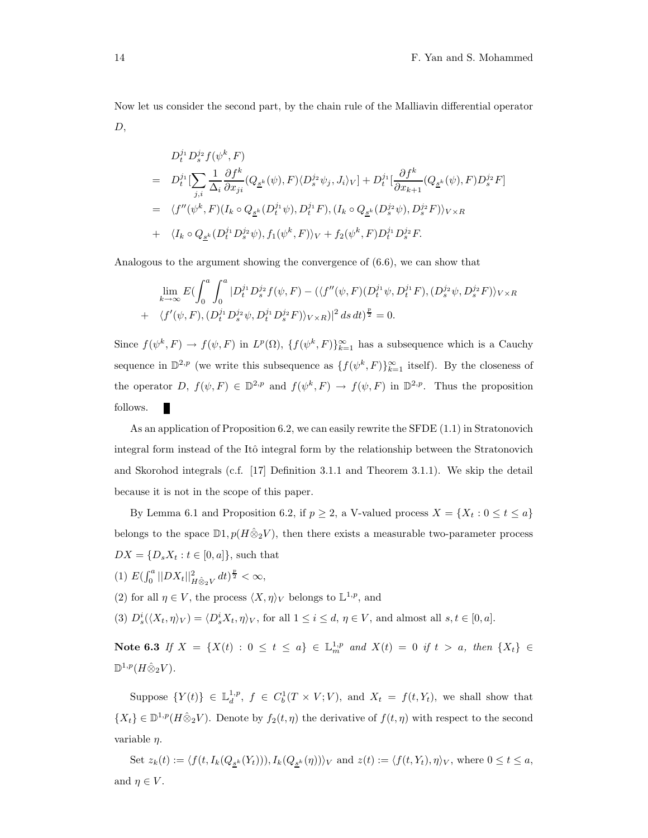Now let us consider the second part, by the chain rule of the Malliavin differential operator  $D,$ 

$$
D_t^{j_1} D_s^{j_2} f(\psi^k, F)
$$
  
= 
$$
D_t^{j_1} [\sum_{j,i} \frac{1}{\Delta_i} \frac{\partial f^k}{\partial x_{ji}} (Q_{\underline{s}^k}(\psi), F) \langle D_s^{j_2} \psi_j, J_i \rangle_V] + D_t^{j_1} [\frac{\partial f^k}{\partial x_{k+1}} (Q_{\underline{s}^k}(\psi), F) D_s^{j_2} F]
$$
  
= 
$$
\langle f''(\psi^k, F) (I_k \circ Q_{\underline{s}^k} (D_t^{j_1} \psi), D_t^{j_1} F), (I_k \circ Q_{\underline{s}^k} (D_s^{j_2} \psi), D_s^{j_2} F) \rangle_{V \times R}
$$
  
+ 
$$
\langle I_k \circ Q_{\underline{s}^k} (D_t^{j_1} D_s^{j_2} \psi), f_1(\psi^k, F) \rangle_V + f_2(\psi^k, F) D_t^{j_1} D_s^{j_2} F.
$$

Analogous to the argument showing the convergence of (6.6), we can show that

$$
\lim_{k \to \infty} E \left( \int_0^a \int_0^a |D_t^{j_1} D_s^{j_2} f(\psi, F) - (\langle f''(\psi, F)(D_t^{j_1} \psi, D_t^{j_1} F), (D_s^{j_2} \psi, D_s^{j_2} F) \rangle_{V \times R} + \langle f'(\psi, F), (D_t^{j_1} D_s^{j_2} \psi, D_t^{j_1} D_s^{j_2} F) \rangle_{V \times R} \right)^2 ds dt \big) \frac{1}{2} = 0.
$$

Since  $f(\psi^k, F) \to f(\psi, F)$  in  $L^p(\Omega)$ ,  $\{f(\psi^k, F)\}_{k=1}^{\infty}$  has a subsequence which is a Cauchy sequence in  $\mathbb{D}^{2,p}$  (we write this subsequence as  $\{f(\psi^k, F)\}_{k=1}^{\infty}$  itself). By the closeness of the operator  $D, f(\psi, F) \in \mathbb{D}^{2,p}$  and  $f(\psi^k, F) \to f(\psi, F)$  in  $\mathbb{D}^{2,p}$ . Thus the proposition follows.

As an application of Proposition 6.2, we can easily rewrite the SFDE (1.1) in Stratonovich integral form instead of the Itô integral form by the relationship between the Stratonovich and Skorohod integrals (c.f. [17] Definition 3.1.1 and Theorem 3.1.1). We skip the detail because it is not in the scope of this paper.

By Lemma 6.1 and Proposition 6.2, if  $p \ge 2$ , a V-valued process  $X = \{X_t : 0 \le t \le a\}$ belongs to the space  $\mathbb{D}1, p(H\hat{\otimes}_2 V)$ , then there exists a measurable two-parameter process  $DX = \{D_s X_t : t \in [0, a]\},$  such that

- (1)  $E(\int_0^a ||DX_t||^2_{H \hat{\otimes}_2 V} dt)^{\frac{p}{2}} < \infty$ ,
- (2) for all  $\eta \in V$ , the process  $\langle X, \eta \rangle_V$  belongs to  $\mathbb{L}^{1,p}$ , and
- (3)  $D_s^i(\langle X_t, \eta \rangle_V) = \langle D_s^i X_t, \eta \rangle_V$ , for all  $1 \leq i \leq d, \eta \in V$ , and almost all  $s, t \in [0, a]$ .

Note 6.3 If  $X = \{X(t) : 0 \le t \le a\} \in \mathbb{L}_{m}^{1,p}$  and  $X(t) = 0$  if  $t > a$ , then  $\{X_t\} \in$  $\mathbb{D}^{1,p}(H \hat\otimes_2 V).$ 

Suppose  $\{Y(t)\}\in \mathbb{L}_d^{1,p},\ f\in C_b^1(T\times V;V),\ \text{and}\ X_t\ =\ f(t,Y_t),\ \text{we shall show that}$  $\{X_t\} \in \mathbb{D}^{1,p}(H \hat{\otimes}_2 V)$ . Denote by  $f_2(t, \eta)$  the derivative of  $f(t, \eta)$  with respect to the second variable  $\eta$ .

Set  $z_k(t) := \langle f(t, I_k(Q_{\underline{s}^k}(Y_t))), I_k(Q_{\underline{s}^k}(\eta)) \rangle_V$  and  $z(t) := \langle f(t, Y_t), \eta \rangle_V$ , where  $0 \le t \le a$ , and  $\eta \in V$ .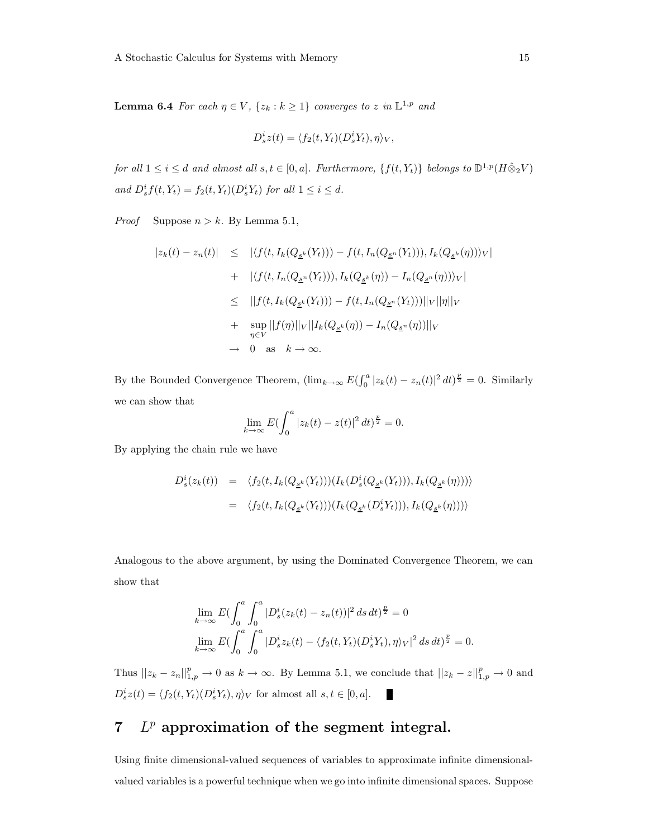**Lemma 6.4** For each  $\eta \in V$ ,  $\{z_k : k \geq 1\}$  converges to z in  $\mathbb{L}^{1,p}$  and

$$
D_s^i z(t) = \langle f_2(t, Y_t)(D_s^i Y_t), \eta \rangle_V,
$$

for all  $1 \leq i \leq d$  and almost all  $s, t \in [0, a]$ . Furthermore,  $\{f(t, Y_t)\}$  belongs to  $\mathbb{D}^{1,p}(H \hat{\otimes}_2 V)$ and  $D_s^i f(t, Y_t) = f_2(t, Y_t)(D_s^i Y_t)$  for all  $1 \leq i \leq d$ .

*Proof* Suppose  $n > k$ . By Lemma 5.1,

$$
|z_{k}(t) - z_{n}(t)| \leq |\langle f(t, I_{k}(Q_{\underline{s}^{k}}(Y_{t}))) - f(t, I_{n}(Q_{\underline{s}^{n}}(Y_{t}))), I_{k}(Q_{\underline{s}^{k}}(\eta))\rangle_{V}|
$$
  
+ 
$$
|\langle f(t, I_{n}(Q_{\underline{s}^{n}}(Y_{t}))), I_{k}(Q_{\underline{s}^{k}}(\eta)) - I_{n}(Q_{\underline{s}^{n}}(\eta))\rangle_{V}|
$$
  

$$
\leq ||f(t, I_{k}(Q_{\underline{s}^{k}}(Y_{t}))) - f(t, I_{n}(Q_{\underline{s}^{n}}(Y_{t})))||_{V}||\eta||_{V}
$$
  
+ 
$$
\sup_{\eta \in V} ||f(\eta)||_{V}||I_{k}(Q_{\underline{s}^{k}}(\eta)) - I_{n}(Q_{\underline{s}^{n}}(\eta))||_{V}
$$
  

$$
\to 0 \text{ as } k \to \infty.
$$

By the Bounded Convergence Theorem,  $(\lim_{k\to\infty} E(\int_0^a |z_k(t) - z_n(t)|^2 dt)^{\frac{p}{2}} = 0$ . Similarly we can show that

$$
\lim_{k \to \infty} E \left( \int_0^a |z_k(t) - z(t)|^2 \, dt \right)^{\frac{p}{2}} = 0.
$$

By applying the chain rule we have

$$
D_s^i(z_k(t)) = \langle f_2(t, I_k(Q_{\underline{s}^k}(Y_t)))(I_k(D_s^i(Q_{\underline{s}^k}(Y_t))), I_k(Q_{\underline{s}^k}(\eta))) \rangle
$$
  

$$
= \langle f_2(t, I_k(Q_{\underline{s}^k}(Y_t)))(I_k(Q_{\underline{s}^k}(D_s^i Y_t))), I_k(Q_{\underline{s}^k}(\eta))) \rangle
$$

Analogous to the above argument, by using the Dominated Convergence Theorem, we can show that

$$
\lim_{k \to \infty} E \left( \int_0^a \int_0^a |D_s^i(z_k(t) - z_n(t))|^2 ds dt \right) \frac{p}{2} = 0
$$
\n
$$
\lim_{k \to \infty} E \left( \int_0^a \int_0^a |D_s^i z_k(t) - \langle f_2(t, Y_t)(D_s^i Y_t), \eta \rangle_V|^2 ds dt \right) \frac{p}{2} = 0.
$$

Thus  $||z_k - z_n||_{1,p}^p \to 0$  as  $k \to \infty$ . By Lemma 5.1, we conclude that  $||z_k - z||_{1,p}^p \to 0$  and  $D_s^i z(t) = \langle f_2(t, Y_t)(D_s^i Y_t), \eta \rangle_V$  for almost all  $s, t \in [0, a]$ . ×

# $7$   $L^p$  approximation of the segment integral.

Using finite dimensional-valued sequences of variables to approximate infinite dimensionalvalued variables is a powerful technique when we go into infinite dimensional spaces. Suppose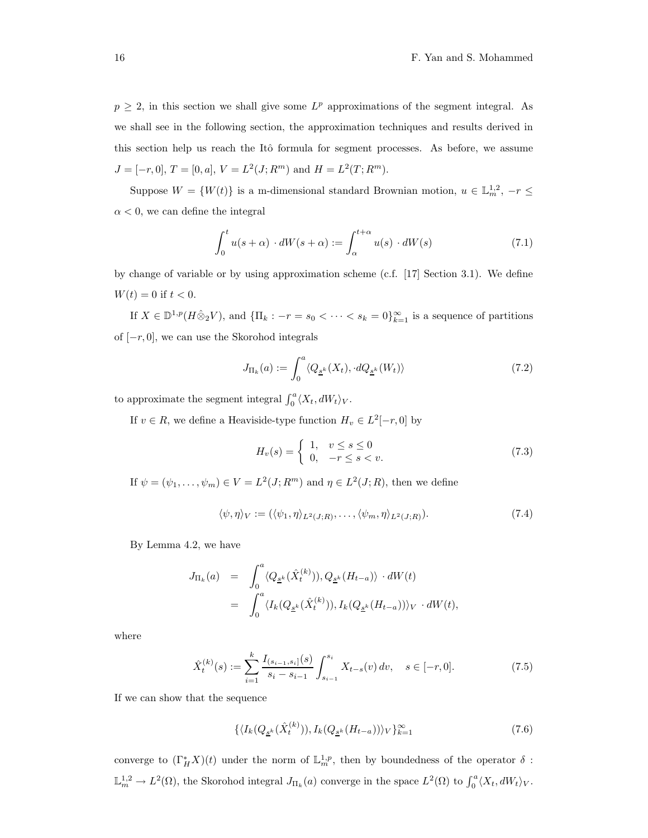$p \geq 2$ , in this section we shall give some  $L^p$  approximations of the segment integral. As we shall see in the following section, the approximation techniques and results derived in this section help us reach the Itô formula for segment processes. As before, we assume  $J = [-r, 0], T = [0, a], V = L<sup>2</sup>(J; R<sup>m</sup>)$  and  $H = L<sup>2</sup>(T; R<sup>m</sup>).$ 

Suppose  $W = \{W(t)\}\$ is a m-dimensional standard Brownian motion,  $u \in \mathbb{L}_m^{1,2}$ ,  $-r \leq$  $\alpha$  < 0, we can define the integral

$$
\int_0^t u(s+\alpha) \cdot dW(s+\alpha) := \int_\alpha^{t+\alpha} u(s) \cdot dW(s) \tag{7.1}
$$

by change of variable or by using approximation scheme (c.f. [17] Section 3.1). We define  $W(t) = 0$  if  $t < 0$ .

If  $X \in \mathbb{D}^{1,p}(H \hat{\otimes}_2 V)$ , and  $\{\Pi_k : -r = s_0 < \cdots < s_k = 0\}_{k=1}^{\infty}$  is a sequence of partitions of  $[-r, 0]$ , we can use the Skorohod integrals

$$
J_{\Pi_k}(a) := \int_0^a \langle Q_{\underline{s}^k}(X_t), \cdot dQ_{\underline{s}^k}(W_t) \rangle \tag{7.2}
$$

to approximate the segment integral  $\int_0^a \langle X_t, dW_t \rangle_V$ .

If  $v \in R$ , we define a Heaviside-type function  $H_v \in L^2[-r, 0]$  by

$$
H_v(s) = \begin{cases} 1, & v \le s \le 0 \\ 0, & -r \le s < v. \end{cases}
$$
 (7.3)

If  $\psi = (\psi_1, \dots, \psi_m) \in V = L^2(J; R^m)$  and  $\eta \in L^2(J; R)$ , then we define

$$
\langle \psi, \eta \rangle_V := (\langle \psi_1, \eta \rangle_{L^2(J;R)}, \dots, \langle \psi_m, \eta \rangle_{L^2(J;R)}).
$$
\n(7.4)

By Lemma 4.2, we have

$$
J_{\Pi_k}(a) = \int_0^a \langle Q_{\underline{s}^k}(\hat{X}_t^{(k)})), Q_{\underline{s}^k}(H_{t-a}) \rangle \cdot dW(t)
$$
  
= 
$$
\int_0^a \langle I_k(Q_{\underline{s}^k}(\hat{X}_t^{(k)})), I_k(Q_{\underline{s}^k}(H_{t-a})) \rangle_V \cdot dW(t),
$$

where

$$
\hat{X}_t^{(k)}(s) := \sum_{i=1}^k \frac{I_{(s_{i-1}, s_i]}(s)}{s_i - s_{i-1}} \int_{s_{i-1}}^{s_i} X_{t-s}(v) dv, \quad s \in [-r, 0].
$$
\n(7.5)

If we can show that the sequence

$$
\{ \langle I_k(Q_{\underline{s}^k}(\hat{X}_t^{(k)})), I_k(Q_{\underline{s}^k}(H_{t-a})) \rangle_V \}_{k=1}^{\infty} \tag{7.6}
$$

converge to  $(\Gamma_H^* X)(t)$  under the norm of  $\mathbb{L}_m^{1,p}$ , then by boundedness of the operator  $\delta$ :  $\mathbb{L}_m^{1,2} \to L^2(\Omega)$ , the Skorohod integral  $J_{\Pi_k}(a)$  converge in the space  $L^2(\Omega)$  to  $\int_0^a \langle X_t, dW_t \rangle_V$ .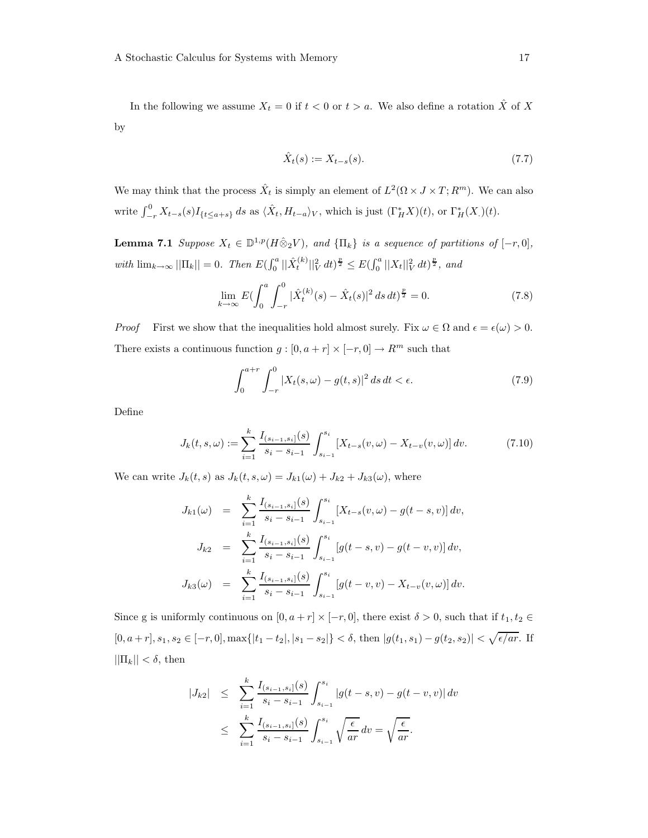In the following we assume  $X_t = 0$  if  $t < 0$  or  $t > a$ . We also define a rotation  $\hat{X}$  of X by

$$
\hat{X}_t(s) := X_{t-s}(s). \tag{7.7}
$$

We may think that the process  $\hat{X}_t$  is simply an element of  $L^2(\Omega \times J \times T; R^m)$ . We can also write  $\int_{-r}^{0} X_{t-s}(s)I_{\{t\leq a+s\}} ds$  as  $\langle \hat{X}_t, H_{t-a} \rangle_V$ , which is just  $(\Gamma_H^* X)(t)$ , or  $\Gamma_H^*(X)(t)$ .

**Lemma 7.1** Suppose  $X_t \in \mathbb{D}^{1,p}(H \hat{\otimes}_2 V)$ , and  $\{\Pi_k\}$  is a sequence of partitions of  $[-r, 0]$ , with  $\lim_{k\to\infty}$   $||\Pi_k|| = 0$ . Then  $E(\int_0^a ||\hat{X}_t^{(k)}||_V^2 dt)^{\frac{p}{2}} \leq E(\int_0^a ||X_t||_V^2 dt)^{\frac{p}{2}}$ , and

$$
\lim_{k \to \infty} E \left( \int_0^a \int_{-r}^0 |\hat{X}_t^{(k)}(s) - \hat{X}_t(s)|^2 ds \, dt \right)^{\frac{p}{2}} = 0. \tag{7.8}
$$

*Proof* First we show that the inequalities hold almost surely. Fix  $\omega \in \Omega$  and  $\epsilon = \epsilon(\omega) > 0$ . There exists a continuous function  $g:[0,a+r]\times [-r,0]\rightarrow R^m$  such that

$$
\int_0^{a+r} \int_{-r}^0 |X_t(s,\omega) - g(t,s)|^2 \, ds \, dt < \epsilon. \tag{7.9}
$$

Define

$$
J_k(t, s, \omega) := \sum_{i=1}^k \frac{I_{(s_{i-1}, s_i]}(s)}{s_i - s_{i-1}} \int_{s_{i-1}}^{s_i} \left[ X_{t-s}(v, \omega) - X_{t-v}(v, \omega) \right] dv.
$$
 (7.10)

We can write  $J_k(t, s)$  as  $J_k(t, s, \omega) = J_{k1}(\omega) + J_{k2} + J_{k3}(\omega)$ , where

$$
J_{k1}(\omega) = \sum_{i=1}^{k} \frac{I_{(s_{i-1}, s_i]}(s)}{s_i - s_{i-1}} \int_{s_{i-1}}^{s_i} \left[ X_{t-s}(v, \omega) - g(t-s, v) \right] dv,
$$
  
\n
$$
J_{k2} = \sum_{i=1}^{k} \frac{I_{(s_{i-1}, s_i]}(s)}{s_i - s_{i-1}} \int_{s_{i-1}}^{s_i} \left[ g(t-s, v) - g(t-v, v) \right] dv,
$$
  
\n
$$
J_{k3}(\omega) = \sum_{i=1}^{k} \frac{I_{(s_{i-1}, s_i]}(s)}{s_i - s_{i-1}} \int_{s_{i-1}}^{s_i} \left[ g(t-v, v) - X_{t-v}(v, \omega) \right] dv.
$$

Since g is uniformly continuous on  $[0, a + r] \times [-r, 0]$ , there exist  $\delta > 0$ , such that if  $t_1, t_2 \in$  $[0, a+r], s_1, s_2 \in [-r, 0], \max\{|t_1-t_2|, |s_1-s_2|\} < \delta$ , then  $|g(t_1, s_1) - g(t_2, s_2)| < \sqrt{\epsilon / ar}$ . If  $||\Pi_k|| < \delta,$  then

$$
\begin{array}{rcl} |J_{k2}| & \leq & \sum_{i=1}^{k} \frac{I_{(s_{i-1}, s_i]}(s)}{s_i - s_{i-1}} \int_{s_{i-1}}^{s_i} \left| g(t - s, v) - g(t - v, v) \right| dv \\ \\ & \leq & \sum_{i=1}^{k} \frac{I_{(s_{i-1}, s_i]}(s)}{s_i - s_{i-1}} \int_{s_{i-1}}^{s_i} \sqrt{\frac{\epsilon}{ar}} \, dv = \sqrt{\frac{\epsilon}{ar}}. \end{array}
$$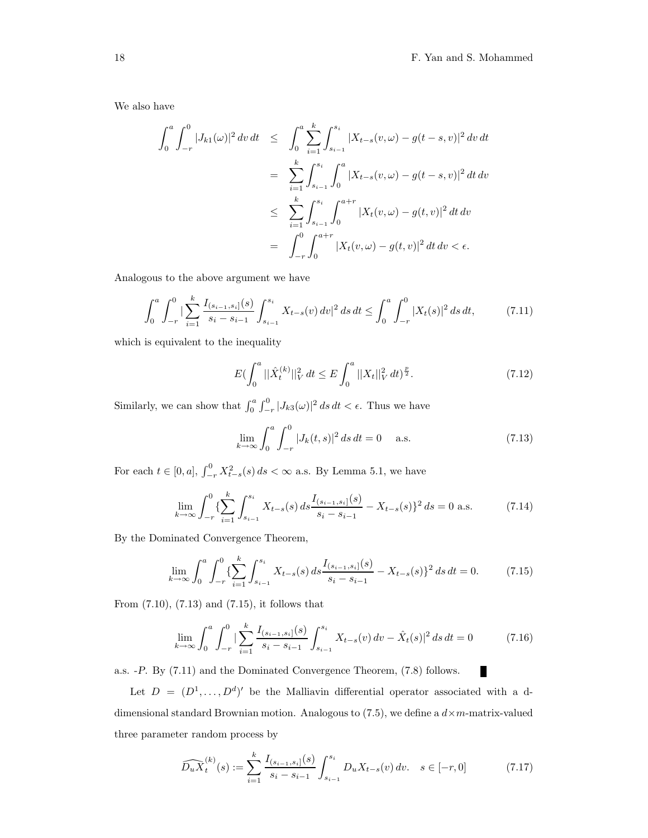П

We also have

$$
\int_{0}^{a} \int_{-r}^{0} |J_{k1}(\omega)|^{2} dv dt \leq \int_{0}^{a} \sum_{i=1}^{k} \int_{s_{i-1}}^{s_{i}} |X_{t-s}(v, \omega) - g(t-s, v)|^{2} dv dt
$$
  

$$
= \sum_{i=1}^{k} \int_{s_{i-1}}^{s_{i}} \int_{0}^{a} |X_{t-s}(v, \omega) - g(t-s, v)|^{2} dt dv
$$
  

$$
\leq \sum_{i=1}^{k} \int_{s_{i-1}}^{s_{i}} \int_{0}^{a+r} |X_{t}(v, \omega) - g(t, v)|^{2} dt dv
$$
  

$$
= \int_{-r}^{0} \int_{0}^{a+r} |X_{t}(v, \omega) - g(t, v)|^{2} dt dv < \epsilon.
$$

Analogous to the above argument we have

$$
\int_0^a \int_{-r}^0 \left| \sum_{i=1}^k \frac{I_{(s_{i-1}, s_i]}(s)}{s_i - s_{i-1}} \int_{s_{i-1}}^{s_i} X_{t-s}(v) \, dv \right|^2 ds \, dt \le \int_0^a \int_{-r}^0 |X_t(s)|^2 \, ds \, dt,\tag{7.11}
$$

which is equivalent to the inequality

$$
E\left(\int_0^a \|\hat{X}_t^{(k)}\|_V^2 dt \le E \int_0^a \|X_t\|_V^2 dt\right)^{\frac{p}{2}}.
$$
 (7.12)

Similarly, we can show that  $\int_0^a \int_{-r}^0 |J_{k3}(\omega)|^2 ds dt < \epsilon$ . Thus we have

$$
\lim_{k \to \infty} \int_0^a \int_{-r}^0 |J_k(t,s)|^2 \, ds \, dt = 0 \quad \text{a.s.} \tag{7.13}
$$

For each  $t \in [0, a], \int_{-r}^{0} X_{t-s}^2(s) ds < \infty$  a.s. By Lemma 5.1, we have

$$
\lim_{k \to \infty} \int_{-r}^{0} \left\{ \sum_{i=1}^{k} \int_{s_{i-1}}^{s_i} X_{t-s}(s) \, ds \frac{I_{(s_{i-1}, s_i]}(s)}{s_i - s_{i-1}} - X_{t-s}(s) \right\}^2 ds = 0 \text{ a.s.}
$$
\n(7.14)

By the Dominated Convergence Theorem,

$$
\lim_{k \to \infty} \int_0^a \int_{-r}^0 \left\{ \sum_{i=1}^k \int_{s_{i-1}}^{s_i} X_{t-s}(s) \, ds \frac{I_{(s_{i-1}, s_i]}(s)}{s_i - s_{i-1}} - X_{t-s}(s) \right\}^2 \, ds \, dt = 0. \tag{7.15}
$$

From (7.10), (7.13) and (7.15), it follows that

$$
\lim_{k \to \infty} \int_0^a \int_{-r}^0 \left| \sum_{i=1}^k \frac{I_{(s_{i-1}, s_i]}(s)}{s_i - s_{i-1}} \int_{s_{i-1}}^{s_i} X_{t-s}(v) \, dv - \hat{X}_t(s) \right|^2 ds \, dt = 0 \tag{7.16}
$$

a.s. -P. By (7.11) and the Dominated Convergence Theorem, (7.8) follows.

Let  $D = (D^1, \ldots, D^d)'$  be the Malliavin differential operator associated with a ddimensional standard Brownian motion. Analogous to  $(7.5)$ , we define a  $d \times m$ -matrix-valued three parameter random process by

$$
\widehat{D_u X}_t^{(k)}(s) := \sum_{i=1}^k \frac{I_{(s_{i-1}, s_i]}(s)}{s_i - s_{i-1}} \int_{s_{i-1}}^{s_i} D_u X_{t-s}(v) \, dv. \quad s \in [-r, 0]
$$
\n(7.17)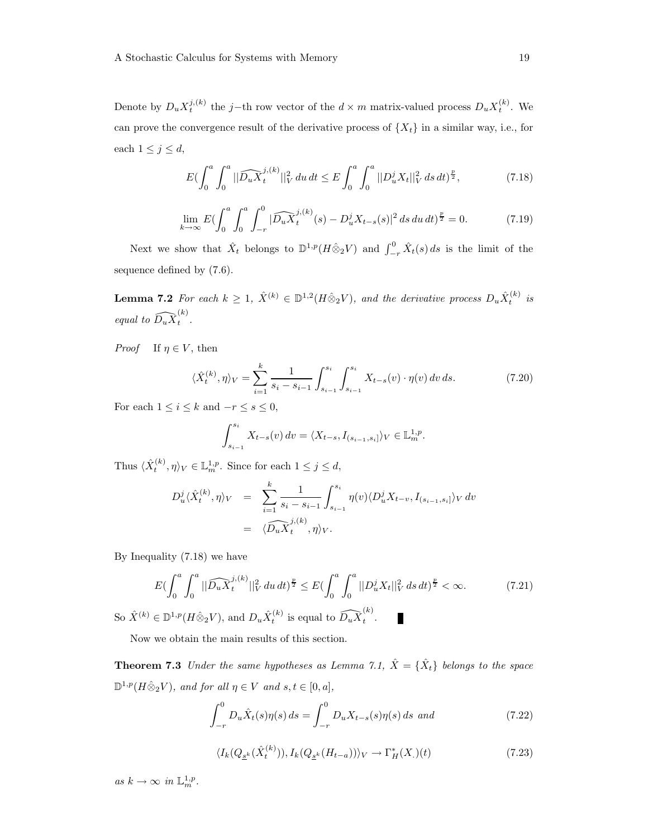Denote by  $D_u X_t^{j,(k)}$  the j-th row vector of the  $d \times m$  matrix-valued process  $D_u X_t^{(k)}$ . We can prove the convergence result of the derivative process of  $\{X_t\}$  in a similar way, i.e., for each  $1 \leq j \leq d$ ,

$$
E\left(\int_0^a \int_0^a \|\widehat{D_u X}_t^{j,(k)}\|_V^2 du\,dt\leq E\int_0^a \int_0^a \|D_u^j X_t\|_V^2 ds\,dt\right)^{\frac{p}{2}},\tag{7.18}
$$

$$
\lim_{k \to \infty} E \left( \int_0^a \int_0^a \int_{-r}^0 |\widehat{D_u X}_t^{j,(k)}(s) - D_u^j X_{t-s}(s)|^2 ds du dt \right) \frac{p}{2} = 0. \tag{7.19}
$$

Next we show that  $\hat{X}_t$  belongs to  $\mathbb{D}^{1,p}(H \hat{\otimes}_2 V)$  and  $\int_{-r}^0 \hat{X}_t(s) ds$  is the limit of the sequence defined by (7.6).

**Lemma 7.2** For each  $k \geq 1$ ,  $\hat{X}^{(k)} \in \mathbb{D}^{1,2}(H \hat{\otimes}_2 V)$ , and the derivative process  $D_u \hat{X}_t^{(k)}$  is equal to  $\widehat{D_u X}_t^{(k)}$  $\hat{t}$ .

*Proof* If  $\eta \in V$ , then

$$
\langle \hat{X}_t^{(k)}, \eta \rangle_V = \sum_{i=1}^k \frac{1}{s_i - s_{i-1}} \int_{s_{i-1}}^{s_i} \int_{s_{i-1}}^{s_i} X_{t-s}(v) \cdot \eta(v) \, dv \, ds. \tag{7.20}
$$

For each  $1 \leq i \leq k$  and  $-r \leq s \leq 0$ ,

$$
\int_{s_{i-1}}^{s_i} X_{t-s}(v) dv = \langle X_{t-s}, I_{(s_{i-1}, s_i]} \rangle_V \in \mathbb{L}_m^{1,p}.
$$

Thus  $\langle \hat{X}_t^{(k)}, \eta \rangle_V \in \mathbb{L}_m^{1,p}$ . Since for each  $1 \leq j \leq d$ ,

$$
D_u^j \langle \hat{X}_t^{(k)}, \eta \rangle_V = \sum_{i=1}^k \frac{1}{s_i - s_{i-1}} \int_{s_{i-1}}^{s_i} \eta(v) \langle D_u^j X_{t-v}, I_{(s_{i-1}, s_i]} \rangle_V dv
$$
  
=  $\langle \widehat{D_u X}_t^{j,(k)}, \eta \rangle_V.$ 

By Inequality (7.18) we have

$$
E\left(\int_0^a \int_0^a \|\widehat{D_u X}_t^{j,(k)}\|_V^2 du \, dt\right)^{\frac{p}{2}} \le E\left(\int_0^a \int_0^a \|D_u^j X_t\|_V^2 ds \, dt\right)^{\frac{p}{2}} < \infty. \tag{7.21}
$$

So  $\hat{X}^{(k)} \in \mathbb{D}^{1,p}(H \hat{\otimes}_2 V)$ , and  $D_u \hat{X}_t^{(k)}$  is equal to  $\widehat{D_u X}_t^{(k)}$  $\hat{t}$ . П

Now we obtain the main results of this section.

**Theorem 7.3** Under the same hypotheses as Lemma 7.1,  $\hat{X} = {\hat{X}_t}$  belongs to the space  $\mathbb{D}^{1,p}(H\hat{\otimes}_2 V)$ , and for all  $\eta \in V$  and  $s,t \in [0,a],$ 

$$
\int_{-r}^{0} D_{u} \hat{X}_{t}(s) \eta(s) ds = \int_{-r}^{0} D_{u} X_{t-s}(s) \eta(s) ds \text{ and}
$$
 (7.22)

$$
\langle I_k(Q_{\underline{s}^k}(\hat{X}_t^{(k)})), I_k(Q_{\underline{s}^k}(H_{t-a})) \rangle_V \to \Gamma_H^*(X_\cdot)(t) \tag{7.23}
$$

as  $k \to \infty$  in  $\mathbb{L}_m^{1,p}$ .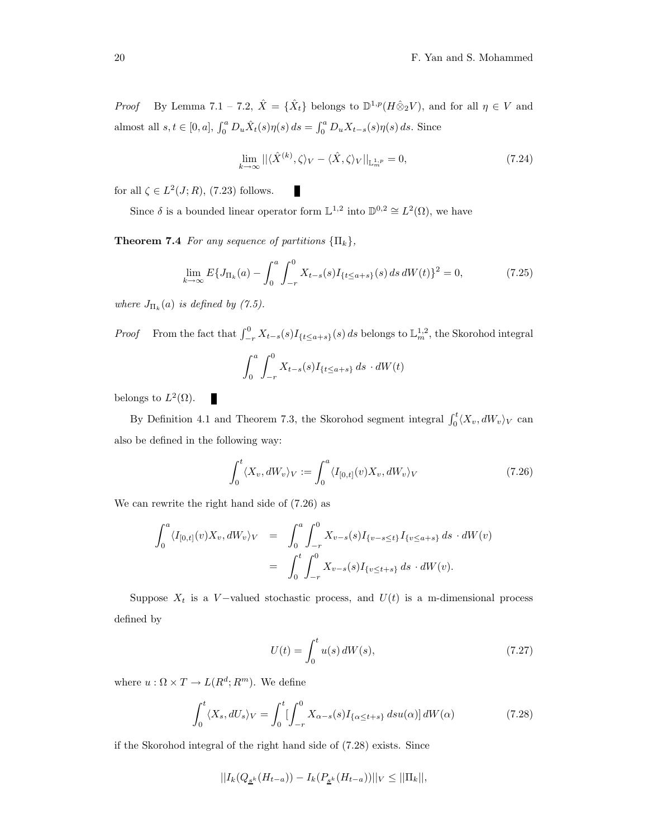*Proof* By Lemma 7.1 – 7.2,  $\hat{X} = {\hat{X}_t}$  belongs to  $\mathbb{D}^{1,p}(H \hat{\otimes}_2 V)$ , and for all  $\eta \in V$  and almost all  $s, t \in [0, a], \int_0^a D_u \hat{X}_t(s) \eta(s) ds = \int_0^a D_u X_{t-s}(s) \eta(s) ds$ . Since

$$
\lim_{k \to \infty} ||\langle \hat{X}^{(k)}, \zeta \rangle_V - \langle \hat{X}, \zeta \rangle_V||_{\mathbb{L}_m^{1,p}} = 0,
$$
\n(7.24)

for all  $\zeta \in L^2(J;R)$ , (7.23) follows.

Since  $\delta$  is a bounded linear operator form  $\mathbb{L}^{1,2}$  into  $\mathbb{D}^{0,2} \cong L^2(\Omega)$ , we have

П

**Theorem 7.4** For any sequence of partitions  $\{\Pi_k\},\$ 

$$
\lim_{k \to \infty} E\{J_{\Pi_k}(a) - \int_0^a \int_{-r}^0 X_{t-s}(s)I_{\{t \le a+s\}}(s) \, ds \, dW(t)\}^2 = 0,\tag{7.25}
$$

where  $J_{\Pi_k}(a)$  is defined by (7.5).

*Proof* From the fact that  $\int_{-r}^{0} X_{t-s}(s)I_{\{t\leq a+s\}}(s) ds$  belongs to  $\mathbb{L}_m^{1,2}$ , the Skorohod integral

$$
\int_0^a \int_{-r}^0 X_{t-s}(s) I_{\{t \le a+s\}} ds \cdot dW(t)
$$

belongs to  $L^2(\Omega)$ .

By Definition 4.1 and Theorem 7.3, the Skorohod segment integral  $\int_0^t \langle X_v, dW_v \rangle_V$  can also be defined in the following way:

$$
\int_0^t \langle X_v, dW_v \rangle_V := \int_0^a \langle I_{[0,t]}(v)X_v, dW_v \rangle_V \tag{7.26}
$$

We can rewrite the right hand side of (7.26) as

П

$$
\int_0^a \langle I_{[0,t]}(v)X_v, dW_v \rangle_V = \int_0^a \int_{-r}^0 X_{v-s}(s)I_{\{v-s \le t\}}I_{\{v \le a+s\}} ds \cdot dW(v)
$$
  
= 
$$
\int_0^t \int_{-r}^0 X_{v-s}(s)I_{\{v \le t+s\}} ds \cdot dW(v).
$$

Suppose  $X_t$  is a V-valued stochastic process, and  $U(t)$  is a m-dimensional process defined by

$$
U(t) = \int_0^t u(s) \, dW(s),\tag{7.27}
$$

where  $u : \Omega \times T \to L(R^d; R^m)$ . We define

$$
\int_0^t \langle X_s, dU_s \rangle_V = \int_0^t \left[ \int_{-r}^0 X_{\alpha-s}(s) I_{\{\alpha \le t+s\}} \, ds u(\alpha) \right] dW(\alpha) \tag{7.28}
$$

if the Skorohod integral of the right hand side of (7.28) exists. Since

$$
||I_{k}(Q_{\underline{s}^{k}}(H_{t-a})) - I_{k}(P_{\underline{s}^{k}}(H_{t-a}))||_{V} \leq ||\Pi_{k}||,
$$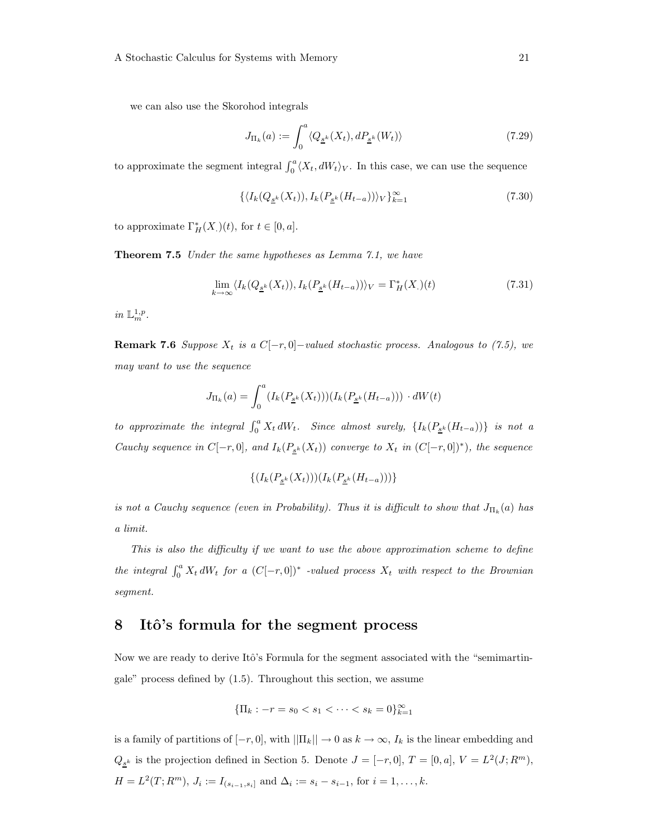we can also use the Skorohod integrals

$$
J_{\Pi_k}(a) := \int_0^a \langle Q_{\underline{s}^k}(X_t), dP_{\underline{s}^k}(W_t) \rangle \tag{7.29}
$$

to approximate the segment integral  $\int_0^a \langle X_t, dW_t \rangle_V$ . In this case, we can use the sequence

$$
\{ \langle I_k(Q_{\underline{s}^k}(X_t)), I_k(P_{\underline{s}^k}(H_{t-a})) \rangle_V \}_{k=1}^{\infty}
$$
 (7.30)

to approximate  $\Gamma_H^*(X_\cdot)(t)$ , for  $t \in [0, a]$ .

Theorem 7.5 Under the same hypotheses as Lemma 7.1, we have

$$
\lim_{k \to \infty} \langle I_k(Q_{\underline{s}^k}(X_t)), I_k(P_{\underline{s}^k}(H_{t-a})) \rangle_V = \Gamma_H^*(X_\cdot)(t) \tag{7.31}
$$

in  $\mathbb{L}_m^{1,p}$ .

**Remark 7.6** Suppose  $X_t$  is a  $C[-r, 0]$ -valued stochastic process. Analogous to (7.5), we may want to use the sequence

$$
J_{\Pi_k}(a) = \int_0^a (I_k(P_{\underline{s}^k}(X_t)))(I_k(P_{\underline{s}^k}(H_{t-a}))) \cdot dW(t)
$$

to approximate the integral  $\int_0^a X_t dW_t$ . Since almost surely,  $\{I_k(P_{\underline{s}^k}(H_{t-a}))\}$  is not a Cauchy sequence in  $C[-r,0]$ , and  $I_k(P_{\underline{s}^k}(X_t))$  converge to  $X_t$  in  $(C[-r,0])^*$ ), the sequence

$$
\{ (I_k(P_{\underline{s}^k}(X_t)))(I_k(P_{\underline{s}^k}(H_{t-a})))\}
$$

is not a Cauchy sequence (even in Probability). Thus it is difficult to show that  $J_{\Pi_k}(a)$  has a limit.

This is also the difficulty if we want to use the above approximation scheme to define the integral  $\int_0^a X_t dW_t$  for a  $(C[-r, 0])^*$  -valued process  $X_t$  with respect to the Brownian segment.

### 8 Itô's formula for the segment process

Now we are ready to derive Itô's Formula for the segment associated with the "semimartingale" process defined by (1.5). Throughout this section, we assume

$$
\{\Pi_k : -r = s_0 < s_1 < \dots < s_k = 0\}_{k=1}^\infty
$$

is a family of partitions of  $[-r, 0]$ , with  $||\Pi_k|| \to 0$  as  $k \to \infty$ ,  $I_k$  is the linear embedding and  $Q_{\underline{s}^k}$  is the projection defined in Section 5. Denote  $J = [-r, 0], T = [0, a], V = L^2(J; R^m),$  $H = L^2(T; R^m)$ ,  $J_i := I_{(s_{i-1}, s_i]}$  and  $\Delta_i := s_i - s_{i-1}$ , for  $i = 1, ..., k$ .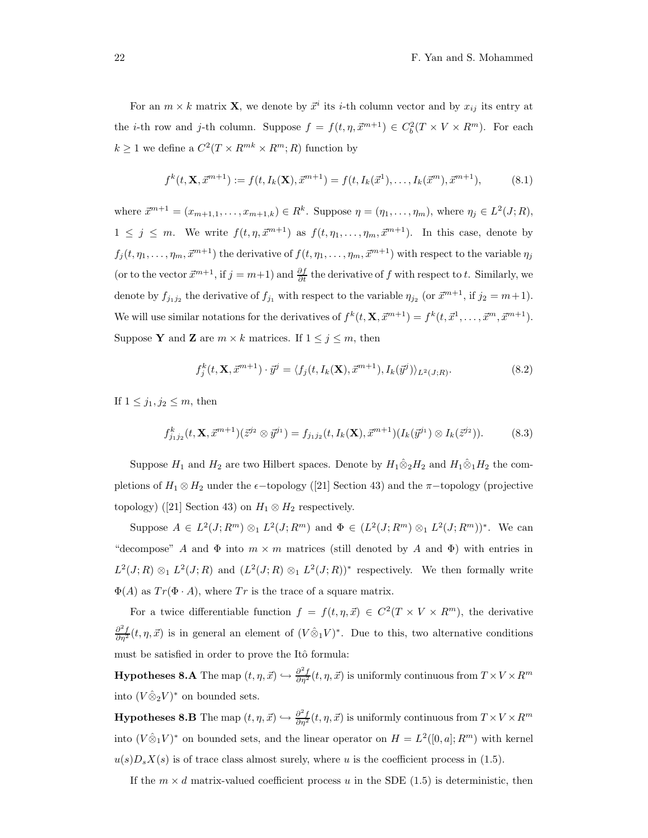For an  $m \times k$  matrix **X**, we denote by  $\vec{x}^i$  its *i*-th column vector and by  $x_{ij}$  its entry at the *i*-th row and *j*-th column. Suppose  $f = f(t, \eta, \vec{x}^{m+1}) \in C_b^2(T \times V \times R^m)$ . For each  $k \geq 1$  we define a  $C^2(T \times R^{mk} \times R^m; R)$  function by

$$
f^{k}(t, \mathbf{X}, \vec{x}^{m+1}) := f(t, I_{k}(\mathbf{X}), \vec{x}^{m+1}) = f(t, I_{k}(\vec{x}^{1}), \dots, I_{k}(\vec{x}^{m}), \vec{x}^{m+1}),
$$
(8.1)

where  $\vec{x}^{m+1} = (x_{m+1,1}, \ldots, x_{m+1,k}) \in R^k$ . Suppose  $\eta = (\eta_1, \ldots, \eta_m)$ , where  $\eta_j \in L^2(J; R)$ ,  $1 \leq j \leq m$ . We write  $f(t, \eta, \vec{x}^{m+1})$  as  $f(t, \eta_1, \ldots, \eta_m, \vec{x}^{m+1})$ . In this case, denote by  $f_j(t, \eta_1, \ldots, \eta_m, \vec{x}^{m+1})$  the derivative of  $f(t, \eta_1, \ldots, \eta_m, \vec{x}^{m+1})$  with respect to the variable  $\eta_j$ (or to the vector  $\vec{x}^{m+1}$ , if  $j = m+1$ ) and  $\frac{\partial f}{\partial t}$  the derivative of f with respect to t. Similarly, we denote by  $f_{j_1j_2}$  the derivative of  $f_{j_1}$  with respect to the variable  $\eta_{j_2}$  (or  $\vec{x}^{m+1}$ , if  $j_2 = m+1$ ). We will use similar notations for the derivatives of  $f^k(t, \mathbf{X}, \vec{x}^{m+1}) = f^k(t, \vec{x}^1, \dots, \vec{x}^m, \vec{x}^{m+1}).$ Suppose Y and Z are  $m \times k$  matrices. If  $1 \leq j \leq m$ , then

$$
f_j^k(t, \mathbf{X}, \vec{x}^{m+1}) \cdot \vec{y}^j = \langle f_j(t, I_k(\mathbf{X}), \vec{x}^{m+1}), I_k(\vec{y}^j) \rangle_{L^2(J;R)}.
$$
\n(8.2)

If  $1 \leq j_1, j_2 \leq m$ , then

$$
f_{j_1j_2}^k(t, \mathbf{X}, \vec{x}^{m+1})(\vec{z}^{j_2} \otimes \vec{y}^{j_1}) = f_{j_1j_2}(t, I_k(\mathbf{X}), \vec{x}^{m+1})(I_k(\vec{y}^{j_1}) \otimes I_k(\vec{z}^{j_2})).
$$
 (8.3)

Suppose  $H_1$  and  $H_2$  are two Hilbert spaces. Denote by  $H_1\hat{\otimes}_2 H_2$  and  $H_1\hat{\otimes}_1 H_2$  the completions of  $H_1 \otimes H_2$  under the  $\epsilon$ -topology ([21] Section 43) and the  $\pi$ -topology (projective topology) ([21] Section 43) on  $H_1 \otimes H_2$  respectively.

Suppose  $A \in L^2(J; R^m) \otimes_1 L^2(J; R^m)$  and  $\Phi \in (L^2(J; R^m) \otimes_1 L^2(J; R^m))^*$ . We can "decompose" A and  $\Phi$  into  $m \times m$  matrices (still denoted by A and  $\Phi$ ) with entries in  $L^2(J;R) \otimes_1 L^2(J;R)$  and  $(L^2(J;R) \otimes_1 L^2(J;R))^*$  respectively. We then formally write  $\Phi(A)$  as  $Tr(\Phi \cdot A)$ , where Tr is the trace of a square matrix.

For a twice differentiable function  $f = f(t, \eta, \vec{x}) \in C^2(T \times V \times R^m)$ , the derivative  $\frac{\partial^2 f}{\partial \eta^2}(t,\eta,\vec{x})$  is in general an element of  $(V\hat{\otimes}_1 V)^*$ . Due to this, two alternative conditions must be satisfied in order to prove the Itô formula:

**Hypotheses 8.A** The map  $(t, \eta, \vec{x}) \hookrightarrow \frac{\partial^2 f}{\partial \eta^2}(t, \eta, \vec{x})$  is uniformly continuous from  $T \times V \times R^m$ into  $(V \hat{\otimes}_2 V)^*$  on bounded sets.

**Hypotheses 8.B** The map  $(t, \eta, \vec{x}) \hookrightarrow \frac{\partial^2 f}{\partial \eta^2}(t, \eta, \vec{x})$  is uniformly continuous from  $T \times V \times R^m$ into  $(V \hat{\otimes}_1 V)^*$  on bounded sets, and the linear operator on  $H = L^2([0, a]; R^m)$  with kernel  $u(s)D_sX(s)$  is of trace class almost surely, where u is the coefficient process in (1.5).

If the  $m \times d$  matrix-valued coefficient process u in the SDE (1.5) is deterministic, then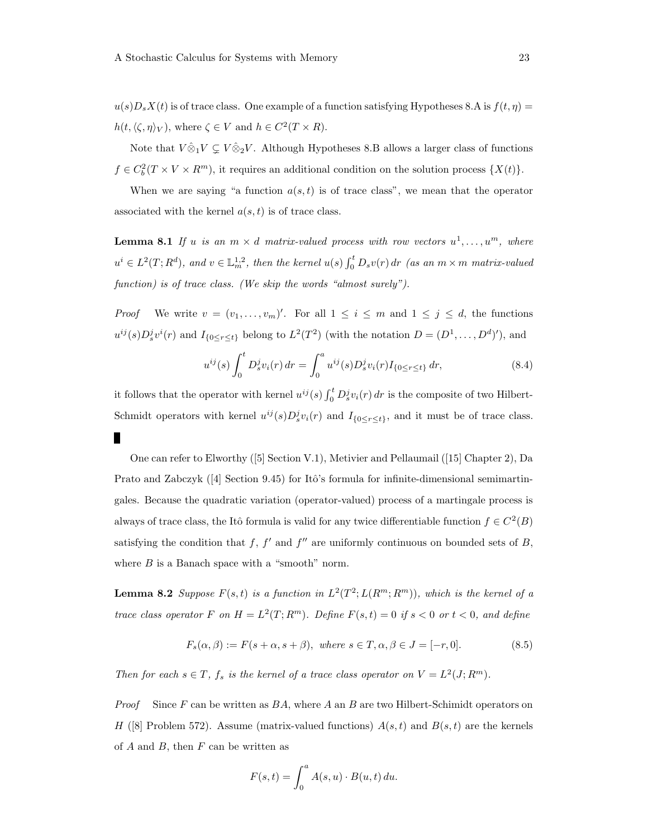$u(s)D_sX(t)$  is of trace class. One example of a function satisfying Hypotheses 8.A is  $f(t, \eta)$  =  $h(t, \langle \zeta, \eta \rangle_V)$ , where  $\zeta \in V$  and  $h \in C^2(T \times R)$ .

Note that  $V \hat{\otimes}_1 V \subsetneq V \hat{\otimes}_2 V$ . Although Hypotheses 8.B allows a larger class of functions  $f \in C_b^2(T \times V \times R^m)$ , it requires an additional condition on the solution process  $\{X(t)\}.$ 

When we are saying "a function  $a(s,t)$  is of trace class", we mean that the operator associated with the kernel  $a(s,t)$  is of trace class.

**Lemma 8.1** If u is an  $m \times d$  matrix-valued process with row vectors  $u^1, \ldots, u^m$ , where  $u^i \in L^2(T; R^d)$ , and  $v \in \mathbb{L}_m^{1,2}$ , then the kernel  $u(s) \int_0^t D_s v(r) dr$  (as an  $m \times m$  matrix-valued function) is of trace class. (We skip the words "almost surely").

*Proof* We write  $v = (v_1, \ldots, v_m)'$ . For all  $1 \leq i \leq m$  and  $1 \leq j \leq d$ , the functions  $u^{ij}(s)D_s^j v^i(r)$  and  $I_{\{0 \le r \le t\}}$  belong to  $L^2(T^2)$  (with the notation  $D = (D^1, \ldots, D^d)'$ ), and

$$
u^{ij}(s) \int_0^t D_s^j v_i(r) \, dr = \int_0^a u^{ij}(s) D_s^j v_i(r) I_{\{0 \le r \le t\}} \, dr,\tag{8.4}
$$

it follows that the operator with kernel  $u^{ij}(s) \int_0^t D_s^j v_i(r) dr$  is the composite of two Hilbert-Schmidt operators with kernel  $u^{ij}(s)D_s^j v_i(r)$  and  $I_{\{0 \le r \le t\}}$ , and it must be of trace class. п

One can refer to Elworthy ([5] Section V.1), Metivier and Pellaumail ([15] Chapter 2), Da Prato and Zabczyk  $([4]$  Section 9.45) for Itô's formula for infinite-dimensional semimartingales. Because the quadratic variation (operator-valued) process of a martingale process is always of trace class, the Itô formula is valid for any twice differentiable function  $f \in C^2(B)$ satisfying the condition that f, f' and f'' are uniformly continuous on bounded sets of B, where  $B$  is a Banach space with a "smooth" norm.

**Lemma 8.2** Suppose  $F(s,t)$  is a function in  $L^2(T^2; L(R^m; R^m))$ , which is the kernel of a trace class operator F on  $H = L^2(T; R^m)$ . Define  $F(s,t) = 0$  if  $s < 0$  or  $t < 0$ , and define

$$
F_s(\alpha, \beta) := F(s + \alpha, s + \beta), \text{ where } s \in T, \alpha, \beta \in J = [-r, 0].
$$
 (8.5)

Then for each  $s \in T$ ,  $f_s$  is the kernel of a trace class operator on  $V = L^2(J; R^m)$ .

*Proof* Since F can be written as  $BA$ , where A an B are two Hilbert-Schimidt operators on H ([8] Problem 572). Assume (matrix-valued functions)  $A(s,t)$  and  $B(s,t)$  are the kernels of  $A$  and  $B$ , then  $F$  can be written as

$$
F(s,t) = \int_0^a A(s,u) \cdot B(u,t) \, du.
$$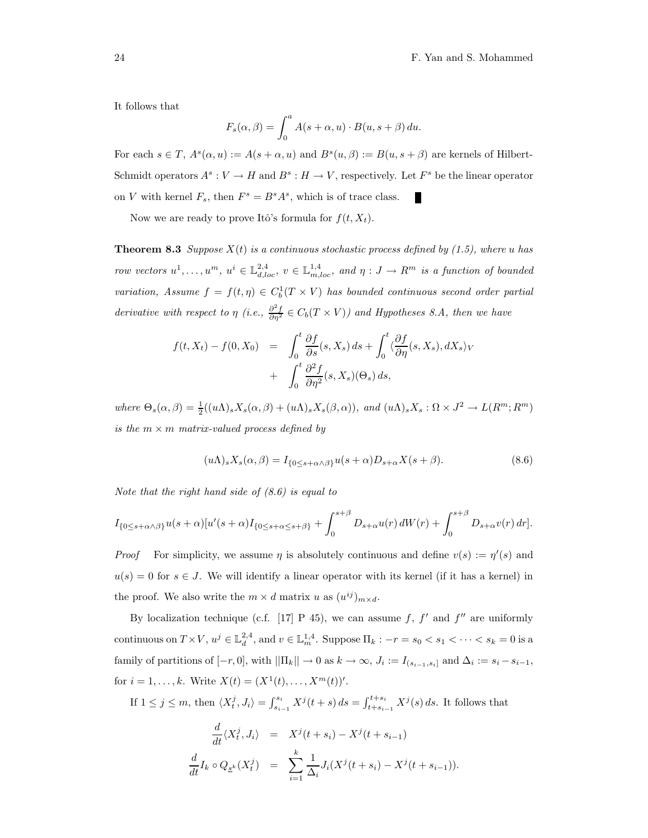It follows that

$$
F_s(\alpha, \beta) = \int_0^a A(s + \alpha, u) \cdot B(u, s + \beta) du.
$$

For each  $s \in T$ ,  $A<sup>s</sup>(\alpha, u) := A(s + \alpha, u)$  and  $B<sup>s</sup>(u, \beta) := B(u, s + \beta)$  are kernels of Hilbert-Schmidt operators  $A^s: V \to H$  and  $B^s: H \to V$ , respectively. Let  $F^s$  be the linear operator on V with kernel  $F_s$ , then  $F^s = B^s A^s$ , which is of trace class. П

Now we are ready to prove Itô's formula for  $f(t, X_t)$ .

**Theorem 8.3** Suppose  $X(t)$  is a continuous stochastic process defined by (1.5), where u has row vectors  $u^1, \ldots, u^m$ ,  $u^i \in \mathbb{L}^{2,4}_{d,loc}$ ,  $v \in \mathbb{L}^{1,4}_{m,loc}$ , and  $\eta: J \to R^m$  is a function of bounded variation, Assume  $f = f(t, \eta) \in C_b^1(T \times V)$  has bounded continuous second order partial derivative with respect to  $\eta$  (i.e.,  $\frac{\partial^2 f}{\partial \eta^2} \in C_b(T \times V)$ ) and Hypotheses 8.A, then we have

$$
f(t, X_t) - f(0, X_0) = \int_0^t \frac{\partial f}{\partial s}(s, X_s) ds + \int_0^t \langle \frac{\partial f}{\partial \eta}(s, X_s), dX_s \rangle_V + \int_0^t \frac{\partial^2 f}{\partial \eta^2}(s, X_s)(\Theta_s) ds,
$$

where  $\Theta_s(\alpha, \beta) = \frac{1}{2}((u\Lambda)_s X_s(\alpha, \beta) + (u\Lambda)_s X_s(\beta, \alpha))$ , and  $(u\Lambda)_s X_s : \Omega \times J^2 \to L(R^m; R^m)$ is the  $m \times m$  matrix-valued process defined by

$$
(u\Lambda)_s X_s(\alpha,\beta) = I_{\{0 \le s+\alpha\wedge\beta\}} u(s+\alpha) D_{s+\alpha} X(s+\beta). \tag{8.6}
$$

Note that the right hand side of (8.6) is equal to

$$
I_{\{0\leq s+\alpha\wedge\beta\}}u(s+\alpha)[u'(s+\alpha)I_{\{0\leq s+\alpha\leq s+\beta\}}+\int_0^{s+\beta}D_{s+\alpha}u(r)\,dW(r)+\int_0^{s+\beta}D_{s+\alpha}v(r)\,dr].
$$

*Proof* For simplicity, we assume  $\eta$  is absolutely continuous and define  $v(s) := \eta'(s)$  and  $u(s) = 0$  for  $s \in J$ . We will identify a linear operator with its kernel (if it has a kernel) in the proof. We also write the  $m \times d$  matrix u as  $(u^{ij})_{m \times d}$ .

By localization technique (c.f. [17] P 45), we can assume f, f' and f'' are uniformly continuous on  $T \times V$ ,  $u^j \in \mathbb{L}^{2,4}_d$ , and  $v \in \mathbb{L}^{1,4}_m$ . Suppose  $\Pi_k : -r = s_0 < s_1 < \cdots < s_k = 0$  is a family of partitions of  $[-r, 0]$ , with  $||\Pi_k|| \to 0$  as  $k \to \infty$ ,  $J_i := I_{(s_{i-1}, s_i]}$  and  $\Delta_i := s_i - s_{i-1}$ , for  $i = 1, ..., k$ . Write  $X(t) = (X^1(t), ..., X^m(t))'$ .

If  $1 \leq j \leq m$ , then  $\langle X_t^j, J_i \rangle = \int_{s_{i-1}}^{s_i} X^j(t+s) ds = \int_{t+s_{i-1}}^{t+s_i} X^j(s) ds$ . It follows that

$$
\frac{d}{dt}\langle X_t^j, J_i \rangle = X^j(t+s_i) - X^j(t+s_{i-1})
$$
\n
$$
\frac{d}{dt}I_k \circ Q_{\underline{s}^k}(X_t^j) = \sum_{i=1}^k \frac{1}{\Delta_i} J_i(X^j(t+s_i) - X^j(t+s_{i-1})).
$$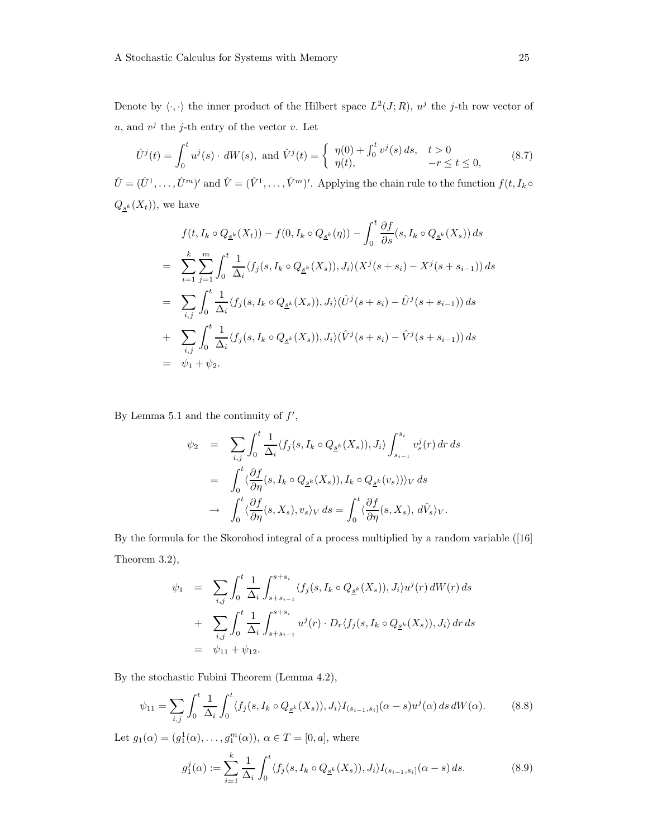Denote by  $\langle \cdot, \cdot \rangle$  the inner product of the Hilbert space  $L^2(J; R)$ ,  $u^j$  the j-th row vector of  $u$ , and  $v^j$  the j-th entry of the vector v. Let

$$
\hat{U}^{j}(t) = \int_{0}^{t} u^{j}(s) \cdot dW(s), \text{ and } \hat{V}^{j}(t) = \begin{cases} \eta(0) + \int_{0}^{t} v^{j}(s) ds, & t > 0 \\ \eta(t), & -r \le t \le 0, \end{cases}
$$
(8.7)

 $\hat{U} = (\hat{U}^1, \dots, \hat{U}^m)'$  and  $\hat{V} = (\hat{V}^1, \dots, \hat{V}^m)'$ . Applying the chain rule to the function  $f(t, I_k \circ$  $Q_{s^k}(X_t)$ , we have

$$
f(t, I_k \circ Q_{\underline{s}^k}(X_t)) - f(0, I_k \circ Q_{\underline{s}^k}(\eta)) - \int_0^t \frac{\partial f}{\partial s}(s, I_k \circ Q_{\underline{s}^k}(X_s)) ds
$$
  
\n
$$
= \sum_{i=1}^k \sum_{j=1}^m \int_0^t \frac{1}{\Delta_i} \langle f_j(s, I_k \circ Q_{\underline{s}^k}(X_s)), J_i \rangle (X^j(s + s_i) - X^j(s + s_{i-1})) ds
$$
  
\n
$$
= \sum_{i,j} \int_0^t \frac{1}{\Delta_i} \langle f_j(s, I_k \circ Q_{\underline{s}^k}(X_s)), J_i \rangle (\hat{U}^j(s + s_i) - \hat{U}^j(s + s_{i-1})) ds
$$
  
\n
$$
+ \sum_{i,j} \int_0^t \frac{1}{\Delta_i} \langle f_j(s, I_k \circ Q_{\underline{s}^k}(X_s)), J_i \rangle (\hat{V}^j(s + s_i) - \hat{V}^j(s + s_{i-1})) ds
$$
  
\n
$$
= \psi_1 + \psi_2.
$$

By Lemma 5.1 and the continuity of  $f'$ ,

$$
\psi_2 = \sum_{i,j} \int_0^t \frac{1}{\Delta_i} \langle f_j(s, I_k \circ Q_{\underline{s}^k}(X_s)), J_i \rangle \int_{s_{i-1}}^{s_i} v_s^j(r) dr ds
$$
  
\n
$$
= \int_0^t \langle \frac{\partial f}{\partial \eta}(s, I_k \circ Q_{\underline{s}^k}(X_s)), I_k \circ Q_{\underline{s}^k}(v_s) \rangle \rangle_V ds
$$
  
\n
$$
\rightarrow \int_0^t \langle \frac{\partial f}{\partial \eta}(s, X_s), v_s \rangle_V ds = \int_0^t \langle \frac{\partial f}{\partial \eta}(s, X_s), d\hat{V}_s \rangle_V.
$$

By the formula for the Skorohod integral of a process multiplied by a random variable ([16] Theorem 3.2),

$$
\psi_1 = \sum_{i,j} \int_0^t \frac{1}{\Delta_i} \int_{s+s_{i-1}}^{s+s_i} \langle f_j(s, I_k \circ Q_{\underline{s}^k}(X_s)), J_i \rangle u^j(r) dW(r) ds
$$
  
+ 
$$
\sum_{i,j} \int_0^t \frac{1}{\Delta_i} \int_{s+s_{i-1}}^{s+s_i} u^j(r) \cdot D_r \langle f_j(s, I_k \circ Q_{\underline{s}^k}(X_s)), J_i \rangle dr ds
$$
  
= 
$$
\psi_{11} + \psi_{12}.
$$

By the stochastic Fubini Theorem (Lemma 4.2),

$$
\psi_{11} = \sum_{i,j} \int_0^t \frac{1}{\Delta_i} \int_0^t \langle f_j(s, I_k \circ Q_{\underline{s}^k}(X_s)), J_i \rangle I_{(s_{i-1}, s_i]}(\alpha - s) u^j(\alpha) ds dW(\alpha). \tag{8.8}
$$

Let  $g_1(\alpha) = (g_1^1(\alpha), \dots, g_1^m(\alpha)), \ \alpha \in T = [0, a],$  where

$$
g_1^j(\alpha) := \sum_{i=1}^k \frac{1}{\Delta_i} \int_0^t \langle f_j(s, I_k \circ Q_{\underline{s}^k}(X_s)), J_i \rangle I_{(s_{i-1}, s_i]}(\alpha - s) ds.
$$
 (8.9)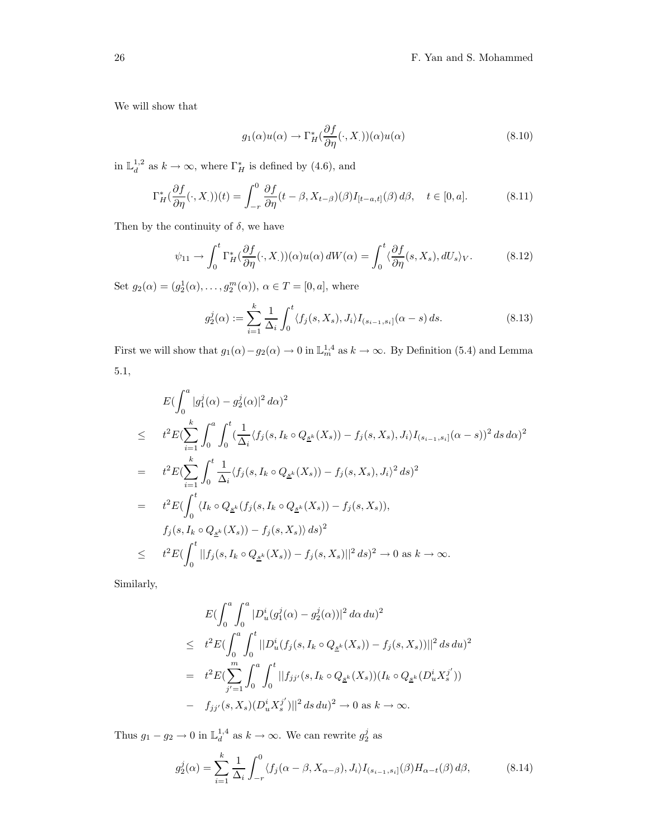We will show that

$$
g_1(\alpha)u(\alpha) \to \Gamma_H^*(\frac{\partial f}{\partial \eta}(\cdot, X_{.}))(\alpha)u(\alpha) \tag{8.10}
$$

in  $\mathbb{L}_d^{1,2}$  as  $k \to \infty$ , where  $\Gamma_H^*$  is defined by (4.6), and

$$
\Gamma_H^*(\frac{\partial f}{\partial \eta}(\cdot, X_{\cdot}))(t) = \int_{-r}^0 \frac{\partial f}{\partial \eta}(t - \beta, X_{t-\beta})(\beta)I_{[t-a,t]}(\beta) d\beta, \quad t \in [0, a]. \tag{8.11}
$$

Then by the continuity of  $\delta$ , we have

$$
\psi_{11} \to \int_0^t \Gamma_H^*(\frac{\partial f}{\partial \eta}(\cdot, X_{\cdot}))(\alpha)u(\alpha) dW(\alpha) = \int_0^t \langle \frac{\partial f}{\partial \eta}(s, X_s), dU_s \rangle_V. \tag{8.12}
$$

Set  $g_2(\alpha) = (g_2^1(\alpha), \dots, g_2^m(\alpha)), \ \alpha \in T = [0, a],$  where

$$
g_2^j(\alpha) := \sum_{i=1}^k \frac{1}{\Delta_i} \int_0^t \langle f_j(s, X_s), J_i \rangle I_{(s_{i-1}, s_i]}(\alpha - s) ds.
$$
 (8.13)

First we will show that  $g_1(\alpha) - g_2(\alpha) \to 0$  in  $\mathbb{L}_m^{1,4}$  as  $k \to \infty$ . By Definition (5.4) and Lemma 5.1,

$$
E\left(\int_{0}^{a}|g_1^j(\alpha)-g_2^j(\alpha)|^2 d\alpha\right)^2
$$
  
\n
$$
\leq t^2 E\left(\sum_{i=1}^k \int_{0}^{a} \int_{0}^{t} \left(\frac{1}{\Delta_i} \langle f_j(s, I_k \circ Q_{\underline{s}^k}(X_s)) - f_j(s, X_s), J_i \rangle I_{(s_{i-1}, s_i]}(\alpha - s)\right)^2 ds d\alpha\right)^2
$$
  
\n
$$
= t^2 E\left(\sum_{i=1}^k \int_{0}^{t} \frac{1}{\Delta_i} \langle f_j(s, I_k \circ Q_{\underline{s}^k}(X_s)) - f_j(s, X_s), J_i \rangle^2 ds\right)^2
$$
  
\n
$$
= t^2 E\left(\int_{0}^{t} \langle I_k \circ Q_{\underline{s}^k}(f_j(s, I_k \circ Q_{\underline{s}^k}(X_s)) - f_j(s, X_s)\rangle\right),
$$
  
\n
$$
f_j(s, I_k \circ Q_{\underline{s}^k}(X_s)) - f_j(s, X_s) \rangle ds)^2
$$
  
\n
$$
\leq t^2 E\left(\int_{0}^{t} ||f_j(s, I_k \circ Q_{\underline{s}^k}(X_s)) - f_j(s, X_s)||^2 ds\right)^2 \to 0 \text{ as } k \to \infty.
$$

Similarly,

$$
E\left(\int_0^a \int_0^a |D_u^i(g_1^j(\alpha) - g_2^j(\alpha))|^2 d\alpha du\right)^2
$$
  
\n
$$
\leq t^2 E\left(\int_0^a \int_0^t ||D_u^i(f_j(s, I_k \circ Q_{\underline{s}^k}(X_s)) - f_j(s, X_s))||^2 ds du\right)^2
$$
  
\n
$$
= t^2 E\left(\sum_{j'=1}^m \int_0^a \int_0^t ||f_{jj'}(s, I_k \circ Q_{\underline{s}^k}(X_s))(I_k \circ Q_{\underline{s}^k}(D_u^i X_s^{j'}))
$$
  
\n
$$
- f_{jj'}(s, X_s)(D_u^i X_s^{j'})||^2 ds du)^2 \to 0 \text{ as } k \to \infty.
$$

Thus  $g_1 - g_2 \to 0$  in  $\mathbb{L}_d^{1,4}$  as  $k \to \infty$ . We can rewrite  $g_2^j$  as

$$
g_2^j(\alpha) = \sum_{i=1}^k \frac{1}{\Delta_i} \int_{-r}^0 \langle f_j(\alpha - \beta, X_{\alpha - \beta}), J_i \rangle I_{(s_{i-1}, s_i]}(\beta) H_{\alpha - t}(\beta) d\beta, \tag{8.14}
$$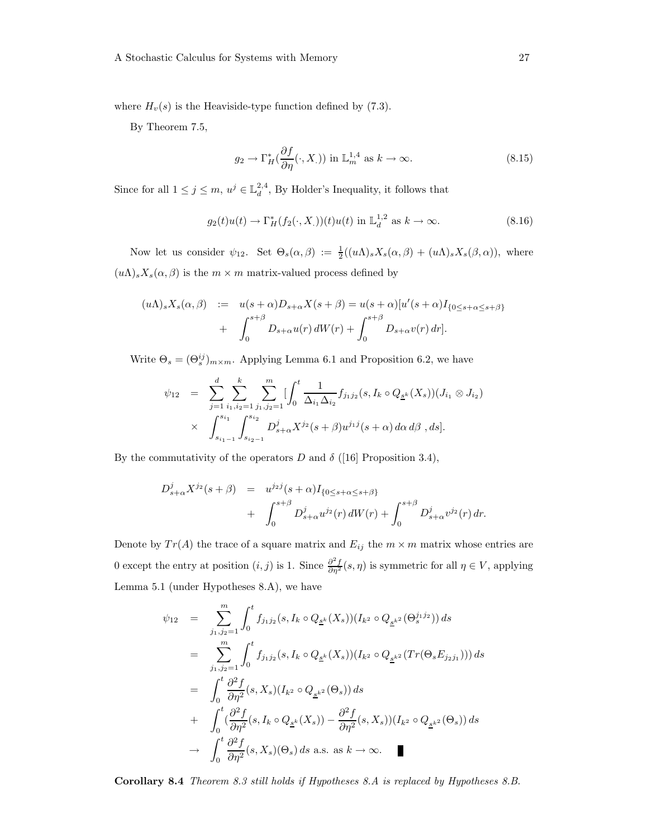where  $H_v(s)$  is the Heaviside-type function defined by (7.3).

By Theorem 7.5,

$$
g_2 \to \Gamma_H^* \left( \frac{\partial f}{\partial \eta} (\cdot, X_{.}) \right) \text{ in } \mathbb{L}_m^{1,4} \text{ as } k \to \infty.
$$
 (8.15)

Since for all  $1 \leq j \leq m$ ,  $u^j \in \mathbb{L}^{2,4}_d$ , By Holder's Inequality, it follows that

$$
g_2(t)u(t) \to \Gamma_H^*(f_2(\cdot, X_\cdot))(t)u(t) \text{ in } \mathbb{L}_d^{1,2} \text{ as } k \to \infty.
$$
 (8.16)

Now let us consider  $\psi_{12}$ . Set  $\Theta_s(\alpha, \beta) := \frac{1}{2}((u\Lambda)_s X_s(\alpha, \beta) + (u\Lambda)_s X_s(\beta, \alpha))$ , where  $(u\Lambda)_sX_s(\alpha,\beta)$  is the  $m \times m$  matrix-valued process defined by

$$
(u\Lambda)_s X_s(\alpha,\beta) := u(s+\alpha)D_{s+\alpha}X(s+\beta) = u(s+\alpha)[u'(s+\alpha)I_{\{0\leq s+\alpha\leq s+\beta\}}+ \int_0^{s+\beta} D_{s+\alpha}u(r) dW(r) + \int_0^{s+\beta} D_{s+\alpha}v(r) dr].
$$

Write  $\Theta_s = (\Theta_s^{ij})_{m \times m}$ . Applying Lemma 6.1 and Proposition 6.2, we have

$$
\psi_{12} = \sum_{j=1}^{d} \sum_{i_1, i_2=1}^{k} \sum_{j_1, j_2=1}^{m} \left[ \int_0^t \frac{1}{\Delta_{i_1} \Delta_{i_2}} f_{j_1 j_2}(s, I_k \circ Q_{\underline{s}^k}(X_s)) (J_{i_1} \otimes J_{i_2}) \right] \times \int_{s_{i_1-1}}^{s_{i_1}} \int_{s_{i_2-1}}^{s_{i_2}} D_{s+\alpha}^j X^{j_2}(s+\beta) u^{j_1 j}(s+\alpha) d\alpha d\beta, ds].
$$

By the commutativity of the operators D and  $\delta$  ([16] Proposition 3.4),

$$
D_{s+\alpha}^{j} X^{j_2}(s+\beta) = u^{j_2 j}(s+\alpha) I_{\{0 \le s+\alpha \le s+\beta\}} + \int_0^{s+\beta} D_{s+\alpha}^{j} u^{j_2}(r) dW(r) + \int_0^{s+\beta} D_{s+\alpha}^{j} v^{j_2}(r) dr.
$$

Denote by  $Tr(A)$  the trace of a square matrix and  $E_{ij}$  the  $m \times m$  matrix whose entries are 0 except the entry at position  $(i, j)$  is 1. Since  $\frac{\partial^2 f}{\partial \eta^2}(s, \eta)$  is symmetric for all  $\eta \in V$ , applying Lemma 5.1 (under Hypotheses 8.A), we have

$$
\psi_{12} = \sum_{j_1, j_2=1}^m \int_0^t f_{j_1 j_2}(s, I_k \circ Q_{\underline{s}^k}(X_s))(I_{k^2} \circ Q_{\underline{s}^{k^2}}(\Theta_s^{j_1 j_2})) ds
$$
  
\n
$$
= \sum_{j_1, j_2=1}^m \int_0^t f_{j_1 j_2}(s, I_k \circ Q_{\underline{s}^k}(X_s))(I_{k^2} \circ Q_{\underline{s}^{k^2}}(Tr(\Theta_s E_{j_2 j_1}))) ds
$$
  
\n
$$
= \int_0^t \frac{\partial^2 f}{\partial \eta^2}(s, X_s)(I_{k^2} \circ Q_{\underline{s}^{k^2}}(\Theta_s)) ds
$$
  
\n
$$
+ \int_0^t (\frac{\partial^2 f}{\partial \eta^2}(s, I_k \circ Q_{\underline{s}^k}(X_s)) - \frac{\partial^2 f}{\partial \eta^2}(s, X_s)(I_{k^2} \circ Q_{\underline{s}^{k^2}}(\Theta_s)) ds
$$
  
\n
$$
\to \int_0^t \frac{\partial^2 f}{\partial \eta^2}(s, X_s)(\Theta_s) ds \text{ a.s. as } k \to \infty.
$$

Corollary 8.4 Theorem 8.3 still holds if Hypotheses 8.A is replaced by Hypotheses 8.B.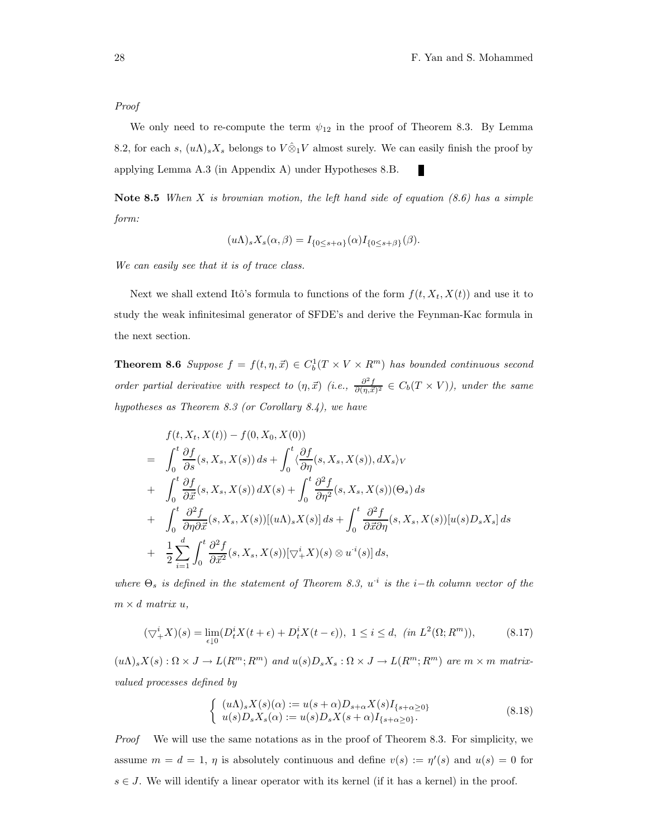#### Proof

We only need to re-compute the term  $\psi_{12}$  in the proof of Theorem 8.3. By Lemma 8.2, for each s,  $(u\Lambda)_sX_s$  belongs to  $V\hat{\otimes}_1 V$  almost surely. We can easily finish the proof by applying Lemma A.3 (in Appendix A) under Hypotheses 8.B.

Note 8.5 When X is brownian motion, the left hand side of equation  $(8.6)$  has a simple form:

$$
(u\Lambda)_s X_s(\alpha,\beta) = I_{\{0 \le s+\alpha\}}(\alpha) I_{\{0 \le s+\beta\}}(\beta).
$$

We can easily see that it is of trace class.

Next we shall extend Itô's formula to functions of the form  $f(t, X_t, X(t))$  and use it to study the weak infinitesimal generator of SFDE's and derive the Feynman-Kac formula in the next section.

**Theorem 8.6** Suppose  $f = f(t, \eta, \vec{x}) \in C_b^1(T \times V \times R^m)$  has bounded continuous second order partial derivative with respect to  $(\eta, \vec{x})$  (i.e.,  $\frac{\partial^2 f}{\partial(\eta, \vec{x})^2} \in C_b(T \times V)$ ), under the same hypotheses as Theorem 8.3 (or Corollary 8.4), we have

$$
f(t, X_t, X(t)) - f(0, X_0, X(0))
$$
  
\n
$$
= \int_0^t \frac{\partial f}{\partial s}(s, X_s, X(s)) ds + \int_0^t \langle \frac{\partial f}{\partial \eta}(s, X_s, X(s)), dX_s \rangle_V
$$
  
\n
$$
+ \int_0^t \frac{\partial f}{\partial \vec{x}}(s, X_s, X(s)) dX(s) + \int_0^t \frac{\partial^2 f}{\partial \eta^2}(s, X_s, X(s))(\Theta_s) ds
$$
  
\n
$$
+ \int_0^t \frac{\partial^2 f}{\partial \eta \partial \vec{x}}(s, X_s, X(s))[(u\Lambda)_s X(s)] ds + \int_0^t \frac{\partial^2 f}{\partial \vec{x} \partial \eta}(s, X_s, X(s))[u(s)D_sX_s] ds
$$
  
\n
$$
+ \frac{1}{2} \sum_{i=1}^d \int_0^t \frac{\partial^2 f}{\partial \vec{x}^2}(s, X_s, X(s))[\nabla_s^i X](s) \otimes u^i(s)] ds,
$$

where  $\Theta_s$  is defined in the statement of Theorem 8.3,  $u^i$  is the i–th column vector of the  $m \times d$  matrix  $u$ ,

$$
(\bigtriangledown_{+}^{i} X)(s) = \lim_{\epsilon \downarrow 0} (D_{t}^{i} X(t + \epsilon) + D_{t}^{i} X(t - \epsilon)), \ 1 \le i \le d, \ (in \ L^{2}(\Omega; R^{m})), \tag{8.17}
$$

 $(u\Lambda)_sX(s):\Omega\times J\to L(R^m;R^m)$  and  $u(s)D_sX_s:\Omega\times J\to L(R^m;R^m)$  are  $m\times m$  matrixvalued processes defined by

$$
\begin{cases}\n(u\Lambda)_s X(s)(\alpha) := u(s+\alpha)D_{s+\alpha}X(s)I_{\{s+\alpha\geq 0\}} \\
u(s)D_s X_s(\alpha) := u(s)D_s X(s+\alpha)I_{\{s+\alpha\geq 0\}}.\n\end{cases}
$$
\n(8.18)

Proof We will use the same notations as in the proof of Theorem 8.3. For simplicity, we assume  $m = d = 1$ ,  $\eta$  is absolutely continuous and define  $v(s) := \eta'(s)$  and  $u(s) = 0$  for  $s \in J$ . We will identify a linear operator with its kernel (if it has a kernel) in the proof.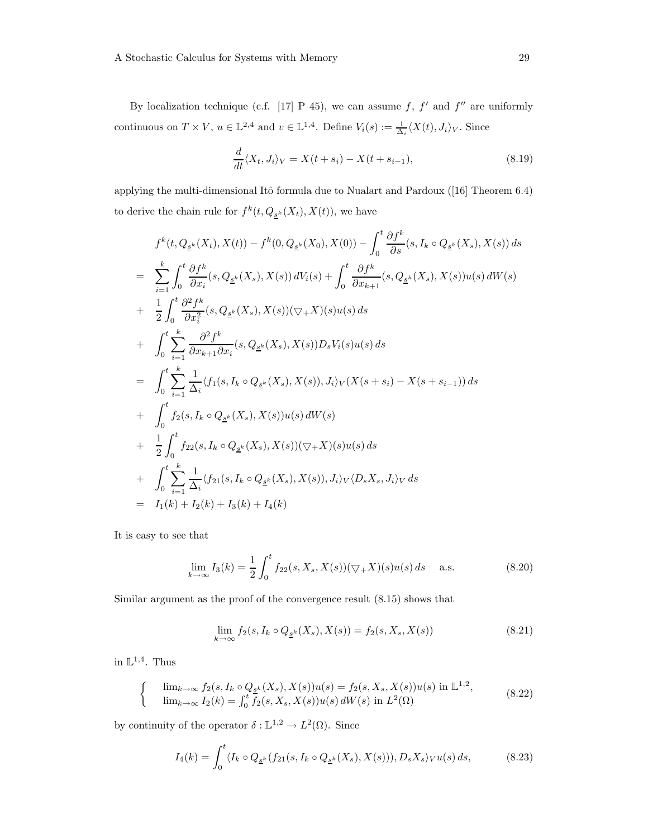By localization technique (c.f. [17] P 45), we can assume f, f' and f'' are uniformly continuous on  $T \times V$ ,  $u \in \mathbb{L}^{2,4}$  and  $v \in \mathbb{L}^{1,4}$ . Define  $V_i(s) := \frac{1}{\Delta_i} \langle X(t), J_i \rangle_V$ . Since

$$
\frac{d}{dt}\langle X_t, J_i\rangle_V = X(t+s_i) - X(t+s_{i-1}),\tag{8.19}
$$

applying the multi-dimensional Itô formula due to Nualart and Pardoux  $(16)$  Theorem 6.4) to derive the chain rule for  $f^k(t, Q_{\underline{s}^k}(X_t), X(t))$ , we have

$$
f^{k}(t, Q_{\underline{s}^{k}}(X_{t}), X(t)) - f^{k}(0, Q_{\underline{s}^{k}}(X_{0}), X(0)) - \int_{0}^{t} \frac{\partial f^{k}}{\partial s}(s, I_{k} \circ Q_{\underline{s}^{k}}(X_{s}), X(s)) ds
$$
  
\n
$$
= \sum_{i=1}^{k} \int_{0}^{t} \frac{\partial f^{k}}{\partial x_{i}}(s, Q_{\underline{s}^{k}}(X_{s}), X(s)) dV_{i}(s) + \int_{0}^{t} \frac{\partial f^{k}}{\partial x_{k+1}}(s, Q_{\underline{s}^{k}}(X_{s}), X(s)) u(s) dW(s)
$$
  
\n
$$
+ \frac{1}{2} \int_{0}^{t} \frac{\partial^{2} f^{k}}{\partial x_{i}^{2}}(s, Q_{\underline{s}^{k}}(X_{s}), X(s)) (\nabla_{+} X)(s) u(s) ds
$$
  
\n
$$
+ \int_{0}^{t} \sum_{i=1}^{k} \frac{\partial^{2} f^{k}}{\partial x_{k+1} \partial x_{i}}(s, Q_{\underline{s}^{k}}(X_{s}), X(s)) D_{s} V_{i}(s) u(s) ds
$$
  
\n
$$
= \int_{0}^{t} \sum_{i=1}^{k} \frac{1}{\Delta_{i}} \langle f_{1}(s, I_{k} \circ Q_{\underline{s}^{k}}(X_{s}), X(s)), J_{i} \rangle_{V}(X(s + s_{i}) - X(s + s_{i-1})) ds
$$
  
\n
$$
+ \int_{0}^{t} f_{2}(s, I_{k} \circ Q_{\underline{s}^{k}}(X_{s}), X(s)) u(s) dW(s)
$$
  
\n
$$
+ \frac{1}{2} \int_{0}^{t} f_{22}(s, I_{k} \circ Q_{\underline{s}^{k}}(X_{s}), X(s)) (\nabla_{+} X)(s) u(s) ds
$$
  
\n
$$
+ \int_{0}^{t} \sum_{i=1}^{k} \frac{1}{\Delta_{i}} \langle f_{21}(s, I_{k} \circ Q_{\underline{s}^{k}}(X_{s}), X(s)), J_{i} \rangle_{V} \langle D_{s} X_{s}, J_{i} \rangle_{V} ds
$$
  
\n
$$
= I_{1}(k) + I_{2}(k) + I_{3}(k) + I_{4}(
$$

It is easy to see that

$$
\lim_{k \to \infty} I_3(k) = \frac{1}{2} \int_0^t f_{22}(s, X_s, X(s))(\nabla_+ X)(s)u(s) ds \quad \text{a.s.}
$$
\n(8.20)

Similar argument as the proof of the convergence result (8.15) shows that

$$
\lim_{k \to \infty} f_2(s, I_k \circ Q_{\underline{s}^k}(X_s), X(s)) = f_2(s, X_s, X(s))
$$
\n(8.21)

in  $\mathbb{L}^{1,4}$ . Thus

$$
\begin{cases}\n\lim_{k \to \infty} f_2(s, I_k \circ Q_{\underline{s}^k}(X_s), X(s))u(s) = f_2(s, X_s, X(s))u(s) \text{ in } \mathbb{L}^{1,2}, \\
\lim_{k \to \infty} I_2(k) = \int_0^t f_2(s, X_s, X(s))u(s) dW(s) \text{ in } L^2(\Omega)\n\end{cases} (8.22)
$$

by continuity of the operator  $\delta : \mathbb{L}^{1,2} \to L^2(\Omega)$ . Since

$$
I_4(k) = \int_0^t \langle I_k \circ Q_{\underline{s}^k}(f_{21}(s, I_k \circ Q_{\underline{s}^k}(X_s), X(s))), D_s X_s \rangle_V u(s) ds, \tag{8.23}
$$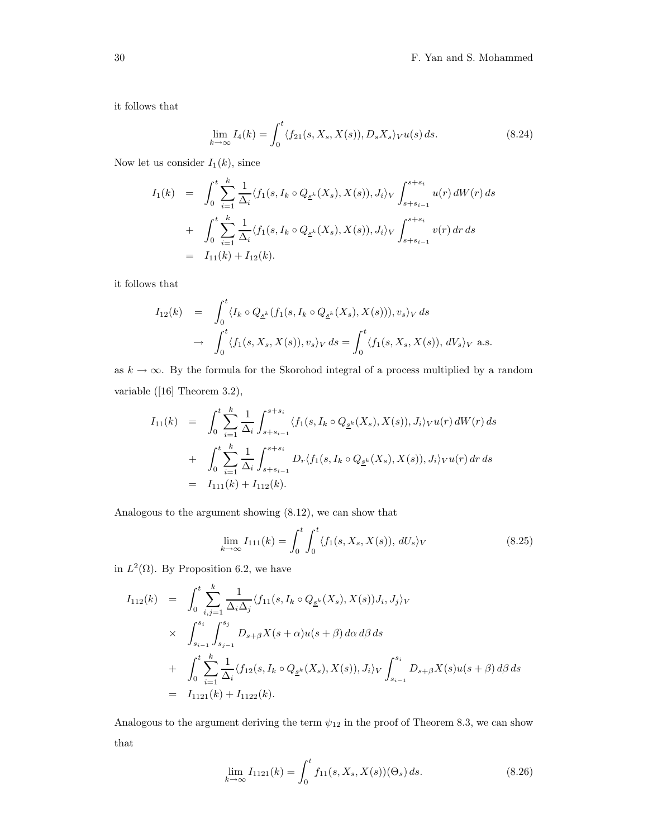it follows that

$$
\lim_{k \to \infty} I_4(k) = \int_0^t \langle f_{21}(s, X_s, X(s)), D_s X_s \rangle_V u(s) ds.
$$
\n(8.24)

Now let us consider  $I_1(k)$ , since

$$
I_1(k) = \int_0^t \sum_{i=1}^k \frac{1}{\Delta_i} \langle f_1(s, I_k \circ Q_{\underline{s}^k}(X_s), X(s)), J_i \rangle_V \int_{s+s_{i-1}}^{s+s_i} u(r) dW(r) ds
$$
  
+ 
$$
\int_0^t \sum_{i=1}^k \frac{1}{\Delta_i} \langle f_1(s, I_k \circ Q_{\underline{s}^k}(X_s), X(s)), J_i \rangle_V \int_{s+s_{i-1}}^{s+s_i} v(r) dr ds
$$
  
=  $I_{11}(k) + I_{12}(k).$ 

it follows that

$$
I_{12}(k) = \int_0^t \langle I_k \circ Q_{\underline{s}^k}(f_1(s, I_k \circ Q_{\underline{s}^k}(X_s), X(s))), v_s \rangle_V ds
$$
  

$$
\to \int_0^t \langle f_1(s, X_s, X(s)), v_s \rangle_V ds = \int_0^t \langle f_1(s, X_s, X(s)), dV_s \rangle_V \text{ a.s.}
$$

as  $k \to \infty$ . By the formula for the Skorohod integral of a process multiplied by a random variable ([16] Theorem 3.2),

$$
I_{11}(k) = \int_0^t \sum_{i=1}^k \frac{1}{\Delta_i} \int_{s+s_{i-1}}^{s+s_i} \langle f_1(s, I_k \circ Q_{\underline{s}^k}(X_s), X(s)), J_i \rangle_V u(r) dW(r) ds
$$
  
+ 
$$
\int_0^t \sum_{i=1}^k \frac{1}{\Delta_i} \int_{s+s_{i-1}}^{s+s_i} D_r \langle f_1(s, I_k \circ Q_{\underline{s}^k}(X_s), X(s)), J_i \rangle_V u(r) dr ds
$$
  
=  $I_{111}(k) + I_{112}(k).$ 

Analogous to the argument showing (8.12), we can show that

$$
\lim_{k \to \infty} I_{111}(k) = \int_0^t \int_0^t \langle f_1(s, X_s, X(s)), dU_s \rangle_V
$$
\n(8.25)

in  $L^2(\Omega)$ . By Proposition 6.2, we have

$$
I_{112}(k) = \int_0^t \sum_{i,j=1}^k \frac{1}{\Delta_i \Delta_j} \langle f_{11}(s, I_k \circ Q_{\underline{s}^k}(X_s), X(s)) J_i, J_j \rangle_V
$$
  
 
$$
\times \int_{s_{i-1}}^{s_i} \int_{s_{j-1}}^{s_j} D_{s+\beta} X(s+\alpha) u(s+\beta) d\alpha d\beta ds
$$
  
+ 
$$
\int_0^t \sum_{i=1}^k \frac{1}{\Delta_i} \langle f_{12}(s, I_k \circ Q_{\underline{s}^k}(X_s), X(s)), J_i \rangle_V \int_{s_{i-1}}^{s_i} D_{s+\beta} X(s) u(s+\beta) d\beta ds
$$
  
= 
$$
I_{1121}(k) + I_{1122}(k).
$$

Analogous to the argument deriving the term  $\psi_{12}$  in the proof of Theorem 8.3, we can show that

$$
\lim_{k \to \infty} I_{1121}(k) = \int_0^t f_{11}(s, X_s, X(s))(\Theta_s) ds.
$$
\n(8.26)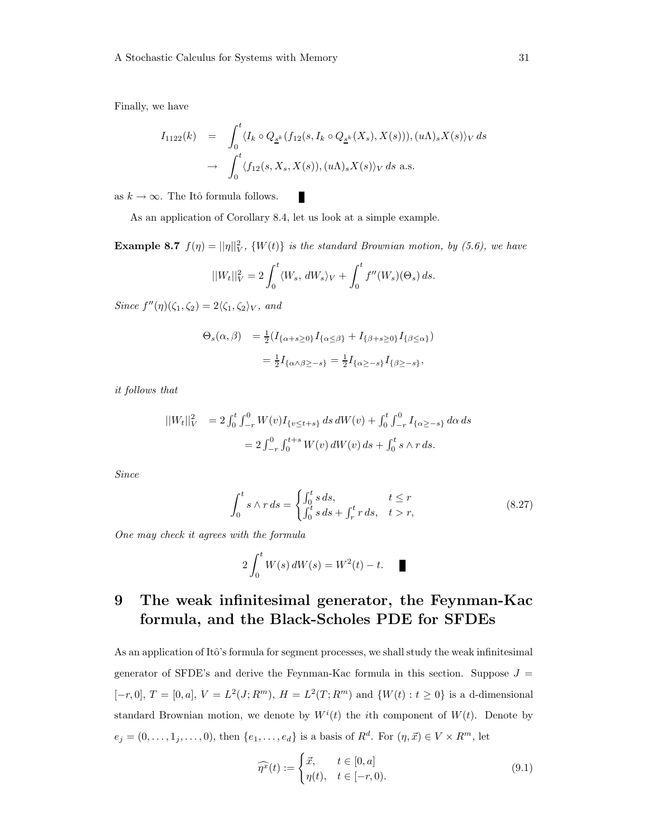Finally, we have

$$
I_{1122}(k) = \int_0^t \langle I_k \circ Q_{\underline{s}^k}(f_{12}(s, I_k \circ Q_{\underline{s}^k}(X_s), X(s))), (u\Lambda)_s X(s) \rangle_V ds
$$
  

$$
\to \int_0^t \langle f_{12}(s, X_s, X(s)), (u\Lambda)_s X(s) \rangle_V ds \text{ a.s.}
$$

as  $k \to \infty$ . The Itô formula follows.

As an application of Corollary 8.4, let us look at a simple example.

Г

**Example 8.7**  $f(\eta) = ||\eta||_V^2$ ,  $\{W(t)\}\$ is the standard Brownian motion, by (5.6), we have

$$
||W_t||_V^2 = 2 \int_0^t \langle W_s, dW_s \rangle_V + \int_0^t f''(W_s)(\Theta_s) ds.
$$

Since  $f''(\eta)(\zeta_1, \zeta_2) = 2\langle \zeta_1, \zeta_2 \rangle_V$ , and

$$
\Theta_s(\alpha, \beta) = \frac{1}{2} (I_{\{\alpha+s\geq 0\}} I_{\{\alpha \leq \beta\}} + I_{\{\beta+s\geq 0\}} I_{\{\beta \leq \alpha\}})
$$
  
= 
$$
\frac{1}{2} I_{\{\alpha \wedge \beta \geq -s\}} = \frac{1}{2} I_{\{\alpha \geq -s\}} I_{\{\beta \geq -s\}},
$$

it follows that

$$
||W_t||_V^2 = 2 \int_0^t \int_{-r}^0 W(v) I_{\{v \le t+s\}} ds dW(v) + \int_0^t \int_{-r}^0 I_{\{\alpha \ge -s\}} d\alpha ds
$$
  
=  $2 \int_{-r}^0 \int_0^{t+s} W(v) dW(v) ds + \int_0^t s \wedge r ds.$ 

Since

$$
\int_0^t s \wedge r \, ds = \begin{cases} \int_0^t s \, ds, & t \le r \\ \int_0^t s \, ds + \int_r^t r \, ds, & t > r, \end{cases} \tag{8.27}
$$

One may check it agrees with the formula

$$
2\int_0^t W(s) \, dW(s) = W^2(t) - t. \quad \blacksquare
$$

### 9 The weak infinitesimal generator, the Feynman-Kac formula, and the Black-Scholes PDE for SFDEs

As an application of Itô's formula for segment processes, we shall study the weak infinitesimal generator of SFDE's and derive the Feynman-Kac formula in this section. Suppose  $J =$  $[-r, 0], T = [0, a], V = L<sup>2</sup>(J; R<sup>m</sup>), H = L<sup>2</sup>(T; R<sup>m</sup>)$  and  $\{W(t) : t \ge 0\}$  is a d-dimensional standard Brownian motion, we denote by  $W^{i}(t)$  the *i*th component of  $W(t)$ . Denote by  $e_j = (0, \ldots, 1_j, \ldots, 0)$ , then  $\{e_1, \ldots, e_d\}$  is a basis of  $R^d$ . For  $(\eta, \vec{x}) \in V \times R^m$ , let

$$
\widehat{\eta^x}(t) := \begin{cases} \vec{x}, & t \in [0, a] \\ \eta(t), & t \in [-r, 0). \end{cases}
$$
\n(9.1)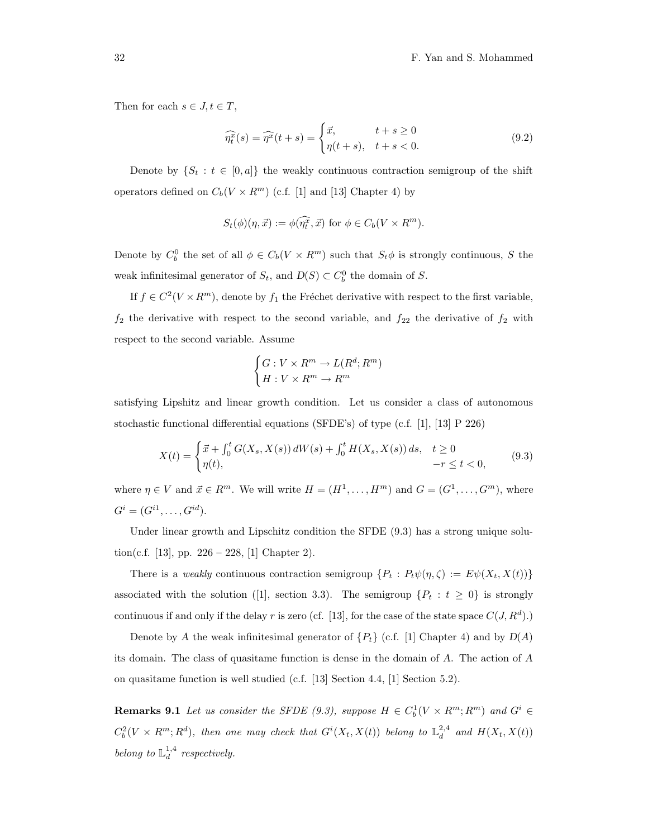Then for each  $s \in J, t \in T$ ,

$$
\widehat{\eta_t^x}(s) = \widehat{\eta^x}(t+s) = \begin{cases} \vec{x}, & t+s \ge 0\\ \eta(t+s), & t+s < 0. \end{cases} \tag{9.2}
$$

Denote by  $\{S_t : t \in [0, a]\}$  the weakly continuous contraction semigroup of the shift operators defined on  $C_b(V \times R^m)$  (c.f. [1] and [13] Chapter 4) by

$$
S_t(\phi)(\eta, \vec{x}) := \phi(\widehat{\eta_t^x}, \vec{x}) \text{ for } \phi \in C_b(V \times R^m).
$$

Denote by  $C_b^0$  the set of all  $\phi \in C_b(V \times R^m)$  such that  $S_t \phi$  is strongly continuous, S the weak infinitesimal generator of  $S_t$ , and  $D(S) \subset C_b^0$  the domain of S.

If  $f \in C^2(V \times R^m)$ , denote by  $f_1$  the Fréchet derivative with respect to the first variable,  $f_2$  the derivative with respect to the second variable, and  $f_{22}$  the derivative of  $f_2$  with respect to the second variable. Assume

$$
\begin{cases} G:V\times R^m\rightarrow L(R^d;R^m)\\ H:V\times R^m\rightarrow R^m\end{cases}
$$

satisfying Lipshitz and linear growth condition. Let us consider a class of autonomous stochastic functional differential equations (SFDE's) of type (c.f. [1], [13] P 226)

$$
X(t) = \begin{cases} \vec{x} + \int_0^t G(X_s, X(s)) dW(s) + \int_0^t H(X_s, X(s)) ds, & t \ge 0\\ \eta(t), & -r \le t < 0, \end{cases}
$$
(9.3)

where  $\eta \in V$  and  $\vec{x} \in R^m$ . We will write  $H = (H^1, \dots, H^m)$  and  $G = (G^1, \dots, G^m)$ , where  $G^{i} = (G^{i1}, \ldots, G^{id}).$ 

Under linear growth and Lipschitz condition the SFDE  $(9.3)$  has a strong unique solution(c.f. [13], pp.  $226 - 228$ , [1] Chapter 2).

There is a weakly continuous contraction semigroup  $\{P_t: P_t\psi(\eta,\zeta) := E\psi(X_t,X(t))\}$ associated with the solution ([1], section 3.3). The semigroup  $\{P_t : t \geq 0\}$  is strongly continuous if and only if the delay r is zero (cf. [13], for the case of the state space  $C(J, R^d)$ .)

Denote by A the weak infinitesimal generator of  ${P_t}$  (c.f. [1] Chapter 4) and by  $D(A)$ its domain. The class of quasitame function is dense in the domain of A. The action of A on quasitame function is well studied (c.f. [13] Section 4.4, [1] Section 5.2).

**Remarks 9.1** Let us consider the SFDE (9.3), suppose  $H \in C_b^1(V \times R^m; R^m)$  and  $G^i \in$  $C_b^2(V \times R^m; R^d)$ , then one may check that  $G^i(X_t, X(t))$  belong to  $\mathbb{L}_d^{2,4}$  and  $H(X_t, X(t))$ belong to  $\mathbb{L}_d^{1,4}$  respectively.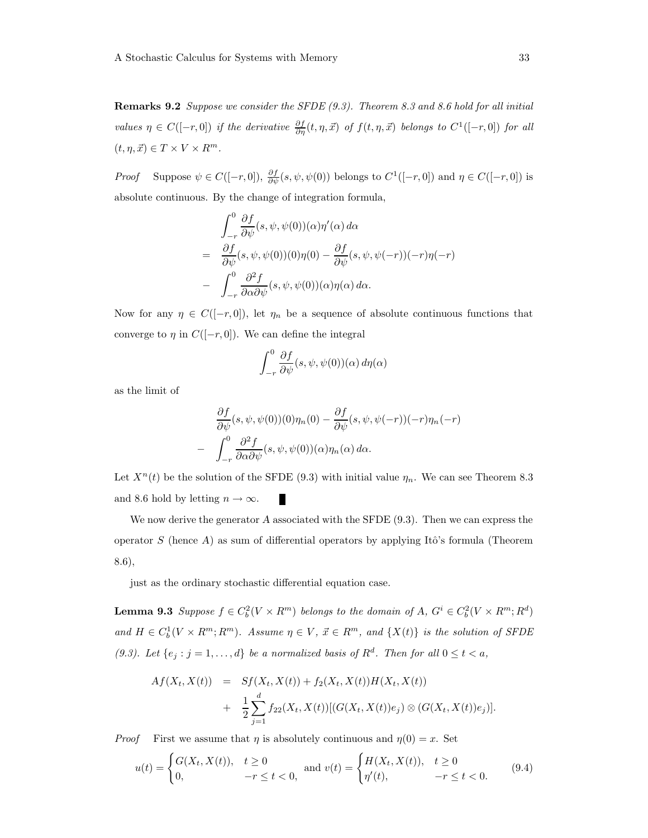**Remarks 9.2** Suppose we consider the SFDE  $(9.3)$ . Theorem 8.3 and 8.6 hold for all initial values  $\eta \in C([-r, 0])$  if the derivative  $\frac{\partial f}{\partial \eta}(t, \eta, \vec{x})$  of  $f(t, \eta, \vec{x})$  belongs to  $C^1([-r, 0])$  for all  $(t, \eta, \vec{x}) \in T \times V \times R^m$ .

*Proof* Suppose  $\psi \in C([-r, 0]), \frac{\partial f}{\partial \psi}(s, \psi, \psi(0))$  belongs to  $C^1([-r, 0])$  and  $\eta \in C([-r, 0])$  is absolute continuous. By the change of integration formula,

$$
\int_{-r}^{0} \frac{\partial f}{\partial \psi}(s, \psi, \psi(0))(\alpha) \eta'(\alpha) d\alpha
$$
\n
$$
= \frac{\partial f}{\partial \psi}(s, \psi, \psi(0))(0) \eta(0) - \frac{\partial f}{\partial \psi}(s, \psi, \psi(-r))(-r) \eta(-r)
$$
\n
$$
- \int_{-r}^{0} \frac{\partial^2 f}{\partial \alpha \partial \psi}(s, \psi, \psi(0))(\alpha) \eta(\alpha) d\alpha.
$$

Now for any  $\eta \in C([-r, 0])$ , let  $\eta_n$  be a sequence of absolute continuous functions that converge to  $\eta$  in  $C([-r, 0])$ . We can define the integral

$$
\int_{-r}^{0} \frac{\partial f}{\partial \psi}(s, \psi, \psi(0))(\alpha) d\eta(\alpha)
$$

as the limit of

$$
\frac{\partial f}{\partial \psi}(s, \psi, \psi(0))(0)\eta_n(0) - \frac{\partial f}{\partial \psi}(s, \psi, \psi(-r))(-r)\eta_n(-r)
$$

$$
- \int_{-r}^{0} \frac{\partial^2 f}{\partial \alpha \partial \psi}(s, \psi, \psi(0))(\alpha)\eta_n(\alpha) d\alpha.
$$

Let  $X^n(t)$  be the solution of the SFDE (9.3) with initial value  $\eta_n$ . We can see Theorem 8.3 and 8.6 hold by letting  $n \to \infty$ . п

We now derive the generator A associated with the SFDE  $(9.3)$ . Then we can express the operator S (hence A) as sum of differential operators by applying Itô's formula (Theorem 8.6),

just as the ordinary stochastic differential equation case.

**Lemma 9.3** Suppose  $f \in C_b^2(V \times R^m)$  belongs to the domain of  $A, G^i \in C_b^2(V \times R^m; R^d)$ and  $H \in C_b^1(V \times R^m; R^m)$ . Assume  $\eta \in V$ ,  $\vec{x} \in R^m$ , and  $\{X(t)\}\$ is the solution of SFDE (9.3). Let  $\{e_j : j = 1, ..., d\}$  be a normalized basis of  $R^d$ . Then for all  $0 \le t < a$ ,

$$
Af(X_t, X(t)) = Sf(X_t, X(t)) + f_2(X_t, X(t))H(X_t, X(t))
$$
  
+ 
$$
\frac{1}{2} \sum_{j=1}^d f_{22}(X_t, X(t))[(G(X_t, X(t))e_j) \otimes (G(X_t, X(t))e_j)].
$$

*Proof* First we assume that  $\eta$  is absolutely continuous and  $\eta(0) = x$ . Set

$$
u(t) = \begin{cases} G(X_t, X(t)), & t \ge 0 \\ 0, & -r \le t < 0, \end{cases} \text{ and } v(t) = \begin{cases} H(X_t, X(t)), & t \ge 0 \\ \eta'(t), & -r \le t < 0. \end{cases} \tag{9.4}
$$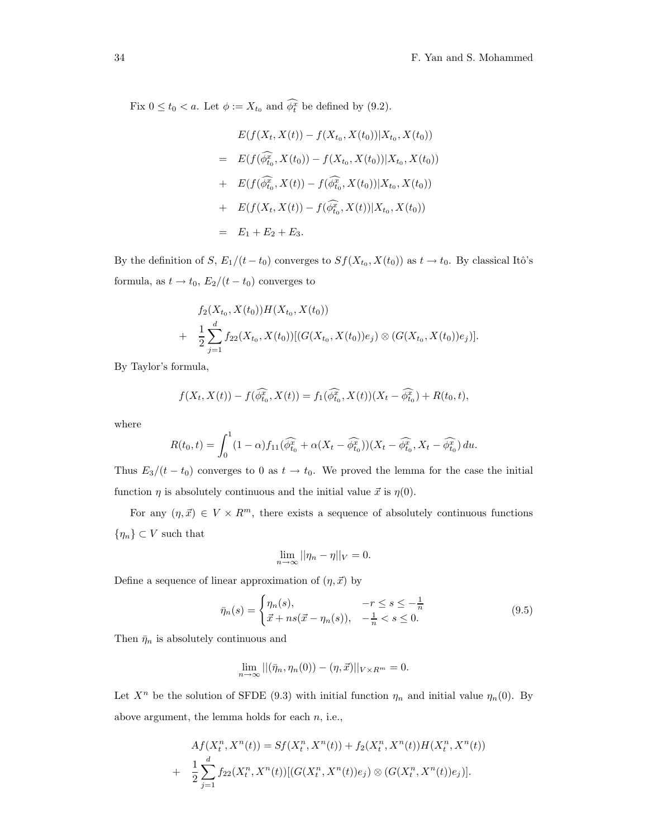Fix  $0 \le t_0 < a$ . Let  $\phi := X_{t_0}$  and  $\phi_t^x$  be defined by (9.2).

$$
E(f(X_t, X(t)) - f(X_{t_0}, X(t_0))|X_{t_0}, X(t_0))
$$
\n
$$
= E(f(\widehat{\phi}_{t_0}^x, X(t_0)) - f(X_{t_0}, X(t_0))|X_{t_0}, X(t_0))
$$
\n
$$
+ E(f(\widehat{\phi}_{t_0}^x, X(t)) - f(\widehat{\phi}_{t_0}^x, X(t_0))|X_{t_0}, X(t_0))
$$
\n
$$
+ E(f(X_t, X(t)) - f(\widehat{\phi}_{t_0}^x, X(t))|X_{t_0}, X(t_0))
$$
\n
$$
= E_1 + E_2 + E_3.
$$

By the definition of  $S, E_1/(t-t_0)$  converges to  $Sf(X_{t_0}, X(t_0))$  as  $t \to t_0$ . By classical Itô's formula, as  $t \to t_0$ ,  $E_2/(t - t_0)$  converges to

$$
f_2(X_{t_0}, X(t_0))H(X_{t_0}, X(t_0))
$$
  
+ 
$$
\frac{1}{2}\sum_{j=1}^d f_{22}(X_{t_0}, X(t_0))[(G(X_{t_0}, X(t_0))e_j) \otimes (G(X_{t_0}, X(t_0))e_j)].
$$

By Taylor's formula,

$$
f(X_t, X(t)) - f(\widehat{\phi_{t_0}^x}, X(t)) = f_1(\widehat{\phi_{t_0}^x}, X(t)) (X_t - \widehat{\phi_{t_0}^x}) + R(t_0, t),
$$

where

$$
R(t_0, t) = \int_0^1 (1 - \alpha) f_{11}(\widehat{\phi_{t_0}^x} + \alpha (X_t - \widehat{\phi_{t_0}^x})) (X_t - \widehat{\phi_{t_0}^x}, X_t - \widehat{\phi_{t_0}^x}) du.
$$

Thus  $E_3/(t-t_0)$  converges to 0 as  $t \to t_0$ . We proved the lemma for the case the initial function  $\eta$  is absolutely continuous and the initial value  $\vec{x}$  is  $\eta(0)$ .

For any  $(\eta, \vec{x}) \in V \times R^m$ , there exists a sequence of absolutely continuous functions  $\{\eta_n\} \subset V$  such that

$$
\lim_{n \to \infty} ||\eta_n - \eta||_V = 0.
$$

Define a sequence of linear approximation of  $(\eta, \vec{x})$  by

$$
\bar{\eta}_n(s) = \begin{cases} \eta_n(s), & -r \le s \le -\frac{1}{n} \\ \vec{x} + ns(\vec{x} - \eta_n(s)), & -\frac{1}{n} < s \le 0. \end{cases}
$$
(9.5)

Then  $\bar{\eta}_n$  is absolutely continuous and

$$
\lim_{n\to\infty}||(\bar{\eta}_n,\eta_n(0))-(\eta,\vec{x})||_{V\times R^m}=0.
$$

Let  $X^n$  be the solution of SFDE (9.3) with initial function  $\eta_n$  and initial value  $\eta_n(0)$ . By above argument, the lemma holds for each  $n$ , i.e.,

$$
Af(X_t^n, X^n(t)) = Sf(X_t^n, X^n(t)) + f_2(X_t^n, X^n(t))H(X_t^n, X^n(t))
$$
  
+ 
$$
\frac{1}{2} \sum_{j=1}^d f_{22}(X_t^n, X^n(t))[(G(X_t^n, X^n(t))e_j) \otimes (G(X_t^n, X^n(t))e_j)].
$$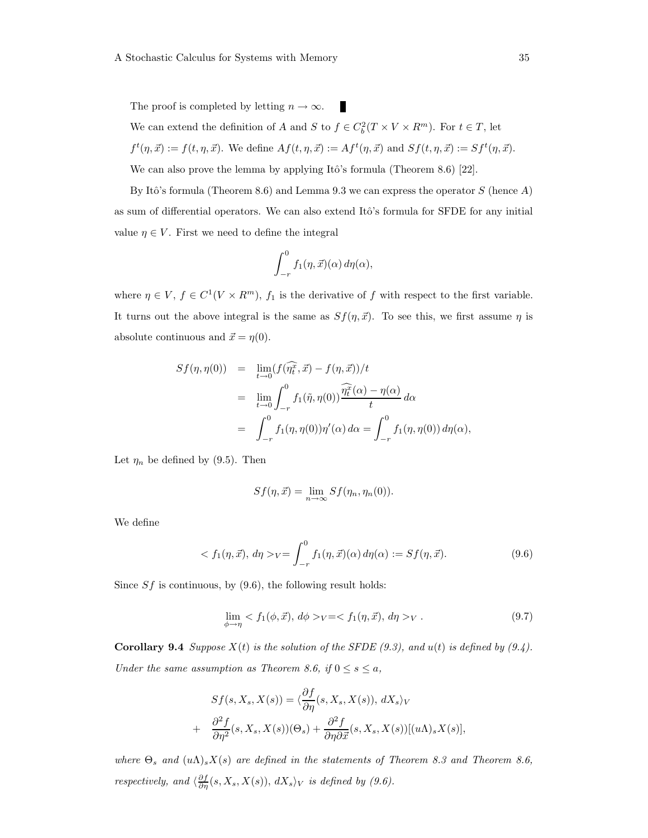The proof is completed by letting  $n \to \infty$ . п We can extend the definition of A and S to  $f \in C_b^2(T \times V \times R^m)$ . For  $t \in T$ , let  $f^t(\eta, \vec{x}) := f(t, \eta, \vec{x})$ . We define  $Af(t, \eta, \vec{x}) := Af^t(\eta, \vec{x})$  and  $Sf(t, \eta, \vec{x}) := Sf^t(\eta, \vec{x})$ . We can also prove the lemma by applying Itô's formula (Theorem 8.6)  $[22]$ .

By Itô's formula (Theorem 8.6) and Lemma 9.3 we can express the operator  $S$  (hence A) as sum of differential operators. We can also extend Itô's formula for SFDE for any initial value  $\eta \in V$ . First we need to define the integral

$$
\int_{-r}^{0} f_1(\eta, \vec{x}) (\alpha) d\eta(\alpha),
$$

where  $\eta \in V$ ,  $f \in C^{1}(V \times R^{m})$ ,  $f_{1}$  is the derivative of f with respect to the first variable. It turns out the above integral is the same as  $Sf(\eta, \vec{x})$ . To see this, we first assume  $\eta$  is absolute continuous and  $\vec{x} = \eta(0)$ .

$$
Sf(\eta, \eta(0)) = \lim_{t \to 0} (f(\widehat{\eta_t^2}, \vec{x}) - f(\eta, \vec{x})) / t
$$
  
\n
$$
= \lim_{t \to 0} \int_{-r}^{0} f_1(\tilde{\eta}, \eta(0)) \frac{\widehat{\eta_t^2}(\alpha) - \eta(\alpha)}{t} d\alpha
$$
  
\n
$$
= \int_{-r}^{0} f_1(\eta, \eta(0)) \eta'(\alpha) d\alpha = \int_{-r}^{0} f_1(\eta, \eta(0)) d\eta(\alpha),
$$

Let  $\eta_n$  be defined by (9.5). Then

$$
Sf(\eta, \vec{x}) = \lim_{n \to \infty} Sf(\eta_n, \eta_n(0)).
$$

We define

$$
\langle f_1(\eta, \vec{x}), d\eta \rangle_V = \int_{-r}^0 f_1(\eta, \vec{x}) (\alpha) d\eta(\alpha) := Sf(\eta, \vec{x}). \tag{9.6}
$$

Since  $Sf$  is continuous, by  $(9.6)$ , the following result holds:

$$
\lim_{\phi \to \eta} \langle f_1(\phi, \vec{x}), \, d\phi \rangle_V = \langle f_1(\eta, \vec{x}), \, d\eta \rangle_V. \tag{9.7}
$$

**Corollary 9.4** Suppose  $X(t)$  is the solution of the SFDE (9.3), and  $u(t)$  is defined by (9.4). Under the same assumption as Theorem 8.6, if  $0 \le s \le a$ ,

$$
Sf(s, X_s, X(s)) = \langle \frac{\partial f}{\partial \eta}(s, X_s, X(s)), dX_s \rangle_V
$$
  
+ 
$$
\frac{\partial^2 f}{\partial \eta^2}(s, X_s, X(s))(\Theta_s) + \frac{\partial^2 f}{\partial \eta \partial \vec{x}}(s, X_s, X(s))[(u\Lambda)_s X(s)],
$$

where  $\Theta_s$  and  $(u\Lambda)_s X(s)$  are defined in the statements of Theorem 8.3 and Theorem 8.6, respectively, and  $\langle \frac{\partial f}{\partial \eta}(s, X_s, X(s)), dX_s \rangle_V$  is defined by (9.6).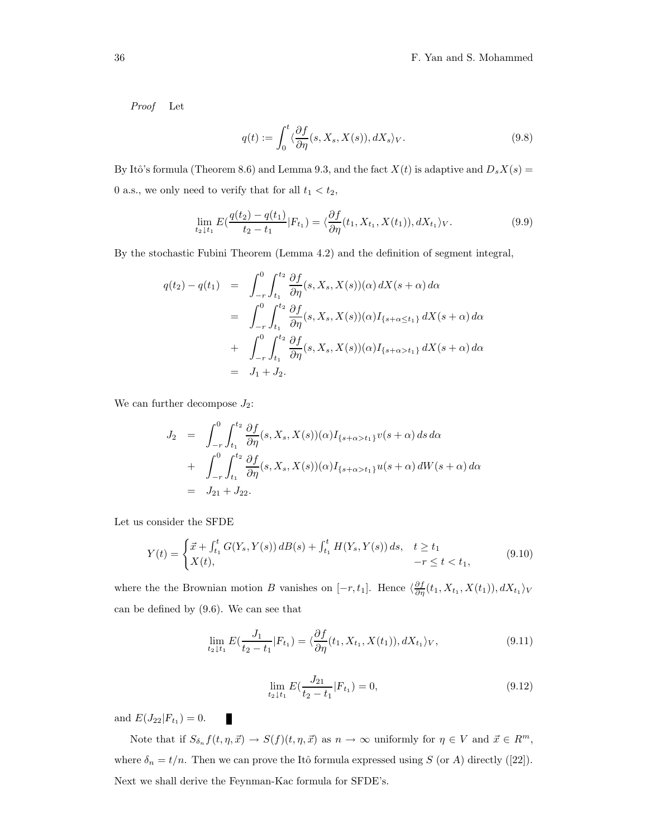Proof Let

$$
q(t) := \int_0^t \langle \frac{\partial f}{\partial \eta}(s, X_s, X(s)), dX_s \rangle_V.
$$
 (9.8)

By Itô's formula (Theorem 8.6) and Lemma 9.3, and the fact  $X(t)$  is adaptive and  $D_s X(s) =$ 0 a.s., we only need to verify that for all  $t_1 < t_2$ ,

$$
\lim_{t_2 \downarrow t_1} E(\frac{q(t_2) - q(t_1)}{t_2 - t_1} | F_{t_1}) = \langle \frac{\partial f}{\partial \eta}(t_1, X_{t_1}, X(t_1)), dX_{t_1} \rangle_V.
$$
\n(9.9)

By the stochastic Fubini Theorem (Lemma 4.2) and the definition of segment integral,

$$
q(t_2) - q(t_1) = \int_{-r}^{0} \int_{t_1}^{t_2} \frac{\partial f}{\partial \eta}(s, X_s, X(s))(\alpha) dX(s + \alpha) d\alpha
$$
  

$$
= \int_{-r}^{0} \int_{t_1}^{t_2} \frac{\partial f}{\partial \eta}(s, X_s, X(s))(\alpha) I_{\{s + \alpha \le t_1\}} dX(s + \alpha) d\alpha
$$
  

$$
+ \int_{-r}^{0} \int_{t_1}^{t_2} \frac{\partial f}{\partial \eta}(s, X_s, X(s))(\alpha) I_{\{s + \alpha > t_1\}} dX(s + \alpha) d\alpha
$$
  

$$
= J_1 + J_2.
$$

We can further decompose  $J_2$ :

$$
J_2 = \int_{-r}^{0} \int_{t_1}^{t_2} \frac{\partial f}{\partial \eta}(s, X_s, X(s))(\alpha) I_{\{s+\alpha > t_1\}} v(s+\alpha) ds d\alpha + \int_{-r}^{0} \int_{t_1}^{t_2} \frac{\partial f}{\partial \eta}(s, X_s, X(s))(\alpha) I_{\{s+\alpha > t_1\}} u(s+\alpha) dW(s+\alpha) d\alpha = J_{21} + J_{22}.
$$

Let us consider the SFDE

$$
Y(t) = \begin{cases} \vec{x} + \int_{t_1}^t G(Y_s, Y(s)) \, dB(s) + \int_{t_1}^t H(Y_s, Y(s)) \, ds, & t \ge t_1 \\ X(t), & -r \le t < t_1, \end{cases} \tag{9.10}
$$

where the the Brownian motion B vanishes on  $[-r, t_1]$ . Hence  $\langle \frac{\partial f}{\partial \eta}(t_1, X_{t_1}, X(t_1)), dX_{t_1} \rangle_V$ can be defined by (9.6). We can see that

$$
\lim_{t_2 \downarrow t_1} E(\frac{J_1}{t_2 - t_1} | F_{t_1}) = \langle \frac{\partial f}{\partial \eta} (t_1, X_{t_1}, X(t_1)), dX_{t_1} \rangle_V, \tag{9.11}
$$

$$
\lim_{t_2 \downarrow t_1} E(\frac{J_{21}}{t_2 - t_1} | F_{t_1}) = 0,\tag{9.12}
$$

and  $E(J_{22}|F_{t_1})=0$ .

П

Note that if  $S_{\delta_n} f(t, \eta, \vec{x}) \to S(f)(t, \eta, \vec{x})$  as  $n \to \infty$  uniformly for  $\eta \in V$  and  $\vec{x} \in R^m$ , where  $\delta_n = t/n$ . Then we can prove the Itô formula expressed using S (or A) directly ([22]). Next we shall derive the Feynman-Kac formula for SFDE's.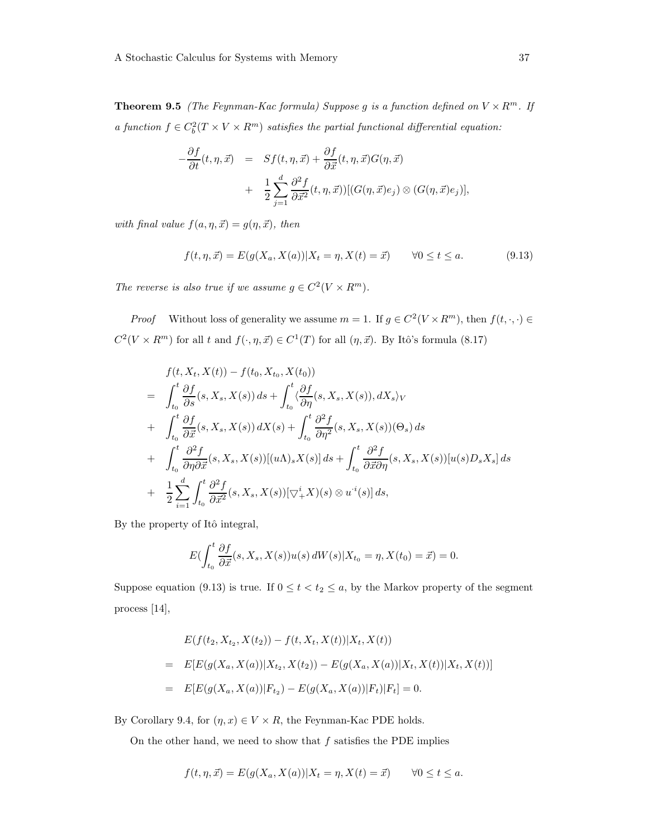**Theorem 9.5** (The Feynman-Kac formula) Suppose g is a function defined on  $V \times R^m$ . If a function  $f \in C_b^2(T \times V \times R^m)$  satisfies the partial functional differential equation:

$$
-\frac{\partial f}{\partial t}(t,\eta,\vec{x}) = Sf(t,\eta,\vec{x}) + \frac{\partial f}{\partial \vec{x}}(t,\eta,\vec{x})G(\eta,\vec{x})
$$

$$
+ \frac{1}{2}\sum_{j=1}^{d} \frac{\partial^2 f}{\partial \vec{x}^2}(t,\eta,\vec{x}))[(G(\eta,\vec{x})e_j) \otimes (G(\eta,\vec{x})e_j)],
$$

with final value  $f(a, \eta, \vec{x}) = g(\eta, \vec{x})$ , then

$$
f(t, \eta, \vec{x}) = E(g(X_a, X(a)) | X_t = \eta, X(t) = \vec{x}) \qquad \forall 0 \le t \le a.
$$
 (9.13)

The reverse is also true if we assume  $g \in C^2(V \times R^m)$ .

*Proof* Without loss of generality we assume  $m = 1$ . If  $g \in C^2(V \times R^m)$ , then  $f(t, \cdot, \cdot) \in$  $C^2(V \times R^m)$  for all t and  $f(\cdot, \eta, \vec{x}) \in C^1(T)$  for all  $(\eta, \vec{x})$ . By Itô's formula (8.17)

$$
f(t, X_t, X(t)) - f(t_0, X_{t_0}, X(t_0))
$$
  
\n
$$
= \int_{t_0}^t \frac{\partial f}{\partial s}(s, X_s, X(s)) ds + \int_{t_0}^t \frac{\partial f}{\partial \eta}(s, X_s, X(s)), dX_s \rangle_V
$$
  
\n
$$
+ \int_{t_0}^t \frac{\partial f}{\partial \overrightarrow{x}}(s, X_s, X(s)) dX(s) + \int_{t_0}^t \frac{\partial^2 f}{\partial \eta^2}(s, X_s, X(s))(\Theta_s) ds
$$
  
\n
$$
+ \int_{t_0}^t \frac{\partial^2 f}{\partial \eta \partial \overrightarrow{x}}(s, X_s, X(s))[(u\Lambda)_s X(s)] ds + \int_{t_0}^t \frac{\partial^2 f}{\partial \overrightarrow{x} \partial \eta}(s, X_s, X(s))[u(s)D_s X_s] ds
$$
  
\n
$$
+ \frac{1}{2} \sum_{i=1}^d \int_{t_0}^t \frac{\partial^2 f}{\partial \overrightarrow{x}^2}(s, X_s, X(s))[\nabla_s^i X](s) \otimes u^i(s)] ds,
$$

By the property of Itô integral,

$$
E\left(\int_{t_0}^t \frac{\partial f}{\partial \vec{x}}(s,X_s,X(s))u(s)\,dW(s)|X_{t_0}=\eta,X(t_0)=\vec{x}\right)=0.
$$

Suppose equation (9.13) is true. If  $0 \le t < t_2 \le a$ , by the Markov property of the segment process [14],

$$
E(f(t_2, X_{t_2}, X(t_2)) - f(t, X_t, X(t))|X_t, X(t))
$$
  
= 
$$
E[E(g(X_a, X(a))|X_{t_2}, X(t_2)) - E(g(X_a, X(a))|X_t, X(t))|X_t, X(t))]
$$
  
= 
$$
E[E(g(X_a, X(a))|F_{t_2}) - E(g(X_a, X(a))|F_t)|F_t] = 0.
$$

By Corollary 9.4, for  $(\eta, x) \in V \times R$ , the Feynman-Kac PDE holds.

On the other hand, we need to show that  $f$  satisfies the PDE implies

$$
f(t, \eta, \vec{x}) = E(g(X_a, X(a)) | X_t = \eta, X(t) = \vec{x}) \qquad \forall 0 \le t \le a.
$$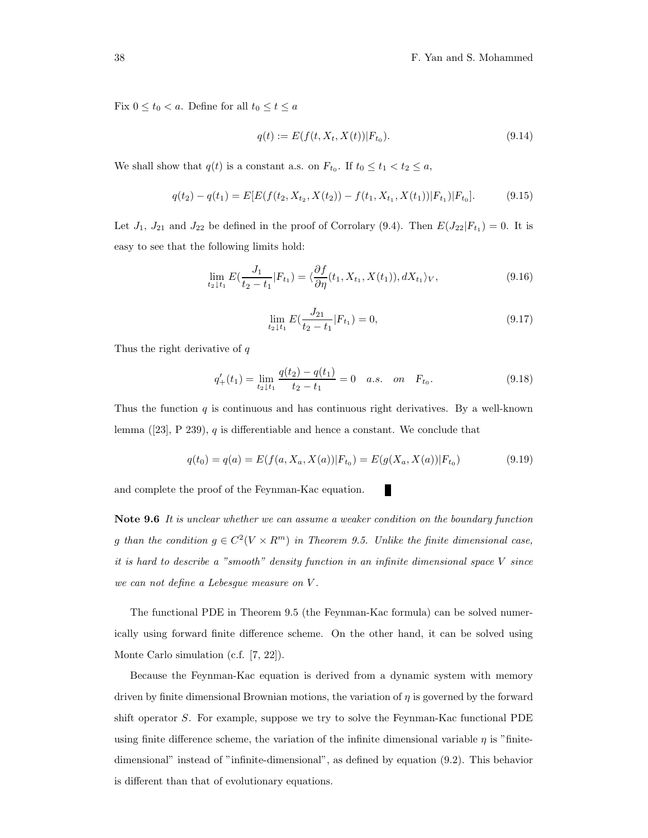Fix  $0 \le t_0 < a$ . Define for all  $t_0 \le t \le a$ 

$$
q(t) := E(f(t, X_t, X(t)) | F_{t_0}).
$$
\n(9.14)

We shall show that  $q(t)$  is a constant a.s. on  $F_{t_0}$ . If  $t_0 \le t_1 < t_2 \le a$ ,

$$
q(t_2) - q(t_1) = E[E(f(t_2, X_{t_2}, X(t_2)) - f(t_1, X_{t_1}, X(t_1)) | F_{t_1}) | F_{t_0}].
$$
\n(9.15)

Let  $J_1$ ,  $J_{21}$  and  $J_{22}$  be defined in the proof of Corrolary (9.4). Then  $E(J_{22}|F_{t_1})=0$ . It is easy to see that the following limits hold:

$$
\lim_{t_2 \downarrow t_1} E(\frac{J_1}{t_2 - t_1} | F_{t_1}) = \langle \frac{\partial f}{\partial \eta} (t_1, X_{t_1}, X(t_1)), dX_{t_1} \rangle_V, \tag{9.16}
$$

$$
\lim_{t_2 \downarrow t_1} E(\frac{J_{21}}{t_2 - t_1} | F_{t_1}) = 0,\tag{9.17}
$$

Thus the right derivative of  $q$ 

$$
q'_{+}(t_1) = \lim_{t_2 \downarrow t_1} \frac{q(t_2) - q(t_1)}{t_2 - t_1} = 0 \quad a.s. \quad on \quad F_{t_0}.
$$
\n(9.18)

Thus the function  $q$  is continuous and has continuous right derivatives. By a well-known lemma  $([23], P 239), q$  is differentiable and hence a constant. We conclude that

$$
q(t_0) = q(a) = E(f(a, X_a, X(a))|F_{t_0}) = E(g(X_a, X(a))|F_{t_0})
$$
\n(9.19)

П

and complete the proof of the Feynman-Kac equation.

Note 9.6 It is unclear whether we can assume a weaker condition on the boundary function g than the condition  $g \in C^2(V \times R^m)$  in Theorem 9.5. Unlike the finite dimensional case, it is hard to describe a "smooth" density function in an infinite dimensional space V since we can not define a Lebesgue measure on V .

The functional PDE in Theorem 9.5 (the Feynman-Kac formula) can be solved numerically using forward finite difference scheme. On the other hand, it can be solved using Monte Carlo simulation (c.f. [7, 22]).

Because the Feynman-Kac equation is derived from a dynamic system with memory driven by finite dimensional Brownian motions, the variation of  $\eta$  is governed by the forward shift operator S. For example, suppose we try to solve the Feynman-Kac functional PDE using finite difference scheme, the variation of the infinite dimensional variable  $\eta$  is "finitedimensional" instead of "infinite-dimensional", as defined by equation (9.2). This behavior is different than that of evolutionary equations.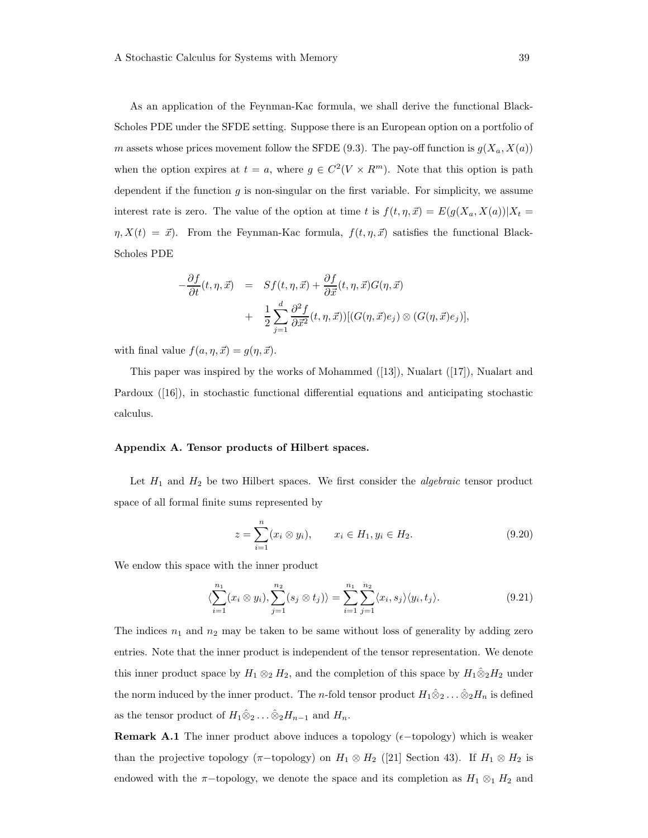As an application of the Feynman-Kac formula, we shall derive the functional Black-Scholes PDE under the SFDE setting. Suppose there is an European option on a portfolio of m assets whose prices movement follow the SFDE (9.3). The pay-off function is  $g(X_a, X(a))$ when the option expires at  $t = a$ , where  $g \in C^2(V \times R^m)$ . Note that this option is path dependent if the function  $g$  is non-singular on the first variable. For simplicity, we assume interest rate is zero. The value of the option at time t is  $f(t, \eta, \vec{x}) = E(g(X_a, X(a))|X_t =$  $\eta, X(t) = \vec{x}$ . From the Feynman-Kac formula,  $f(t, \eta, \vec{x})$  satisfies the functional Black-Scholes PDE

$$
-\frac{\partial f}{\partial t}(t,\eta,\vec{x}) = Sf(t,\eta,\vec{x}) + \frac{\partial f}{\partial \vec{x}}(t,\eta,\vec{x})G(\eta,\vec{x})
$$

$$
+ \frac{1}{2}\sum_{j=1}^{d} \frac{\partial^2 f}{\partial \vec{x}^2}(t,\eta,\vec{x}))[(G(\eta,\vec{x})e_j) \otimes (G(\eta,\vec{x})e_j)],
$$

with final value  $f(a, \eta, \vec{x}) = g(\eta, \vec{x}).$ 

This paper was inspired by the works of Mohammed ([13]), Nualart ([17]), Nualart and Pardoux ([16]), in stochastic functional differential equations and anticipating stochastic calculus.

#### Appendix A. Tensor products of Hilbert spaces.

Let  $H_1$  and  $H_2$  be two Hilbert spaces. We first consider the *algebraic* tensor product space of all formal finite sums represented by

$$
z = \sum_{i=1}^{n} (x_i \otimes y_i), \qquad x_i \in H_1, y_i \in H_2.
$$
 (9.20)

We endow this space with the inner product

$$
\langle \sum_{i=1}^{n_1} (x_i \otimes y_i), \sum_{j=1}^{n_2} (s_j \otimes t_j) \rangle = \sum_{i=1}^{n_1} \sum_{j=1}^{n_2} \langle x_i, s_j \rangle \langle y_i, t_j \rangle.
$$
 (9.21)

The indices  $n_1$  and  $n_2$  may be taken to be same without loss of generality by adding zero entries. Note that the inner product is independent of the tensor representation. We denote this inner product space by  $H_1 \otimes_2 H_2$ , and the completion of this space by  $H_1 \hat{\otimes}_2 H_2$  under the norm induced by the inner product. The n-fold tensor product  $H_1\hat{\otimes}_2 \ldots \hat{\otimes}_2 H_n$  is defined as the tensor product of  $H_1 \hat{\otimes}_2 \dots \hat{\otimes}_2 H_{n-1}$  and  $H_n$ .

**Remark A.1** The inner product above induces a topology ( $\epsilon$ -topology) which is weaker than the projective topology ( $\pi$ -topology) on  $H_1 \otimes H_2$  ([21] Section 43). If  $H_1 \otimes H_2$  is endowed with the  $\pi$ -topology, we denote the space and its completion as  $H_1 \otimes_1 H_2$  and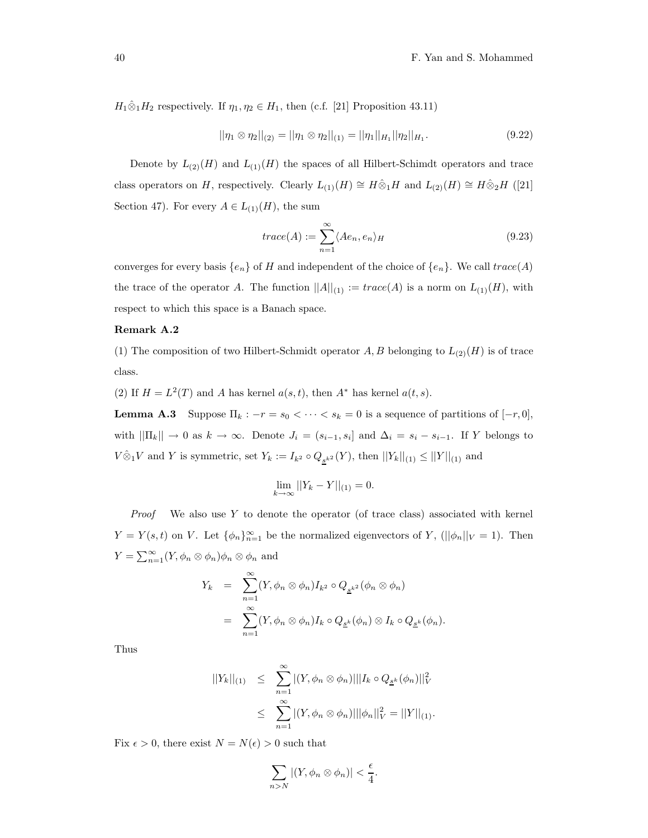$H_1\hat{\otimes}_1 H_2$  respectively. If  $\eta_1, \eta_2 \in H_1$ , then (c.f. [21] Proposition 43.11)

$$
||\eta_1 \otimes \eta_2||_{(2)} = ||\eta_1 \otimes \eta_2||_{(1)} = ||\eta_1||_{H_1} ||\eta_2||_{H_1}.
$$
\n(9.22)

Denote by  $L_{(2)}(H)$  and  $L_{(1)}(H)$  the spaces of all Hilbert-Schimdt operators and trace class operators on H, respectively. Clearly  $L_{(1)}(H) \cong H \hat{\otimes}_1 H$  and  $L_{(2)}(H) \cong H \hat{\otimes}_2 H$  ([21] Section 47). For every  $A \in L_{(1)}(H)$ , the sum

$$
trace(A) := \sum_{n=1}^{\infty} \langle Ae_n, e_n \rangle_H
$$
\n(9.23)

converges for every basis  $\{e_n\}$  of H and independent of the choice of  $\{e_n\}$ . We call  $trace(A)$ the trace of the operator A. The function  $||A||_{(1)} := trace(A)$  is a norm on  $L_{(1)}(H)$ , with respect to which this space is a Banach space.

#### Remark A.2

(1) The composition of two Hilbert-Schmidt operator  $A, B$  belonging to  $L_{(2)}(H)$  is of trace class.

(2) If  $H = L<sup>2</sup>(T)$  and A has kernel  $a(s, t)$ , then  $A^*$  has kernel  $a(t, s)$ .

**Lemma A.3** Suppose  $\Pi_k : -r = s_0 < \cdots < s_k = 0$  is a sequence of partitions of  $[-r, 0]$ , with  $||\Pi_k|| \to 0$  as  $k \to \infty$ . Denote  $J_i = (s_{i-1}, s_i]$  and  $\Delta_i = s_i - s_{i-1}$ . If Y belongs to  $V \hat{\otimes}_1 V$  and Y is symmetric, set  $Y_k := I_{k^2} \circ Q_{s^{k^2}}(Y)$ , then  $||Y_k||_{(1)} \le ||Y||_{(1)}$  and

$$
\lim_{k \to \infty} ||Y_k - Y||_{(1)} = 0.
$$

*Proof* We also use Y to denote the operator (of trace class) associated with kernel  $Y = Y(s,t)$  on V. Let  $\{\phi_n\}_{n=1}^{\infty}$  be the normalized eigenvectors of Y, ( $||\phi_n||_V = 1$ ). Then  $Y = \sum_{n=1}^{\infty} (Y, \phi_n \otimes \phi_n) \phi_n \otimes \phi_n$  and

$$
Y_k = \sum_{n=1}^{\infty} (Y, \phi_n \otimes \phi_n) I_{k^2} \circ Q_{\underline{s}^{k^2}}(\phi_n \otimes \phi_n)
$$
  
= 
$$
\sum_{n=1}^{\infty} (Y, \phi_n \otimes \phi_n) I_k \circ Q_{\underline{s}^k}(\phi_n) \otimes I_k \circ Q_{\underline{s}^k}(\phi_n).
$$

Thus

$$
||Y_k||_{(1)} \leq \sum_{n=1}^{\infty} |(Y, \phi_n \otimes \phi_n)| ||I_k \circ Q_{\underline{s}^k}(\phi_n)||_V^2
$$
  

$$
\leq \sum_{n=1}^{\infty} |(Y, \phi_n \otimes \phi_n)| ||\phi_n||_V^2 = ||Y||_{(1)}.
$$

Fix  $\epsilon > 0$ , there exist  $N = N(\epsilon) > 0$  such that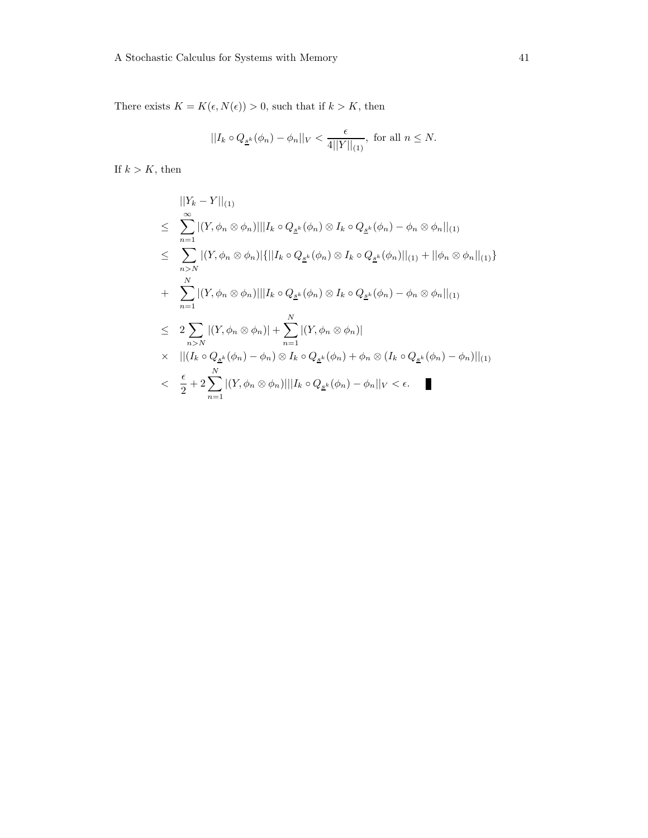There exists  $K = K(\epsilon, N(\epsilon)) > 0$ , such that if  $k > K$ , then

$$
||I_k \circ Q_{\underline{s}^k}(\phi_n) - \phi_n||_V < \frac{\epsilon}{4||Y||_{(1)}}
$$
, for all  $n \le N$ .

If  $k > K$ , then

$$
||Y_{k} - Y||_{(1)}
$$
\n
$$
\leq \sum_{n=1}^{\infty} |(Y, \phi_{n} \otimes \phi_{n})| ||I_{k} \circ Q_{\underline{s}^{k}}(\phi_{n}) \otimes I_{k} \circ Q_{\underline{s}^{k}}(\phi_{n}) - \phi_{n} \otimes \phi_{n}||_{(1)}
$$
\n
$$
\leq \sum_{n>N} |(Y, \phi_{n} \otimes \phi_{n})| \{ ||I_{k} \circ Q_{\underline{s}^{k}}(\phi_{n}) \otimes I_{k} \circ Q_{\underline{s}^{k}}(\phi_{n})||_{(1)} + ||\phi_{n} \otimes \phi_{n}||_{(1)} \}
$$
\n
$$
+ \sum_{n=1}^{N} |(Y, \phi_{n} \otimes \phi_{n})|| |I_{k} \circ Q_{\underline{s}^{k}}(\phi_{n}) \otimes I_{k} \circ Q_{\underline{s}^{k}}(\phi_{n}) - \phi_{n} \otimes \phi_{n}||_{(1)}
$$
\n
$$
\leq 2 \sum_{n>N} |(Y, \phi_{n} \otimes \phi_{n})| + \sum_{n=1}^{N} |(Y, \phi_{n} \otimes \phi_{n})|
$$
\n
$$
\times ||(I_{k} \circ Q_{\underline{s}^{k}}(\phi_{n}) - \phi_{n}) \otimes I_{k} \circ Q_{\underline{s}^{k}}(\phi_{n}) + \phi_{n} \otimes (I_{k} \circ Q_{\underline{s}^{k}}(\phi_{n}) - \phi_{n})||_{(1)}
$$
\n
$$
< \frac{\epsilon}{2} + 2 \sum_{n=1}^{N} |(Y, \phi_{n} \otimes \phi_{n})|| |I_{k} \circ Q_{\underline{s}^{k}}(\phi_{n}) - \phi_{n}||_{V} < \epsilon.
$$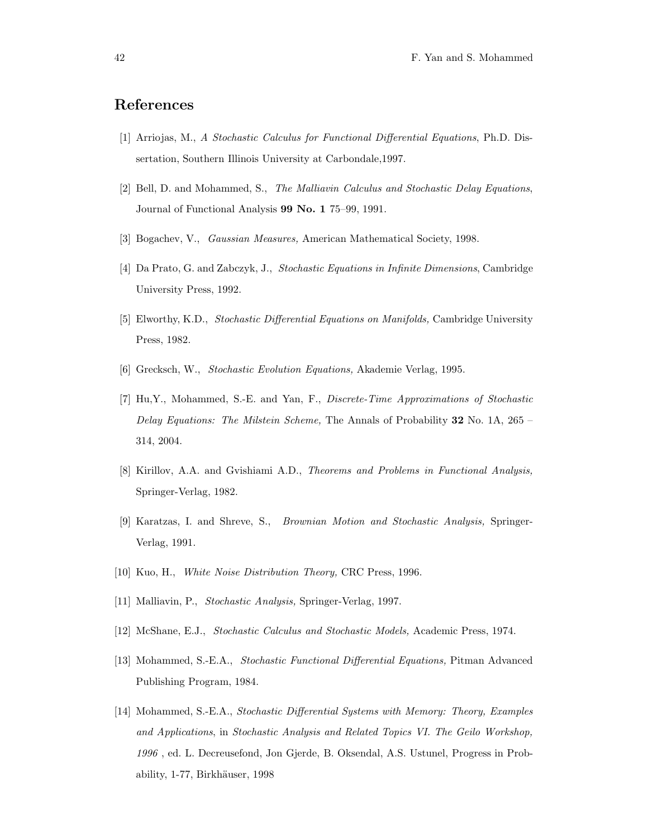### References

- [1] Arriojas, M., A Stochastic Calculus for Functional Differential Equations, Ph.D. Dissertation, Southern Illinois University at Carbondale,1997.
- [2] Bell, D. and Mohammed, S., The Malliavin Calculus and Stochastic Delay Equations, Journal of Functional Analysis 99 No. 1 75–99, 1991.
- [3] Bogachev, V., Gaussian Measures, American Mathematical Society, 1998.
- [4] Da Prato, G. and Zabczyk, J., Stochastic Equations in Infinite Dimensions, Cambridge University Press, 1992.
- [5] Elworthy, K.D., Stochastic Differential Equations on Manifolds, Cambridge University Press, 1982.
- [6] Grecksch, W., Stochastic Evolution Equations, Akademie Verlag, 1995.
- [7] Hu,Y., Mohammed, S.-E. and Yan, F., Discrete-Time Approximations of Stochastic Delay Equations: The Milstein Scheme, The Annals of Probability 32 No. 1A, 265 314, 2004.
- [8] Kirillov, A.A. and Gvishiami A.D., Theorems and Problems in Functional Analysis, Springer-Verlag, 1982.
- [9] Karatzas, I. and Shreve, S., Brownian Motion and Stochastic Analysis, Springer-Verlag, 1991.
- [10] Kuo, H., White Noise Distribution Theory, CRC Press, 1996.
- [11] Malliavin, P., Stochastic Analysis, Springer-Verlag, 1997.
- [12] McShane, E.J., Stochastic Calculus and Stochastic Models, Academic Press, 1974.
- [13] Mohammed, S.-E.A., Stochastic Functional Differential Equations, Pitman Advanced Publishing Program, 1984.
- [14] Mohammed, S.-E.A., Stochastic Differential Systems with Memory: Theory, Examples and Applications, in Stochastic Analysis and Related Topics VI. The Geilo Workshop, 1996 , ed. L. Decreusefond, Jon Gjerde, B. Oksendal, A.S. Ustunel, Progress in Probability, 1-77, Birkhäuser, 1998